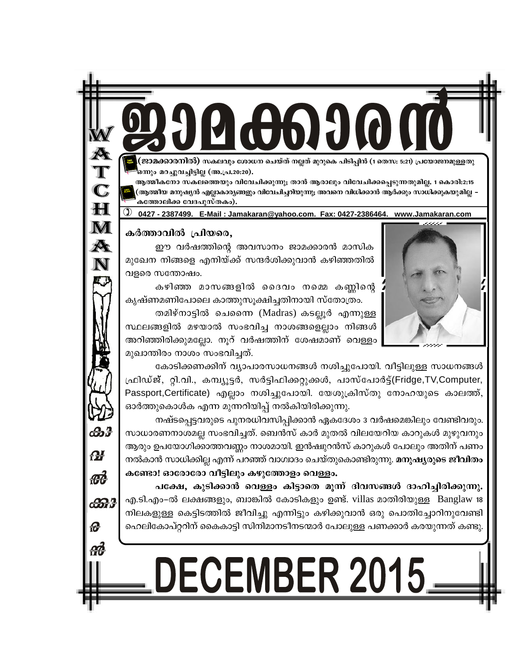ജാമക്കാരനിൽ) സകലവും ശോധന ചെയ്ത് നല്ലത് മുറുകെ പിടിപ്പിൻ (1 തെസ: 5:21) പ്രയോജനമുള്ളതു ഒനും മറച്ചുവച്ചിട്ടില്ല (അ.പ്ര.20:20).

ആത്മീകനോ സകലത്തെയും വിവേചിക്കുന്നു; താൻ ആരാലും വിവേചിക്കപ്പെടുന്നതുമില്ല. 1 കൊരി:2:15 (ആത്മീയ മനുഷൃൻ എല്ലാകാരൃങ്ങളും വിവേചിച്ചറിയുന്നു; അവനെ വിധിക്കാൻ ആർക്കും സാധിക്കുകയുമില്ല ∙ കത്തോലിക്ക വേദപുസ്തകം).

0427 - 2387499. E-Mail: Jamakaran@yahoo.com. Fax: 0427-2386464. www.Jamakaran.com

#### കർത്താവിൽ പ്രിയരെ,

 $\mathbf C$ 

 $H$ 

 $\bf M$ 

A<br>N

ക്ക്

**M** 

æд

ക്കു

ഈ വർഷത്തിന്റെ അവസാനം ജാമക്കാരൻ മാസിക മുഖേന നിങ്ങളെ എനിയ്ക്ക് സന്ദർശിക്കുവാൻ കഴിഞ്ഞതിൽ വളരെ സന്തോഷം.

കഴിഞ്ഞ മാസങ്ങളിൽ ദൈവം നമ്മെ കണ്ണിന്റെ കൃഷ്ണമണിപോലെ കാത്തുസൂക്ഷിച്ചതിനായി സ്തോത്രം.

തമിഴ്നാട്ടിൽ ചെന്നൈ (Madras) കടല്ലൂർ എന്നുള്ള സ്ഥലങ്ങളിൽ മഴയാൽ സംഭവിച്ച നാശങ്ങളെല്ലാം നിങ്ങൾ അറിഞ്ഞിരിക്കുമല്ലോ. നൂറ് വർഷത്തിന് ശേഷമാണ് വെള്ളം മുഖാന്തിരം നാശം സംഭവിച്ചത്.

കോടിക്കണക്കിന് വ്യാപാരസാധനങ്ങൾ നശിച്ചുപോയി. വീട്ടിലുള്ള സാധനങ്ങൾ ഫ്രിഡ്ജ്, റ്റി.വി., കമ്പ്യൂട്ടർ, സർട്ടിഫിക്കറ്റുക്കൾ, പാസ്പോർട്ട്(Fridge,TV,Computer, Passport,Certificate) എല്ലാം നശിച്ചുപോയി. യേശുക്രിസ്തു നോഹയുടെ കാലത്ത്, ഓർത്തുകൊൾക എന്ന മുന്നറിയിപ്പ് നൽകിയിരിക്കുന്നു.

നഷ്ടപ്പെട്ടവരുടെ പുനരധിവസിപ്പിക്കാൻ ഏകദേശം 3 വർഷമെങ്കിലും വേണ്ടിവരും. സാധാരണനാശമല്ല സംഭവിച്ചത്. ബെൻസ് കാർ മുതൽ വിലയേറിയ കാറുകൾ മുഴുവനും ആരും ഉപയോഗിക്കാത്തവണ്ണം നാശമായി. ഇൻഷ്വുറൻസ് കാറുകൾ പോലും അതിന് പണം നൽകാൻ സാധിക്കില്ല എന്ന് പറഞ്ഞ് വാഗ്വാദം ചെയ്തുകൊണ്ടിരുന്നു. മനുഷ്യരുടെ ജീവിതം കണ്ടോ! ഓരോരോ വീട്ടിലും കഴുത്തോളം വെള്ളം.

പക്ഷേ, കുടിക്കാൻ വെള്ളം കിട്ടാതെ മുന്ന് ദിവസങ്ങൾ ദാഹിച്ചിരിക്കുന്നു. എ.ടി.എം–ൽ ലക്ഷങ്ങളും, ബാങ്കിൽ കോടികളും ഉണ്ട്. villas മാതിരിയുള്ള Banglaw 18 നിലകളുള്ള കെട്ടിടത്തിൽ ജീവിച്ചു എന്നിട്ടും കഴിക്കുവാൻ ഒരു പൊതിച്ചോറിനുവേണ്ടി ഹെലികോപ്റ്ററിന് കൈകാട്ടി സിനിമാനടീനടന്മാർ പോലുള്ള പണക്കാർ കരയുന്നത് കണ്ടു.

# DECEMBER 2015.

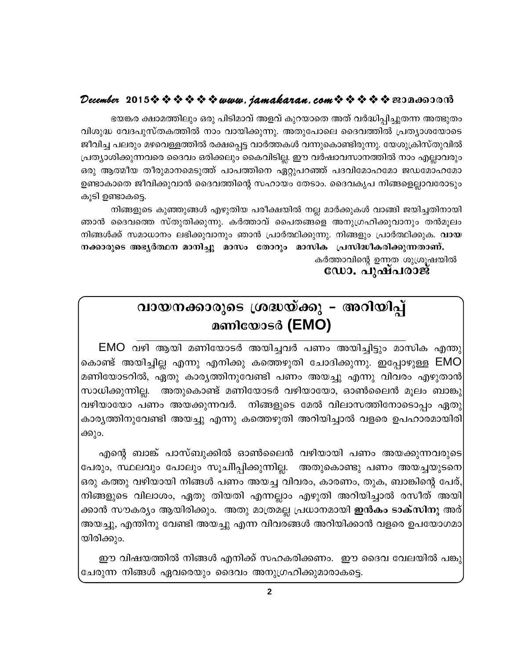#### December 2015  $\rightsquigarrow \rightsquigarrow \rightsquigarrow \rightsquigarrow www.$  jamakaran.com  $\rightsquigarrow \rightsquigarrow \rightsquigarrow \rightsquigarrow \infty$  2014600013

ഭയങ്കര ക്ഷാമത്തിലും ഒരു പിടിമാവ് അളവ് കുറയാതെ അത് വർദ്ധിപ്പിച്ചുതന്ന അത്ഭുതം വിശുദ്ധ വേദപുസ്തകത്തിൽ നാം വായിക്കുന്നു. അതുപോലെ ദൈവത്തിൽ പ്രത്യാശയോടെ ജീവിച്ച പലരും മഴവെള്ളത്തിൽ രക്ഷപ്പെട്ട വാർത്തകൾ വന്നുകൊണ്ടിരുന്നു. യേശുക്രിസ്തുവിൽ പ്രത്യാശിക്കുന്നവരെ ദൈവം ഒരിക്കലും കൈവിടില്ല. ഈ വർഷാവസാനത്തിൽ നാം എല്ലാവരും ഒരു ആത്മീയ തീരുമാനമെടുത്ത് പാപത്തിനെ ഏറ്റുപറഞ്ഞ് പദവിമോഹമോ ജഡമോഹമോ ഉണ്ടാകാതെ ജീവിക്കുവാൻ ദൈവത്തിന്റെ സഹായം തേടാം. ദൈവകൃപ നിങ്ങളെല്ലാവരോടും കൂടി ഉണ്ടാകട്ടെ.

നിങ്ങളുടെ കുഞ്ഞുങ്ങൾ എഴുതിയ പരീക്ഷയിൽ നല്ല മാർക്കുകൾ വാങ്ങി ജയിച്ചതിനായി ഞാൻ ദൈവത്തെ സ്തുതിക്കുന്നു. കർത്താവ് പൈതങ്ങളെ അനുഗ്രഹിക്കുവാനും തൻമൂലം നിങ്ങൾക്ക് സമാധാനം ലഭിക്കുവാനും ഞാൻ പ്രാർത്ഥിക്കുന്നു. നിങ്ങളും പ്രാർത്ഥിക്കുക. **വായ** നക്കാരുടെ അഭ്യർത്ഥന മാനിച്ചു മാസം തോറും മാസിക പ്രസിദ്ധീകരിക്കുന്നതാണ്.

കർത്താവിന്റെ ഉന്നത ശുശ്രൂഷയിൽ ഡോ. പുഷ്പരാജ്

### വായനക്കാരുടെ ശ്രദ്ധയ്ക്കു – അറിയിപ്പ് മണിയോടർ (EMO)

EMO വഴി ആയി മണിയോടർ അയിച്ചവർ പണം അയിച്ചിട്ടും മാസിക എന്തു കൊണ്ട് അയിച്ചില്ല എന്നു എനിക്കു കത്തെഴുതി ചോദിക്കുന്നു. ഇപ്പോഴുള്ള EMO മണിയോടറിൽ, ഏതു കാര്യത്തിനുവേണ്ടി പണം അയച്ചു എന്നു വിവരം എഴുതാൻ സാധിക്കുന്നില്ല. അതുകൊണ്ട് മണിയോടർ വഴിയായോ, ഓൺലൈൻ മൂലം ബാങ്കു വഴിയായോ പണം അയക്കുന്നവർ. നിങ്ങളുടെ മേൽ വിലാസത്തിനോടൊപ്പം ഏതു കാര്യത്തിനുവേണ്ടി അയച്ചു എന്നു കത്തെഴുതി അറിയിച്ചാൽ വളരെ ഉപഹാരമായിരി ക്കും.

എന്റെ ബാങ്ക് പാസ്ബുക്കിൽ ഓൺലൈൻ വഴിയായി പണം അയക്കുന്നവരുടെ പേരും, സ്ഥലവും പോലും സൂചിിപ്പിക്കുന്നില്ല. അതുകൊണ്ടു പണം അയച്ചയുടനെ ഒരു കത്തു വഴിയായി നിങ്ങൾ പണം അയച്ച വിവരം, കാരണം, തുക, ബാങ്കിന്റെ പേര്, നിങ്ങളുടെ വിലാശം, ഏതു തിയതി എന്നല്ലാം എഴുതി അറിയിച്ചാൽ രസീത് അയി ക്കാൻ സൗകര്യം ആയിരിക്കും. അതു മാത്രമല്ല പ്രധാനമായി **ഇൻകം ടാക്സിനു** അര് അയച്ചു, എന്തിനു വേണ്ടി അയച്ചു എന്ന വിവരങ്ങൾ അറിയിക്കാൻ വളരെ ഉപയോഗമാ യിരിക്കും.

ഈ വിഷയത്തിൽ നിങ്ങൾ എനിക്ക് സഹകരിക്കണം. ഈ ദൈവ വേലയിൽ പങ്കു ചേരുന്ന നിങ്ങൾ ഏവരെയും ദൈവം അനുഗ്രഹിക്കുമാരാകട്ടെ.

 $\overline{2}$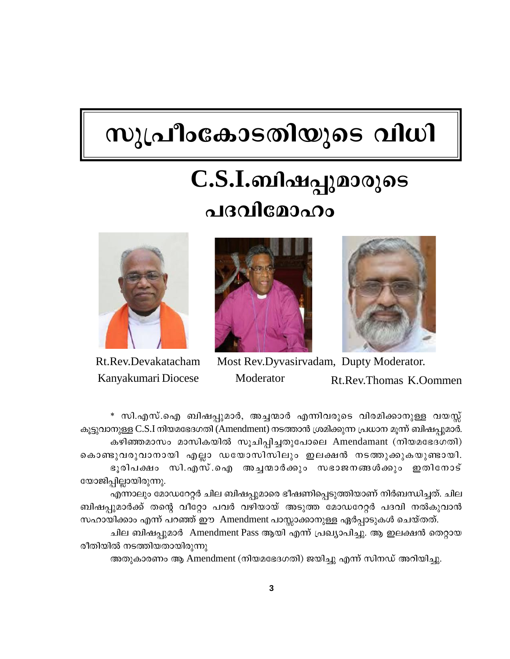# സുപ്രീംകോടതിയുടെ വിധി

# **C.S.I.ബിഷപ്പുമാരുടെ** പദവിമോഹം







Rt.Rev.Devakatacham Most Rev.Dyvasirvadam, Dupty Moderator. Kanyakumari Diocese Moderator Rt.Rev.Thomas K.Oommen

Kev.Devakatacham Most Kev.Dyvasırvadam, Dupty Moderator.<br>myakumari Diocese Moderator Rt.Rev.Thomas K.Oommen<br>\* സി.എസ്.ഐ ബിഷപ്പുമാർ, അച്ചന്മാർ എന്നിവരുടെ വിരമിക്കാനുള്ള വയസ്സ്<br>തുള്ള C.S.I നിയമഭേദഗതി (Amendment) നടത്താൻ ശ്രമ കൂട്ടുവാനുള്ള C.S.I നിയമഭേദഗതി (Amendment) നടത്താൻ ശ്രമിക്കുന്ന പ്രധാന മൂന്ന് ബിഷപ്പുമാർ. കഴിഞ്ഞമാസം മാസികയിൽ സൂചിപ്പിച്ചതുപോലെ Amendamant (നിയമഭേദഗതി) കൊണ്ടുവരുവാനായി എല്ലാ ഡയോസിസിലും ഇലക്ഷൻ നടത്തുക്കുകയുണ്ടായി. \* സി.എസ്.ഐ ബിഷപ്പുമാർ, അച്ചന്മാർ എന്നിവരുടെ വിരമിക്കാനുള്ള വയസ്സ്<br>നുള്ള C.S.I നിയമഭേദഗതി (Amendment) നടത്താൻ ശ്രമിക്കുന്ന പ്രധാന മൂന്ന് ബിഷപ്പുമാർ.<br>കഴിഞ്ഞമാസം മാസികയിൽ സൂചിപ്പിച്ചതുപോലെ Amendamant (നിയമഭേദഗതി)<br>ഭ യോജിപില്ലായിരുന്നു.

എന്നാലും മോഡറേറ്റർ ചില ബിഷപ്പുമാരെ ഭീഷണിപ്പെടുത്തിയാണ് നിർബന്ധിച്ചത്. ചില കൊണ്ടുവരുവാനായി എല്ലാ ഡയോസിസിലും ഇലക്ഷൻ നടത്തുക്കുകയുണ്ടായി.<br>ഭൂരിപക്ഷം സി.എസ്.ഐ അച്ചന്മാർക്കും സഭാജനങ്ങൾക്കും ഇതിനോട്<br>യോജിപ്പില്ലായിരുന്നു.<br>എന്നാലും മോഡറേറ്റർ ചില ബിഷപ്പുമാരെ ഭീഷണിപ്പെടുത്തിയാണ് നിർബന്ധിച്ചത്. ചില<br>ബിഷപ്പു സഹായിക്കാം എന്ന് പറഞ്ഞ് ഈ Amendment പാസ്സാക്കാനുള്ള ഏർപ്പാടുകൾ ചെയ്തത്.

ചില ബിഷപ്പുമാർ Amendment Pass ആയി എന്ന് പ്രഖ്യാപിച്ചു. ആ ഇലക്ഷൻ തെറ്റായ രീതിയിൽ നടത്തിയതായിരുന്നു

അതുകാരണം ആ Amendment (നിയമഭേദഗതി) ജയിച്ചു എന്ന് സിനഡ് അറിയിച്ചു.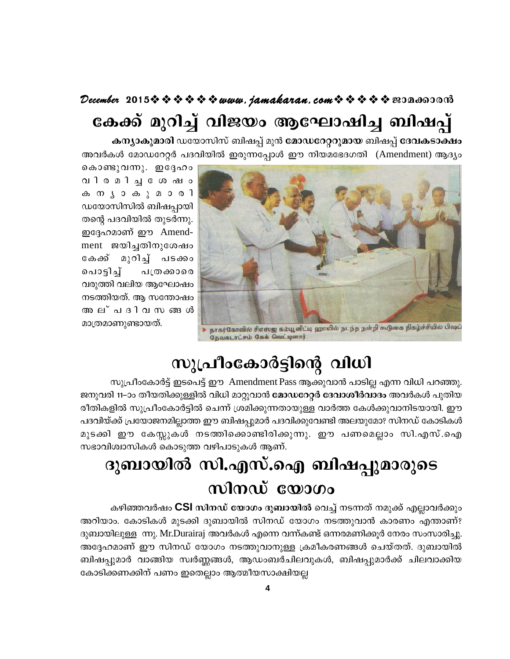## December 2015 $\rightsquigarrow \rightsquigarrow \rightsquigarrow \rightsquigarrow \rightsquigarrow www$ . jamakaran. com $\rightsquigarrow \rightsquigarrow \rightsquigarrow \rightsquigarrow \rightsquigarrow \text{exon}$ കേക്ക് മുറിച്ച് വിജയം ആഘോഷിച്ച ബിഷപ്പ്

കന്യാകുമാരി ഡയോസിസ് ബിഷപ്പ് മുൻ മോഡറേറ്ററുമായ ബിഷപ്പ് ദേവകടാക്ഷം അവർകൾ മോഡറേറ്റർ പദവിയിൽ ഇരുന്നപ്പോൾ ഈ നിയമഭേദഗതി (Amendment) ആദ്യം



കൊണ്ടുവന്നു. ഇദ്ദേഹം വിരമിചയോഷം ക ന ൃ ാ ക ു മ ാ ര ി ഡയോസിസിൽ ബിഷപ്പായി തന്റെ പദവിയിൽ തുടർന്നു. ഇദ്ദേഹമാണ് ഈ Amendment ജയിച്ചതിനുശേഷം കേക്ക് മുറിച്ച് പടക്കാ പൊടിച് പത്രക്കാരെ വരുത്തി വലിയ ആഘോഷം നടത്തിയത്. ആ സന്തോഷം അല്പദിവസങ്ങൾ മാത്രമാണുണ്ടായത്.

## സുപ്രീംകോർട്ടിന്റെ വിധി

സുപ്രീംകോർട്ട് ഇടപെട്ട് ഈ Amendment Pass ആക്കുവാൻ പാടില്ല എന്ന വിധി പറഞ്ഞു. ജനുവരി 11–ാം തീയതിക്കുള്ളിൽ വിധി മാറ്റുവാൻ മോഡറേറ്റർ ദേവാശീർവാദം അവർകൾ പുതിയ രീതികളിൽ സുപ്രീംകോർട്ടിൽ ചെന്ന് ശ്രമിക്കുന്നതായുള്ള വാർത്ത കേൾക്കുവാനിടയായി. ഈ പദവിയ്ക്ക് പ്രയോജനമില്ലാത്ത ഈ ബിഷപ്പുമാർ പദവിക്കുവേണ്ടി അലയുമോ? സിനഡ് കോടികൾ മുടക്കി ഈ കേസ്സുകൾ നടത്തിക്കൊണ്ടിരിക്കുന്നു. ഈ പണമെല്ലാം സി.എസ്.ഐ സഭാവിശ്വാസികൾ കൊടുത്ത വഴിപാടുകൾ ആണ്.

# ദുബായിൽ സി.എസ്.ഐ ബിഷപ്പുമാരുടെ സിനഡ് യോഗം

കഴിഞ്ഞവർഷം CSI സിനഡ് യോഗം ദുബായിൽ വെച്ച് നടന്നത് നമുക്ക് എല്ലാവർക്കും അറിയാം. കോടികൾ മുടക്കി ദുബായിൽ സിനഡ് യോഗം നടത്തുവാൻ കാരണം എന്താണ്? ദുബായിലുള്ള ന്നു. Mr.Durairaj അവർകൾ എന്നെ വന്ന്കണ്ട് ഒന്നരമണിക്കൂർ നേരം സംസാരിച്ചു. അദ്ദേഹമാണ് ഈ സിനഡ് യോഗം നടത്തുവാനുള്ള ക്രമീകരണങ്ങൾ ചെയ്തത്. ദുബായിൽ ബിഷപ്പുമാർ വാങ്ങിയ സ്വർണ്ണങ്ങൾ, ആഡംബർചിലവുകൾ, ബിഷപ്പുമാർക്ക് ചിലവാക്കിയ കോടിക്കണക്കിന് പണം ഇതെല്ലാം ആത്മീയസാക്ഷിയല്ല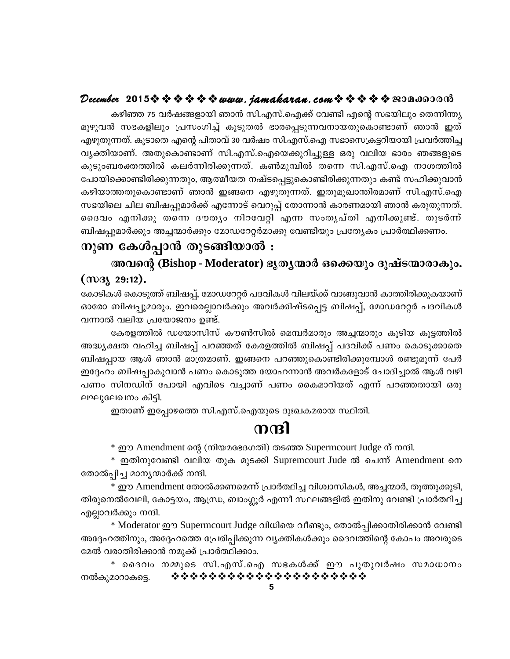#### December 2015 $\rightsquigarrow \rightsquigarrow \rightsquigarrow \rightsquigarrow \rightsquigarrow www.$  jamakaran.com  $\rightsquigarrow \rightsquigarrow \rightsquigarrow \rightsquigarrow \rightsquigarrow \text{exp}$

കഴിഞ്ഞ 75 വർഷങ്ങളായി ഞാൻ സി.എസ്.ഐക്ക് വേണ്ടി എന്റെ സഭയിലും തെന്നിന്ത്യ മുഴുവൻ സഭകളിലും പ്രസംഗിച്ച് കൂടുതൽ ഭാരപ്പെടുന്നവനായതുകൊണ്ടാണ് ഞാൻ ഇത് എഴുതുന്നത്. കൂടാതെ എന്റെ പിതാവ് 30 വർഷം സി.എസ്.ഐ സഭാസെക്രട്ടറിയായി പ്രവർത്തിച്ച വ്യക്തിയാണ്. അതുകൊണ്ടാണ് സി.എസ്.ഐയെക്കുറിച്ചുള്ള ഒരു വലിയ ഭാരം ഞങ്ങളുടെ കുടുംബരക്തത്തിൽ കലർന്നിരിക്കുന്നത്. കൺമുമ്പിൽ തന്നെ സി.എസ്.ഐ നാശത്തിൽ പോയിക്കൊണ്ടിരിക്കുന്നതും, ആത്മീയത നഷ്ടപ്പെട്ടുകൊണ്ടിരിക്കുന്നതും കണ്ട് സഹിക്കുവാൻ കഴിയാത്തതുകൊണ്ടാണ് ഞാൻ ഇങ്ങനെ എഴുതുന്നത്. ഇതുമുഖാന്തിരമാണ് സി.എസ്.ഐ സഭയിലെ ചില ബിഷപ്പുമാർക്ക് എന്നോട് വെറുപ്പ് തോന്നാൻ കാരണമായി ഞാൻ കരുതുന്നത്. ദൈവം എനിക്കു തന്നെ ദൗതൃം നിറവേറ്റി എന്ന സംതൃപ്തി എനിക്കുണ്ട്. തുടർന്ന് ബിഷപ്പുമാർക്കും അച്ചന്മാർക്കും മോഡറേറ്റർമാക്കു വേണ്ടിയും പ്രത്യേകം പ്രാർത്ഥിക്കണം.

#### നുണ കേൾപ്പാൻ തുടങ്ങിയാൽ :

അവന്റെ (Bishop - Moderator) ഭൃതൃന്മാർ ഒക്കെയും ദുഷ്ടന്മാരാകും.  $(m_3 \ 29:12)$ .

കോടികൾ കൊടുത്ത് ബിഷപ്പ്, മോഡറേറ്റർ പദവികൾ വിലയ്ക്ക് വാങ്ങുവാൻ കാത്തിരിക്കുകയാണ് ഓരോ ബിഷപ്പുമാരും. ഇവരെല്ലാവർക്കും അവർക്കിഷ്ടപ്പെട്ട ബിഷപ്പ്, മോഡറേറ്റർ പദവികൾ വന്നാൽ വലിയ പ്രയോജനം ഉണ്ട്.

കേരളത്തിൽ ഡയോസിസ് കൗൺസിൽ മെമ്പർമാരും അച്ചന്മാരും കൂടിയ കൂട്ടത്തിൽ അദ്ധ്യക്ഷത വഹിച്ച ബിഷപ്പ് പറഞ്ഞത് കേരളത്തിൽ ബിഷപ്പ് പദവിക്ക് പണം കൊടുക്കാതെ ബിഷപ്പായ ആൾ ഞാൻ മാത്രമാണ്. ഇങ്ങനെ പറഞ്ഞുകൊണ്ടിരിക്കുമ്പോൾ രണ്ടുമൂന്ന് പേർ ഇദ്ദേഹം ബിഷപ്പാകുവാൻ പണം കൊടുത്ത യോഹന്നാൻ അവർകളോട് ചോദിച്ചാൽ ആൾ വഴി പണം സിനഡിന് പോയി എവിടെ വച്ചാണ് പണം കൈമാറിയത് എന്ന് പറഞ്ഞതായി ഒരു ലഘുലേഖനം കിട്ടി.

ഇതാണ് ഇപ്പോഴത്തെ സി.എസ്.ഐയുടെ ദുഃഖകമരായ സ്ഥിതി.

#### നന്ദി

\* ഈ Amendment ന്റെ (നിയമഭേദഗതി) തടഞ്ഞ Supermcourt Judge ന് നന്ദി.

\* ഇതിനുവേണ്ടി വലിയ തുക മുടക്കി Supremcourt Jude ൽ ചെന്ന് Amendment നെ തോൽപ്പിച്ച മാനൃന്മാർക്ക് നന്ദി.

\* ഈ Amendment തോൽക്കണമെന്ന് പ്രാർത്ഥിച്ച വിശ്വാസികൾ, അച്ചന്മാർ, തൂത്തുക്കുടി, തിരുനെൽവേലി, കോട്ടയം, ആന്ധ്ര, ബാംഗ്ലൂർ എന്നീ സ്ഥലങ്ങളിൽ ഇതിനു വേണ്ടി പ്രാർത്ഥിച്ച എല്ലാവർക്കും നന്ദി.

\* Moderator ഈ Supermcourt Judge വിധിയെ വീണ്ടും, തോൽപ്പിക്കാതിരിക്കാൻ വേണ്ടി അദ്ദേഹത്തിനും, അദ്ദേഹത്തെ പ്രേരിപ്പിക്കുന്ന വ്യക്തികൾക്കും ദൈവത്തിന്റെ കോപം അവരുടെ മേൽ വരാതിരിക്കാൻ നമുക്ക് പ്രാർത്ഥിക്കാം.

\* ദൈവം നമ്മുടെ സി.എസ്.ഐ സഭകൾക്ക് ഈ പുതുവർഷം സമാധാനം \*\*\*\*\*\*\*\*\*\*\*\*\*\*\*\*\*\*\*\*\* നൽകുമാറാകട്ടെ.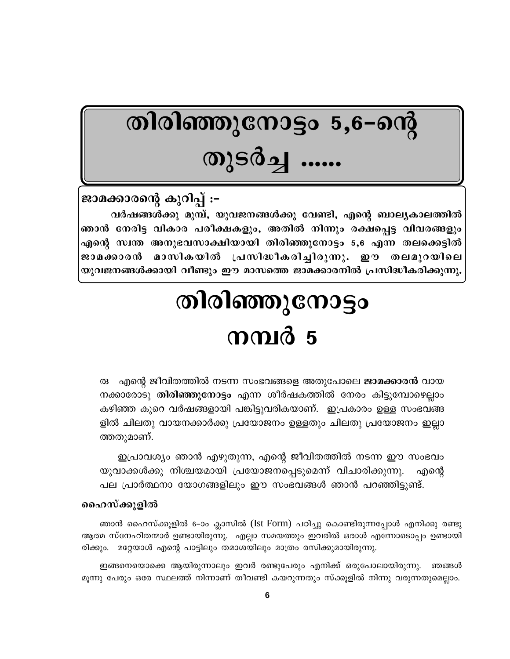# തിരിഞ്ഞുനോട്ടം 5,6–ന്റെ തുടർച്ച ......

ജാമക്കാരന്റെ കുറിപ്പ് :-വർഷങ്ങൾക്കു മുമ്പ്, യുവജനങ്ങൾക്കു വേണ്ടി, എന്റെ ബാല്യകാലത്തിൽ ഞാൻ നേരിട്ട വികാര പരീക്ഷകളും, അതിൽ നിന്നും രക്ഷപ്പെട്ട വിവരങ്ങളും എന്റെ സ്വന്ത അനുഭവസാക്ഷിയായി തിരിഞ്ഞുനോട്ടം 5,6 എന്ന തലക്കെട്ടിൽ മാസികയിൽ പ്രസിദ്ധീകരിച്ചിരുന്നു. ഈ തലമുറയിലെ ജാമക്കാരൻ യുവജനങ്ങൾക്കായി വീണ്ടും ഈ മാസത്തെ ജാമക്കാരനിൽ പ്രസിദ്ധീകരിക്കുന്നു.

# തിരിഞ്ഞുനോട്ടം നമ്പർ 5

എന്റെ ജീവിതത്തിൽ നടന്ന സംഭവങ്ങളെ അതുപോലെ **ജാമക്കാരൻ** വായ  $\circledR$ നക്കാരോടു തിരിഞ്ഞുനോട്ടം എന്ന ശീർഷകത്തിൽ നേരം കിട്ടുമ്പോഴെല്ലാം കഴിഞ്ഞ കുറെ വർഷങ്ങളായി പങ്കിട്ടുവരികയാണ്. ഇപ്രകാരം ഉള്ള സംഭവങ്ങ ളിൽ ചിലതു വായനക്കാർക്കു പ്രയോജനം ഉള്ളതും ചിലതു പ്രയോജനം ഇല്ലാ ത്തതുമാണ്.

ഇപ്രാവശ്യം ഞാൻ എഴുതുന്ന, എന്റെ ജീവിതത്തിൽ നടന്ന ഈ സംഭവം യുവാക്കൾക്കു നിശ്ചയമായി പ്രയോജനപ്പെടുമെന്ന് വിചാരിക്കുന്നു. എന്റെ പല പ്രാർത്ഥനാ യോഗങ്ങളിലും ഈ സംഭവങ്ങൾ ഞാൻ പറഞ്ഞിട്ടുണ്ട്.

#### ഹൈസ്ക്കുളിൽ

ഞാൻ ഹൈസ്ക്കൂളിൽ 6–ാം ക്ലാസിൽ (Ist Form) പഠിച്ചു കൊണ്ടിരുന്നപ്പോൾ എനിക്കു രണ്ടു ആത്മ സ്നേഹിതന്മാർ ഉണ്ടായിരുന്നു. എല്ലാ സമയത്തും ഇവരിൽ ഒരാൾ എന്നോടൊപ്പം ഉണ്ടായി രിക്കും. മറ്റേയാൾ എന്റെ പാട്ടിലും തമാശയിലും മാത്രം രസിക്കുമായിരുന്നു.

ഇങ്ങനെയൊക്കെ ആയിരുന്നാലും ഇവർ രണ്ടുപേരും എനിക്ക് ഒരുപോലായിരുന്നു. ഞങ്ങൾ മൂന്നു പേരും ഒരേ സ്ഥലത്ത് നിന്നാണ് തീവണ്ടി കയറുന്നതും സ്ക്കൂളിൽ നിന്നു വരുന്നതുമെല്ലാം.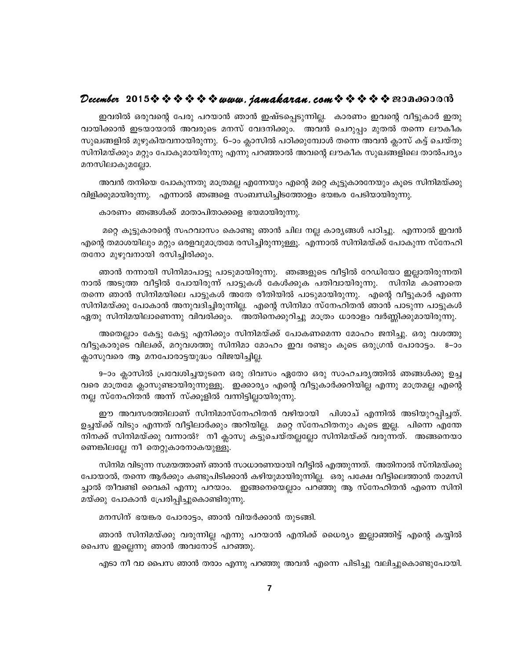#### December 2015  $\rightsquigarrow \rightsquigarrow \rightsquigarrow \rightsquigarrow$  www.jamakaran.com  $\rightsquigarrow \rightsquigarrow \rightsquigarrow \rightsquigarrow$  sepanopand

ഇവരിൽ ഒരുവന്റെ പേരു പറയാൻ ഞാൻ ഇഷ്ടപ്പെടുന്നില്ല. കാരണം ഇവന്റെ വീട്ടുകാർ ഇതു വായിക്കാൻ ഇടയായാൽ അവരുടെ മനസ് വേദനിക്കും. അവൻ ചെറുപ്പം മുതൽ തന്നെ ലൗകീക സുഖങ്ങളിൽ മുഴുകിയവനായിരുന്നു. 6–ാം ക്ലാസിൽ പഠിക്കുമ്പോൾ തന്നെ അവൻ ക്ലാസ് കട്ട് ചെയ്തു സിനിമയ്ക്കും മറ്റും പോകുമായിരുന്നു എന്നു പറഞ്ഞാൽ അവന്റെ ലൗകീക സുഖങ്ങളിലെ താൽപര്യം മനസിലാകുമല്ലോ.

അവൻ തനിയെ പോകുന്നതു മാത്രമല്ല എന്നേയും എന്റെ മറ്റെ കൂട്ടുകാരനേയും കൂടെ സിനിമയ്ക്കു വിളിക്കുമായിരുന്നു. എന്നാൽ ഞങ്ങളെ സംബന്ധിച്ചിടത്തോളം ഭയങ്കര പേടിയായിരുന്നു.

കാരണം ഞങ്ങൾക്ക് മാതാപിതാക്കളെ ഭയമായിരുന്നു.

മറ്റെ കൂട്ടുകാരന്റെ സഹവാസം കൊണ്ടു ഞാൻ ചില നല്ല കാര്യങ്ങൾ പഠിച്ചു. എന്നാൽ ഇവൻ എന്റെ തമാശയിലും മറ്റും ഒരളവുമാത്രമേ രസിച്ചിരുന്നുള്ളൂ. എന്നാൽ സിനിമയ്ക്ക് പോകുന്ന സ്നേഹി തനോ മുഴുവനായി രസിച്ചിരിക്കും.

ഞാൻ നന്നായി സിനിമാപാട്ടു പാടുമായിരുന്നു. ഞങ്ങളുടെ വീട്ടിൽ റേഡിയോ ഇല്ലാതിരുന്നതി നാൽ അടുത്ത വീട്ടിൽ പോയിരുന്ന് പാട്ടുകൾ കേൾക്കുക പതിവായിരുന്നു. സിനിമ കാണാതെ തന്നെ ഞാൻ സിനിമയിലെ പാട്ടുകൾ അതേ രീതിയിൽ പാടുമായിരുന്നു. എന്റെ വീട്ടുകാർ എന്നെ ്സിനിമയ്ക്കു പോകാൻ അനുവദിച്ചിരുന്നില്ല. എന്റെ സിനിമാ സ്നേഹിതൻ ഞാൻ പാടുന്ന പാട്ടുകൾ ഏതു സിനിമയിലാണെന്നു വിവരിക്കും. അതിനെക്കുറിച്ചു മാത്രം ധാരാളം വർണ്ണിക്കുമായിരുന്നു.

അതെല്ലാം കേട്ടു കേട്ടു എനിക്കും സിനിമയ്ക്ക് പോകണമെന്ന മോഹം ജനിച്ചു. ഒരു വശത്തു വീട്ടുകാരുടെ വിലക്ക്, മറുവശത്തു സിനിമാ മോഹം ഇവ രണ്ടും കൂടെ ഒരുഗ്രൻ പോരാട്ടം. 8-ാം ക്ലാസുവരെ ആ മനപോരാട്ടയുദ്ധം വിജയിച്ചില്ല.

9–ാം ക്ലാസിൽ പ്രവേശിച്ചയുടനെ ഒരു ദിവസം ഏതോ ഒരു സാഹചര്യത്തിൽ ഞങ്ങൾക്കു ഉച്ച വരെ മാത്രമേ ക്ലാസുണ്ടായിരുന്നുള്ളൂ. ഇക്കാര്യം എന്റെ വീട്ടുകാർക്കറിയില്ല എന്നു മാത്രമല്ല എന്റെ നല്ല സ്നേഹിതൻ അന്ന് സ്ക്കൂളിൽ വന്നിട്ടില്ലായിരുന്നു.

ഈ അവസരത്തിലാണ് സിനിമാസ്നേഹിതൻ വഴിയായി പിശാച് എന്നിൽ അടിയുറപ്പിച്ചത്. ഉച്ചയ്ക്ക് വിടും എന്നത് വീട്ടിലാർക്കും അറിയില്ല. മറ്റെ സ്നേഹിതനും കൂടെ ഇല്ല. പിന്നെ എന്തേ നിനക്ക് സിനിമയ്ക്കു വന്നാൽ? നീ ക്ലാസു കട്ടുചെയ്തല്ലല്ലോ സിനിമയ്ക്ക് വരുന്നത്. അങ്ങനെയാ ണെങ്കിലല്ലേ നീ തെറ്റുകാരനാകയുള്ളൂ.

സിനിമ വിടുന്ന സമയത്താണ് ഞാൻ സാധാരണയായി വീട്ടിൽ എത്തുന്നത്. അതിനാൽ സ്നിമയ്ക്കു പോയാൽ, തന്നെ ആർക്കും കണ്ടുപിടിക്കാൻ കഴിയുമായിരുന്നില്ല. ഒരു പക്ഷേ വീട്ടിലെത്താൻ താമസി ച്ചാൽ തീവണ്ടി വൈകി എന്നു പറയാം. ഇങ്ങനെയെല്ലാം പറഞ്ഞു ആ സ്നേഹിതൻ എന്നെ സിനി മയ്ക്കു പോകാൻ പ്രേരിപ്പിച്ചുകൊണ്ടിരുന്നു.

മനസിന് ഭയങ്കര പോരാട്ടം, ഞാൻ വിയർക്കാൻ തുടങ്ങി.

ഞാൻ സിനിമയ്ക്കു വരുന്നില്ല എന്നു പറയാൻ എനിക്ക് ധൈര്യം ഇല്ലാഞ്ഞിട്ട് എന്റെ കയ്യിൽ പൈസ ഇല്ലെന്നു ഞാൻ അവനോട് പറഞ്ഞു.

എടാ നീ വാ പൈസ ഞാൻ തരാം എന്നു പറഞ്ഞു അവൻ എന്നെ പിടിച്ചു വലിച്ചുകൊണ്ടുപോയി.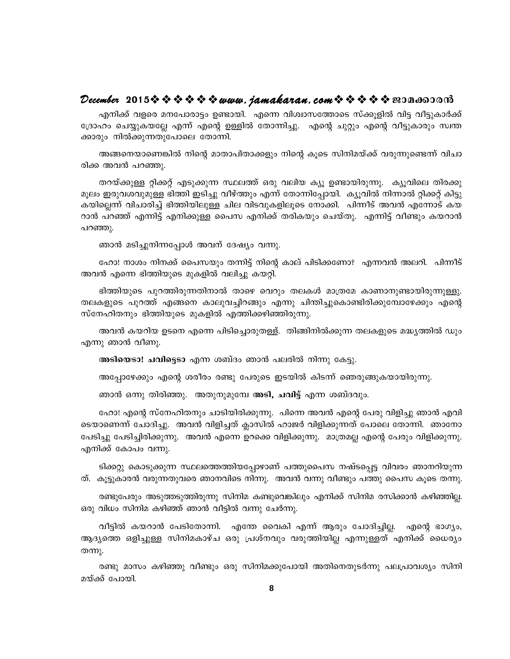#### December 2015※※※※※※www.*jamakaran.com*※※※※※e30a6530m3

എനിക്ക് വളരെ മനപോരാട്ടം ഉണ്ടായി. എന്നെ വിശ്വാസത്തോടെ സ്ക്കൂളിൽ വിട്ട വീട്ടുകാർക്ക് ദ്രോഹം ചെയ്യുകയല്ലേ എന്ന് എന്റെ ഉള്ളിൽ തോന്നിച്ചു. എന്റെ ചുറ്റും എന്റെ വീട്ടുകാരും സ്വന്ത ക്കാരും നിൽക്കുന്നതുപോലെ തോന്നി.

അങ്ങനെയാണെങ്കിൽ നിന്റെ മാതാപിതാക്കളും നിന്റെ കൂടെ സിനിമയ്ക്ക് വരുന്നുണ്ടെന്ന് വിചാ രിക്ക അവൻ പറഞ്ഞു.

തറയ്ക്കുള്ള റ്റിക്കറ്റ് എടുക്കുന്ന സ്ഥലത്ത് ഒരു വലിയ ക്യൂ ഉണ്ടായിരുന്നു. ക്യൂവിലെ തിരക്കു മൂലം ഇരുവശവുമുള്ള ഭിത്തി ഇടിച്ചു വീഴ്ത്തും എന്ന് തോന്നിപ്പോയി. ക്യൂവിൽ നിന്നാൽ റ്റിക്കറ്റ് കിട്ടു കയില്ലെന്ന് വിചാരിച്ച് ഭിത്തിയിലുള്ള ചില വിടവുകളിലൂടെ നോക്കി. പിന്നീട് അവൻ എന്നോട് കയ റാൻ പറഞ്ഞ് എന്നിട്ട് എനിക്കുള്ള പൈസ എനിക്ക് തരികയും ചെയ്തു. എന്നിട്ട് വീണ്ടും കയറാൻ പറഞ്ഞു.

ഞാൻ മടിച്ചുനിന്നപ്പോൾ അവന് ദേഷ്യം വന്നു.

ഹോ! നാശം നിനക്ക് പൈസയും തന്നിട്ട് നിന്റെ കാല് പിടിക്കണോ? എന്നവൻ അലറി. പിന്നീട് അവൻ എന്നെ ഭിത്തിയുടെ മുകളിൽ വലിച്ചു കയറ്റി.

ഭിത്തിയുടെ പുറത്തിരുന്നതിനാൽ താഴെ വെറും തലകൾ മാത്രമേ കാണാനുണ്ടായിരുന്നുള്ളു. തലകളുടെ പുറത്ത് എങ്ങനെ കാലുവച്ചിറങ്ങും എന്നു ചിന്തിച്ചുകൊണ്ടിരിക്കുമ്പോഴേക്കും എന്റെ സ്നേഹിതനും ഭിത്തിയുടെ മുകളിൽ എത്തിക്കഴിഞ്ഞിരുന്നു.

അവൻ കയറിയ ഉടനെ എന്നെ പിടിച്ചൊരുതള്ള്. തിങ്ങിനിൽക്കുന്ന തലകളുടെ മദ്ധ്യത്തിൽ ഡും എന്നു ഞാൻ വീണു.

അടിയെടാ! ചവിട്ടെടാ എന്ന ശബ്ദം ഞാൻ പലരിൽ നിന്നു കേട്ടു.

അപോഴേക്കും എന്റെ ശരീരം രണ്ടു പേരുടെ ഇടയിൽ കിടന്ന് ഞെരുങ്ങുകയായിരുന്നു.

ഞാൻ ഒന്നു തിരിഞ്ഞു. അതുനുമുമ്പേ **അടി, ചവിട്ട്** എന്ന ശബ്ദവും.

ഹോ! എന്റെ സ്നേഹിതനും ചാടിയിരിക്കുന്നു. പിന്നെ അവൻ എന്റെ പേരു വിളിച്ചു ഞാൻ എവി ടെയാണെന്ന് ചോദിച്ചു. അവൻ വിളിച്ചത് ക്ലാസിൽ ഹാജർ വിളിക്കുന്നത് പോലെ തോന്നി. ഞാനോ പേടിച്ചു പേടിച്ചിരിക്കുന്നു. അവൻ എന്നെ ഉറക്കെ വിളിക്കുന്നു. മാത്രമല്ല എന്റെ പേരും വിളിക്കുന്നു. എനിക്ക് കോപം വന്നു.

ടിക്കറ്റു കൊടുക്കുന്ന സ്ഥലത്തെത്തിയപ്പോഴാണ് പത്തുപൈസ നഷ്ടപ്പെട്ട വിവരം ഞാനറിയുന്ന ത്. കുട്ടുകാരൻ വരുന്നതുവരെ ഞാനവിടെ നിന്നു. അവൻ വന്നു വീണ്ടും പത്തു പൈസ കുടെ തന്നു.

രണ്ടുപേരും അടുത്തടുത്തിരുന്നു സിനിമ കണ്ടുവെങ്കിലും എനിക്ക് സിനിമ രസിക്കാൻ കഴിഞ്ഞില്ല. ഒരു വിധം സിനിമ കഴിഞ്ഞ് ഞാൻ വീട്ടിൽ വന്നു ചേർന്നു.

വീട്ടിൽ കയറാൻ പേടിതോന്നി. എന്തേ വൈകി എന്ന് ആരും ചോദിച്ചില്ല. എന്റെ ഭാഗ്യം, ആദ്യത്തെ ഒളിച്ചുള്ള സിനിമകാഴ്ച ഒരു പ്രശ്നവും വരുത്തിയില്ല എന്നുള്ളത് എനിക്ക് ധൈര്യം തന്നു.

രണ്ടു മാസം കഴിഞ്ഞു വീണ്ടും ഒരു സിനിമക്കുപോയി അതിനെതുടർന്നു പലപ്രാവശ്യം സിനി മയ്ക്ക് പോയി.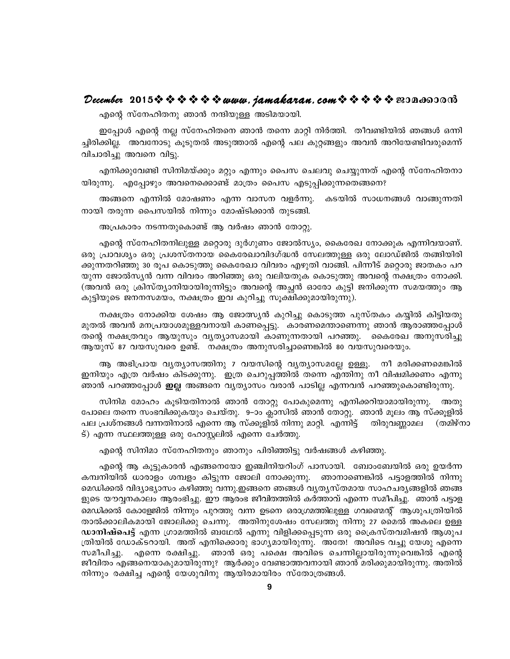#### December 2015  $\rightsquigarrow \rightsquigarrow \rightsquigarrow \rightsquigarrow$  www.jamakaran.com  $\rightsquigarrow \rightsquigarrow \rightsquigarrow \rightsquigarrow$  sepandorom

എന്റെ സ്നേഹിതനു ഞാൻ നന്ദിയുള്ള അടിമയായി.

ഇപ്പോൾ എന്റെ നല്ല സ്നേഹിതനെ ഞാൻ തന്നെ മാറ്റി നിർത്തി. തീവണ്ടിയിൽ ഞങ്ങൾ ഒന്നി ച്ചിരിക്കില്ല. അവനോടു കൂടുതൽ അടുത്താൽ എന്റെ പല കുറ്റങ്ങളും അവൻ അറിയേണ്ടിവരുമെന്ന് വിചാരിച്ചു അവനെ വിട്ടു.

എനിക്കുവേണ്ടി സിനിമയ്ക്കും മറ്റും എന്നും പൈസ ചെലവു ചെയ്യുന്നത് എന്റെ സ്നേഹിതനാ യിരുന്നു. എപ്പോഴും അവനെക്കൊണ്ട് മാത്രം പൈസ എടുപ്പിക്കുന്നതെങ്ങനെ?

അങ്ങനെ എന്നിൽ മോഷണം എന്ന വാസന വളർന്നു. കടയിൽ സാധനങ്ങൾ വാങ്ങുന്നതി നായി തരുന്ന പൈസയിൽ നിന്നും മോഷ്ടിക്കാൻ തുടങ്ങി.

അപ്രകാരം നടന്നതുകൊണ്ട് ആ വർഷം ഞാൻ തോറ്റു.

എന്റെ സ്നേഹിതനിലുള്ള മറ്റൊരു ദുർഗുണം ജോൽസ്യം, കൈരേഖ നോക്കുക എന്നിവയാണ്. ഒരു പ്രാവശ്യം ഒരു പ്രശസ്തനായ കൈരേഖാവിദഗ്ദ്ധൻ സേലത്തുള്ള ഒരു ലോഡ്ജിൽ തങ്ങിയിരി ക്കുന്നതറിഞ്ഞു 30 രൂപ കൊടുത്തു കൈരേഖാ വിവരം എഴുതി വാങ്ങി. പിന്നീട് മറ്റൊരു ജാതകം പറ യുന്ന ജോൽസ്യൻ വന്ന വിവരം അറിഞ്ഞു ഒരു വലിയതുക കൊടുത്തു അവന്റെ നക്ഷത്രം നോക്കി. (അവൻ ഒരു ക്രിസ്ത്യാനിയായിരുന്നിട്ടും അവന്റെ അച്ചൻ ഓരോ കുട്ടി ജനിക്കുന്ന സമയത്തും ആ കുട്ടിയുടെ ജനനസമയം, നക്ഷത്രം ഇവ കുറിച്ചു സൂക്ഷിക്കുമായിരുന്നു).

നക്ഷത്രം നോക്കിയ ശേഷം ആ ജോത്സ്യൻ കുറിച്ചു കൊടുത്ത പുസ്തകം കയ്യിൽ കിട്ടിയതു മുതൽ അവൻ മനപ്രയാശമുള്ളവനായി കാണപ്പെട്ടു. കാരണമെന്താണെന്നു ഞാൻ ആരാഞ്ഞപ്പോൾ തന്റെ നക്ഷത്രവും ആയുസും വ്യത്യാസമായി കാണുന്നതായി പറഞ്ഞു. കൈരേഖ അനുസരിച്ചു ആയുസ് 87 വയസുവരെ ഉണ്ട്. നക്ഷത്രം അനുസരിച്ചാണെങ്കിൽ 80 വയസുവരെയും.

ആ അഭിപ്രായ വൃത്യാസത്തിനു 7 വയസിന്റെ വൃത്യാസമല്ലേ ഉള്ളൂ. നീ മരിക്കണമെങ്കിൽ ഇനിയും എത്ര വർഷം കിടക്കുന്നു. ഇത്ര ചെറുപ്പത്തിൽ തന്നെ എന്തിനു നീ വിഷമിക്കണം എന്നു ഞാൻ പറഞ്ഞപ്പോൾ **ഇല്ല** അങ്ങനെ വ്യത്യാസം വരാൻ പാടില്ല എന്നവൻ പറഞ്ഞുകൊണ്ടിരുന്നു.

സിനിമ മോഹം കൂടിയതിനാൽ ഞാൻ തോറ്റു പോകുമെന്നു എനിക്കറിയാമായിരുന്നു. അതു പോലെ തന്നെ സംഭവിക്കുകയും ചെയ്തു. 9–ാം ക്ലാസിൽ ഞാൻ തോറ്റു. ഞാൻ മുലം ആ സ്ക്കുളിൽ പല പ്രശ്നങ്ങൾ വന്നതിനാൽ എന്നെ ആ സ്ക്കൂളിൽ നിന്നു മാറ്റി. എന്നിട്ട് ' തിരുവണ്ണാമല' (തമിഴ്നാ ട്) എന്ന സ്ഥലത്തുള്ള ഒരു ഹോസ്റ്റലിൽ എന്നെ ചേർത്തു.

എന്റെ സിനിമാ സ്നേഹിതനും ഞാനും പിരിഞ്ഞിട്ടു വർഷങ്ങൾ കഴിഞ്ഞു.

എന്റെ ആ കൂട്ടുകാരൻ എങ്ങനെയോ ഇഞ്ചിനിയറിംഗ് പാസായി. ബോംബേയിൽ ഒരു ഉയർന്ന കമ്പനിയിൽ ധാരാളം ശമ്പളം കിട്ടുന്ന ജോലി നോക്കുന്നു. ഞാനാണെങ്കിൽ പട്ടാളത്തിൽ നിന്നു മെഡിക്കൽ വിദ്യാഭ്യാസം കഴിഞ്ഞു വന്നു.ഇങ്ങനെ ഞങ്ങൾ വൃതൃസ്തമായ സാഹചരൃങ്ങളിൽ ഞങ്ങ ളുടെ യൗവ്വനകാലം ആരംഭിച്ചു. ഈ ആരംഭ ജീവിതത്തിൽ കർത്താവ് എന്നെ സമീപിച്ചു. ഞാൻ പട്ടാള മെഡിക്കൽ കോളേജിൽ നിന്നും പുറത്തു വന്ന ഉടനെ ഒരാഗ്രമത്തിലുള്ള ഗവണ്മെന്റ് ആശുപത്രിയിൽ താൽക്കാലികമായി ജോലിക്കു ചെന്നു. അതിനുശേഷം സേലത്തു നിന്നു 27 മൈൽ അകലെ ഉള്ള ഡാനിഷ്പെട്ട് എന്ന ഗ്രാമത്തിൽ ബഥേൽ എന്നു വിളിക്കപ്പെടുന്ന ഒരു ക്രൈസ്തവമിഷൻ ആശുപ ത്രിയിൽ ഡോക്ടറായി. അത് എനിക്കൊരു ഭാഗൃമായിരുന്നു. അതേ! അവിടെ വച്ചു യേശു എന്നെ .എന്നെ രക്ഷിച്ചു. ഞാൻ ഒരു പക്ഷെ അവിടെ ചെന്നില്ലായിരുന്നുവെങ്കിൽ .എന്റെ സമീപിച്ചു. ജീവിതം എങ്ങനെയാകുമായിരുന്നു? ആർക്കും വേണ്ടാത്തവനായി ഞാൻ മരിക്കുമായിരുന്നു. അതിൽ നിന്നും രക്ഷിച്ച എന്റെ യേശുവിനു ആയിരമായിരം സ്തോത്രങ്ങൾ.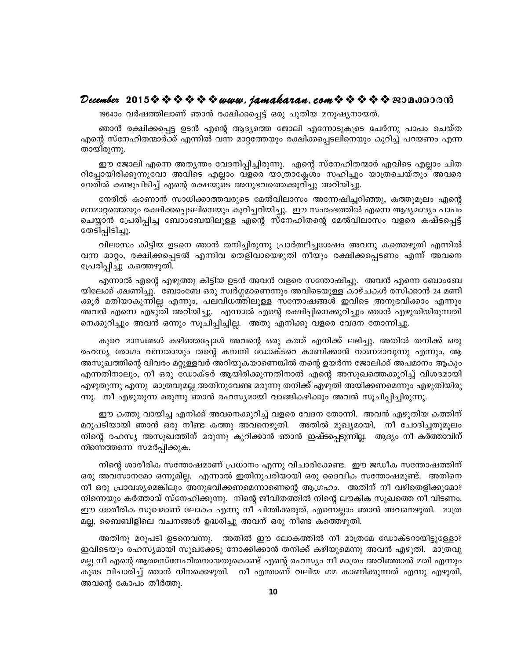#### December 2015  $\rightsquigarrow \rightsquigarrow \rightsquigarrow \rightsquigarrow$  www.jamakaran.com  $\rightsquigarrow \rightsquigarrow \rightsquigarrow \rightsquigarrow$  sepandorom

1964ാം വർഷത്തിലാണ് ഞാൻ രക്ഷിക്കപ്പെട്ട് ഒരു പുതിയ മനുഷ്യനായത്.

ഞാൻ രക്ഷിക്കപ്പെട്ട ഉടൻ എന്റെ ആദ്യത്തെ ജോലി എന്നോടുകൂടെ ചേർന്നു പാപം ചെയ്ത എന്റെ സ്നേഹിതന്മാർക്ക് എന്നിൽ വന്ന മാറ്റത്തേയും രക്ഷിക്കപ്പെടലിനെയും കുറിച്ച് പറയണം എന്ന തായിരുന്നു.

ഈ ജോലി എന്നെ അത്യന്തം വേദനിപ്പിച്ചിരുന്നു. എന്റെ സ്നേഹിതന്മാർ എവിടെ എല്ലാം ചിത റിപ്പോയിരിക്കുന്നുവോ അവിടെ എല്ലാം വളരെ യാത്രാക്ലേശം സഹിച്ചും യാത്രചെയ്തും അവരെ നേരിൽ കണ്ടുപിടിച്ച് എന്റെ രക്ഷയുടെ അനുഭവത്തെക്കുറിച്ചു അറിയിച്ചു.

നേരിൽ കാണാൻ സാധിക്കാത്തവരുടെ മേൽവിലാസം അന്നേഷിച്ചറിഞ്ഞു, കത്തുമൂലം എന്റെ മനമാറ്റത്തെയും രക്ഷിക്കപ്പെടലിനെയും കുറിച്ചറിയിച്ചു. ഇൗ സംരംഭത്തിൽ എന്നെ ആദ്യമാദ്യം പാപം ചെയ്യാൻ പ്രേരിപ്പിച്ച ബോംബേയിലുള്ള എന്റെ സ്നേഹിതന്റെ മേൽവിലാസം വളരെ കഷ്ടപ്പെട്ട് തേടിപ്പിടിച്ചു.

വിലാസം കിട്ടിയ ഉടനെ ഞാൻ തനിച്ചിരുന്നു പ്രാർത്ഥിച്ചശേഷം അവനു കത്തെഴുതി എന്നിൽ വന്ന മാറ്റം, രക്ഷിക്കപ്പെടൽ എന്നിവ തെളിവായെഴുതി നീയും രക്ഷിക്കപ്പെടണം എന്ന് അവനെ പ്രേരിപ്പിച്ചു കത്തെഴുതി.

എന്നാൽ എന്റെ എഴുത്തു കിട്ടിയ ഉടൻ അവൻ വളരെ സന്തോഷിച്ചു. അവൻ എന്നെ ബോംബേ യിലേക്ക് ക്ഷണിച്ചു. ബോംബേ ഒരു സ്വർഗ്ഗമാണെന്നും അവിടെയുള്ള കാഴ്ചകൾ രസിക്കാൻ 24 മണി ക്കൂർ മതിയാകുന്നില്ല എന്നും, പലവിധത്തിലുള്ള സന്തോഷങ്ങൾ ഇവിടെ അനുഭവിക്കാം എന്നും അവൻ എന്നെ എഴുതി അറിയിച്ചു. എന്നാൽ എന്റെ രക്ഷിപ്പിനെക്കുറിച്ചും ഞാൻ എഴുതിയിരുന്നതി നെക്കുറിച്ചും അവൻ ഒന്നും സൂചിപ്പിച്ചില്ല. അതു എനിക്കു വളരെ വേദന തോന്നിച്ചു.

കുറെ മാസങ്ങൾ കഴിഞ്ഞപ്പോൾ അവന്റെ ഒരു കത്ത് എനിക്ക് ലഭിച്ചു. അതിൽ തനിക്ക് ഒരു രഹസ്യ രോഗം വന്നതായും തന്റെ കമ്പനി ഡോക്ടറെ കാണിക്കാൻ നാണമാവുന്നു എന്നും, ആ അസുഖത്തിന്റെ വിവരം മറ്റുള്ളവർ അറിയുകയാണെങ്കിൽ തന്റെ ഉയർന്ന ജോലിക്ക് അപമാനം ആകും .എന്നതിനാലും, നീ ഒരു ഡോക്ടർ ആയിരിക്കുന്നതിനാൽ എന്റെ അസുഖത്തെക്കുറിച്ച് വിശദമായി എഴുതുന്നു എന്നു മാത്രവുമല്ല അതിനുവേണ്ട മരുന്നു തനിക്ക് എഴുതി അയിക്കണമെന്നും എഴുതിയിരു ന്നു. ' നീ എഴുതുന്ന മരുന്നു ഞാൻ രഹസ്യമായി വാങ്ങികഴിക്കും അവൻ സൂചിപ്പിച്ചിരുന്നു.

ഈ കത്തു വായിച്ച എനിക്ക് അവനെക്കുറിച്ച് വളരെ വേദന തോന്നി. അവൻ എഴുതിയ കത്തിന് മറുപടിയായി ഞാൻ ഒരു നീണ്ട കത്തു അവനെഴുതി. അതിൽ മുഖ്യമായി, നീ ചോദിച്ചതുമൂലം നിന്റെ രഹസ്യ അസുഖത്തിന് മരുന്നു കുറിക്കാൻ ഞാൻ ഇഷ്ടപ്പെടുന്നില്ല. ആദ്യം നീ കർത്താവിന് നിന്നെത്തന്നെ സമർപ്പിക്കുക.

നിന്റെ ശാരീരിക സന്തോഷമാണ് പ്രധാനം എന്നു വിചാരിക്കേണ്ട. ഈ ജഡീക സന്തോഷത്തിന് ഒരു അവസാനമോ ഒന്നുമില്ല. എന്നാൽ ഇതിനുപരിയായി ഒരു ദൈവീക സന്തോഷമുണ്ട്. അതിനെ . നീ ഒരു പ്രാവശ്യമെങ്കിലും അനുഭവിക്കണമെന്നാണെന്റെ ആഗ്രഹം. അതിന് നീ വഴിതെളിക്കുമോ? നിന്നെയും കർത്താവ് സ്നേഹിക്കുന്നു. നിന്റെ ജീവിതത്തിൽ നിന്റെ ലൗകിക സുഖത്തെ നീ വിടണം. ഈ ശാരീരിക സുഖമാണ് ലോകം എന്നു നീ ചിന്തിക്കരുത്, എന്നെല്ലാം ഞാൻ അവനെഴുതി. മാത്ര മല്ല, ബൈബിളിലെ വചനങ്ങൾ ഉദ്ധരിച്ചു അവന് ഒരു നീണ്ട കത്തെഴുതി.

അതിനു മറുപടി ഉടനെവന്നു. അതിൽ ഈ ലോകത്തിൽ നീ മാത്രമേ ഡോക്ടറായിട്ടുള്ളോ? ഇവിടെയും രഹസ്യമായി സുഖക്കേടു നോക്കിക്കാൻ തനിക്ക് കഴിയുമെന്നു അവൻ എഴുതി. മാത്രവു മല്ല നീ എന്റെ ആത്മസ്നേഹിതനായതുകൊണ്ട് എന്റെ രഹസ്യം നീ മാത്രം അറിഞ്ഞാൽ മതി എന്നും കൂടെ വിചാരിച്ച് ഞാൻ നിനക്കെഴുതി. നീ എന്താണ് വലിയ ഗമ കാണിക്കുന്നത് എന്നു എഴുതി, അവന്റെ കോപം തീർത്തു.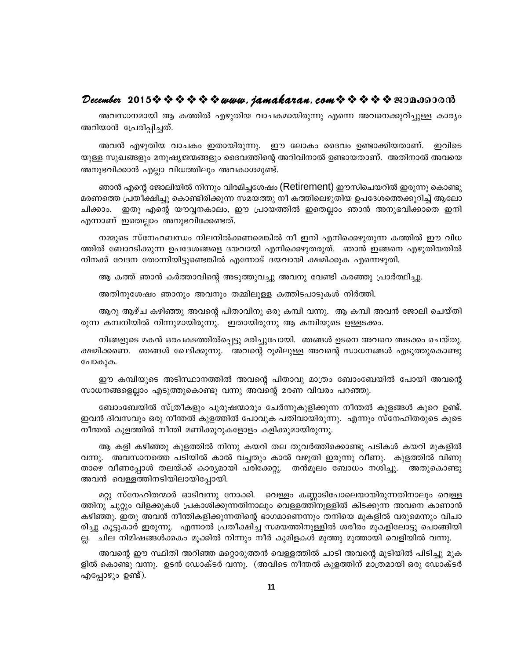#### December 2015  $\rightsquigarrow \rightsquigarrow \rightsquigarrow \rightsquigarrow$  www.jamakaran.com  $\rightsquigarrow \rightsquigarrow \rightsquigarrow \rightsquigarrow$  sepandorm

അവസാനമായി ആ കത്തിൽ എഴുതിയ വാചകമായിരുന്നു എന്നെ അവനെക്കുറിച്ചുള്ള കാര്യം അറിയാൻ പ്രേരിപ്പിച്ചത്.

അവൻ എഴുതിയ വാചകം ഇതായിരുന്നു. ഈ ലോകം ദൈവം ഉണ്ടാക്കിയതാണ്. ഇവിടെ യുള്ള സുഖങ്ങളും മനുഷ്യജന്മങ്ങളും ദൈവത്തിന്റെ അറിവിനാൽ ഉണ്ടായതാണ്. അതിനാൽ അവയെ അനുഭവിക്കാൻ എല്ലാ വിധത്തിലും അവകാശമുണ്ട്.

ഞാൻ എന്റെ ജോലിയിൽ നിന്നും വിരമിച്ചശേഷം (Retirement) ഈസിചെയറിൽ ഇരുന്നു കൊണ്ടു മരണത്തെ പ്രതീക്ഷിച്ചു കൊണ്ടിരിക്കുന്ന സമയത്തു നീ കത്തിലെഴുതിയ ഉപദേശത്തെക്കുറിച്ച് ആലോ ഇതു എന്റെ യൗവ്വനകാലം, ഈ പ്രായത്തിൽ ഇതെല്ലാം ഞാൻ അനുഭവിക്കാതെ ഇനി ചിക്കാം. എന്നാണ് ഇതെല്ലാം അനുഭവിക്കേണ്ടത്.

നമ്മുടെ സ്നേഹബന്ധം നിലനിൽക്കണമെങ്കിൽ നീ ഇനി എനിക്കെഴുതുന്ന കത്തിൽ ഈ വിധ ത്തിൽ ബോറടിക്കുന്ന ഉപദേശങ്ങളെ ദയവായി എനിക്കെഴുതരുത്. ഞാൻ ഇങ്ങനെ എഴുതിയതിൽ നിനക്ക് വേദന തോന്നിയിട്ടുണ്ടെങ്കിൽ എന്നോട് ദയവായി ക്ഷമിക്കുക എന്നെഴുതി.

ആ കത്ത് ഞാൻ കർത്താവിന്റെ അടുത്തുവച്ചു അവനു വേണ്ടി കരഞ്ഞു പ്രാർത്ഥിച്ചു.

അതിനുശേഷം ഞാനും അവനും തമ്മിലുള്ള കത്തിടപാടുകൾ നിർത്തി.

ആറു ആഴ്ച കഴിഞ്ഞു അവന്റെ പിതാവിനു ഒരു കമ്പി വന്നു. ആ കമ്പി അവൻ ജോലി ചെയ്തി രുന്ന കമ്പനിയിൽ നിന്നുമായിരുന്നു. ഇതായിരുന്നു ആ കമ്പിയുടെ ഉള്ളടക്കം.

നിങ്ങളുടെ മകൻ ഒരപകടത്തിൽപ്പെട്ടു മരിച്ചുപോയി. ഞങ്ങൾ ഉടനെ അവനെ അടക്കം ചെയ്തു. ക്ഷമിക്കണെ. ഞങ്ങൾ ഖേദിക്കുന്നു. അവന്റെ റൂമിലുള്ള അവന്റെ സാധനങ്ങൾ എടുത്തുകൊണ്ടു പോകുക.

ഈ കമ്പിയുടെ അടിസ്ഥാനത്തിൽ അവന്റെ പിതാവു മാത്രം ബോംബേയിൽ പോയി അവന്റെ സാധനങ്ങളെല്ലാം എടുത്തുകൊണ്ടു വന്നു അവന്റെ മരണ വിവരം പറഞ്ഞു.

ബോംബേയിൽ സ്ത്രീകളും പുരുഷന്മാരും ചേർന്നുകുളിക്കുന്ന നീന്തൽ കുളങ്ങൾ കുറെ ഉണ്ട്. . ഇവൻ ദിവസവും ഒരു നീന്തൽ കുളത്തിൽ പോവുക പതിവായിരുന്നു. എന്നും സ്നേഹിതരുടെ കൂടെ നീന്തൽ കുളത്തിൽ നീന്തി മണിക്കൂറുകളോളം കളിക്കുമായിരുന്നു.

ആ കളി കഴിഞ്ഞു കുളത്തിൽ നിന്നു കയറി തല തുവർത്തിക്കൊണ്ടു പടികൾ കയറി മുകളിൽ വന്നു. അവസാനത്തെ പടിയിൽ കാൽ വച്ചതും കാൽ വഴുതി ഇരുന്നു വീണു. കുളത്തിൽ വിണു താഴെ വീണപ്പോൾ തലയ്ക്ക് കാര്യമായി പരിക്കേറ്റു. തൻമൂലം ബോധം നശിച്ചു. അതുകൊണ്ടു അവൻ വെള്ളത്തിനടിയിലായിപ്പോയി.

മറ്റു സ്നേഹിതന്മാർ ഓടിവന്നു നോക്കി. വെള്ളം കണ്ണാടിപോലെയായിരുന്നതിനാലും വെള്ള ത്തിനു ചുറ്റും വിളക്കുകൾ പ്രകാശിക്കുന്നതിനാലും വെള്ളത്തിനൂള്ളിൽ കിടക്കുന്ന അവനെ കാണാൻ കഴിഞ്ഞു. ഇതു അവൻ നീന്തികളിക്കുന്നതിന്റെ ഭാഗമാണെന്നും തനിയെ മുകളിൽ വരുമെന്നും വിചാ രിച്ചു കൂട്ടുകാർ ഇരുന്നു. എന്നാൽ പ്രതീക്ഷിച്ച സമയത്തിനുള്ളിൽ ശരീരം മുകളിലോട്ടു പൊങ്ങിയി ല്ല. ചില നിമിഷങ്ങൾക്കകം മൂക്കിൽ നിന്നും നീർ കുമിളകൾ മുത്തു മുത്തായി വെളിയിൽ വന്നു.

അവന്റെ ഈ സ്ഥിതി അറിഞ്ഞ മറ്റൊരുത്തൻ വെള്ളത്തിൽ ചാടി അവന്റെ മുടിയിൽ പിടിച്ചു മുക ളിൽ കൊണ്ടു വന്നു. ഉടൻ ഡോക്ടർ വന്നു. (അവിടെ നീന്തൽ കുളത്തിന് മാത്രമായി ഒരു ഡോക്ടർ എപ്പോഴും ഉണ്ട്).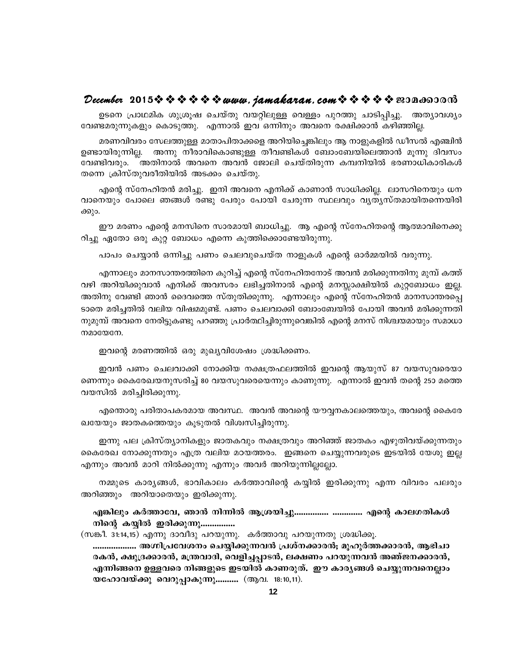#### December 2015  $\rightsquigarrow \rightsquigarrow \rightsquigarrow \rightsquigarrow$  www.jamakaran.com  $\rightsquigarrow \rightsquigarrow \rightsquigarrow \rightsquigarrow$  sepandorom

ഉടനെ പ്രാഥമിക ശുശ്രുഷ ചെയ്തു വയറ്റിലുള്ള വെള്ളം പുറത്തു ചാടിപ്പിച്ചു. അത്യാവശ്യം വേണ്ടമരുന്നുകളും കൊടുത്തു. എന്നാൽ ഇവ ഒന്നിനും അവനെ രക്ഷിക്കാൻ കഴിഞ്ഞില്ല.

മരണവിവരം സേലത്തുള്ള മാതാപിതാക്കളെ അറിയിച്ചെങ്കിലും ആ നാളുകളിൽ ഡീസൽ എഞ്ചിൻ ഉണ്ടായിരുന്നില്ല. അന്നു നീരാവികൊണ്ടുള്ള തീവണ്ടികൾ ബോംബേയിലെത്താൻ മൂന്നു ദിവസം വേണ്ടിവരും. അതിനാൽ അവനെ അവൻ ജോലി ചെയ്തിരുന്ന കമ്പനിയിൽ ഭരണാധികാരികൾ തന്നെ ക്രിസ്തുവരീതിയിൽ അടക്കം ചെയ്തു.

എന്റെ സ്നേഹിതൻ മരിച്ചു. ഇനി അവനെ എനിക്ക് കാണാൻ സാധിക്കില്ല. ലാസറിനെയും ധന വാനെയും പോലെ ഞങ്ങൾ രണ്ടു പേരും പോയി ചേരുന്ന സ്ഥലവും വൃത്യസ്തമായിതന്നെയിരി ക്കും.

ഈ മരണം എന്റെ മനസിനെ സാരമായി ബാധിച്ചു. ആ എന്റെ സ്നേഹിതന്റെ ആത്മാവിനെക്കു റിച്ചു ഏതോ ഒരു കുറ്റ ബോധം എന്നെ കുത്തിക്കൊണ്ടേയിരുന്നു.

പാപം ചെയ്യാൻ ഒന്നിച്ചു പണം ചെലവുചെയ്ത നാളുകൾ എന്റെ ഓർമ്മയിൽ വരുന്നു.

എന്നാലും മാനസാന്തരത്തിനെ കുറിച്ച് എന്റെ സ്നേഹിതനോട് അവൻ മരിക്കുന്നതിനു മുമ്പ് കത്ത് വഴി അറിയിക്കുവാൻ എനിക്ക് അവസരം ലഭിച്ചതിനാൽ എന്റെ മനസ്സാക്ഷിയിൽ കുറ്റബോധം ഇല്ല. അതിനു വേണ്ടി ഞാൻ ദൈവത്തെ സ്തുതിക്കുന്നു. എന്നാലും എന്റെ സ്നേഹിതൻ മാനസാന്തരപ്പെ ടാതെ മരിച്ചതിൽ വലിയ വിഷമമുണ്ട്. പണം ചെലവാക്കി ബോംബേയിൽ പോയി അവൻ മരിക്കുന്നതി നുമുമ്പ് അവനെ നേരിട്ടുകണ്ടു പറഞ്ഞു പ്രാർത്ഥിച്ചിരുന്നുവെങ്കിൽ എന്റെ മനസ് നിശ്ചയമായും സമാധാ  $m$ മായേനേ.

ഇവന്റെ മരണത്തിൽ ഒരു മുഖ്യവിശേഷം ശ്രദ്ധിക്കണം.

ഇവൻ പണം ചെലവാക്കി നോക്കിയ നക്ഷത്രഫലത്തിൽ ഇവന്റെ ആയുസ് 87 വയസുവരെയാ ണെന്നും കൈരേഖയനുസരിച്ച് 80 വയസുവരെയെന്നും കാണുന്നു. എന്നാൽ ഇവൻ തന്റെ 250 മത്തെ വയസിൽ മരിച്ചിരിക്കുന്നു.

എന്തൊരു പരിതാപകരമായ അവസ്ഥ. അവൻ അവന്റെ യൗവ്വനകാലത്തെയും, അവന്റെ കൈരേ ഖയേയും ജാതകത്തെയും കൂടുതൽ വിശ്വസിച്ചിരുന്നു.

ഇന്നു പല ക്രിസ്ത്യാനികളും ജാതകവും നക്ഷത്രവും അറിഞ്ഞ് ജാതകം എഴുതിവയ്ക്കുന്നതും കൈരേഖ നോക്കുന്നതും എത്ര വലിയ മഠയത്തരം. ഇങ്ങനെ ചെയ്യുന്നവരുടെ ഇടയിൽ യേശു ഇല്ല എന്നും അവൻ മാറി നിൽക്കുന്നു എന്നും അവർ അറിയുന്നില്ലല്ലോ.

നമ്മുടെ കാര്യങ്ങൾ, ഭാവികാലം കർത്താവിന്റെ കയ്യിൽ ഇരിക്കുന്നു എന്ന വിവരം പലരും അറിഞ്ഞും അറിയാതെയും ഇരിക്കുന്നു.

എങ്കിലും കർത്താവേ, ഞാൻ നിന്നിൽ ആശ്രയിച്ചു................ ............. എന്റെ കാലഗതികൾ നിന്റെ കയ്യിൽ ഇരിക്കുന്നു...............

(സങ്കീ. 31:14,15) എന്നു ദാവീദു പറയുന്നു. കർത്താവു പറയുന്നതു ശ്രദ്ധിക്കൂ.

................... അഗ്നിപ്രവേശനം ചെയ്യിക്കുന്നവൻ പ്രശ്നക്കാരൻ, മുഹൂർത്തക്കാരൻ, ആഭിചാ രകൻ, ക്ഷുദ്രക്കാരൻ, മന്ത്രവാദി, വെളിച്ചപ്പാടൻ, ലക്ഷണം പറയുന്നവൻ അഞ്ജനക്കാരൻ, എന്നിങ്ങനെ ഉള്ളവരെ നിങ്ങളുടെ ഇടയിൽ കാണരുത്. ഈ കാര്യങ്ങൾ ചെയ്യുന്നവനെല്ലാം യഹോവയ്ക്കു വെറുപ്പാകുന്നു.......... (ആവ. 18:10,11).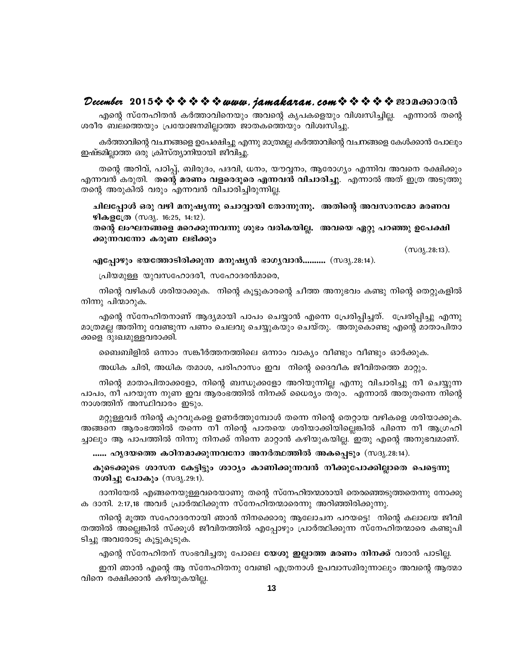#### $\bm{\mathcal{D}}$ ecember 2015なななななな*なwww.jamakaran.comななかなきな*の?na600m3

Fsâ kvt\ln-X³ IÀ¯m-hn-s\bpw Ahsâ Ir] -I-sfbpw hniz -kn-¨n-Ã. F¶m Xsâ icoc \_e-s¯bpw {]tbm-P-\-an-Ãm¯ PmX -I-s¯bpw hniz -kn-¨p.

കർത്താവിന്റെ വചനങ്ങളെ ഉപേക്ഷിച്ചു എന്നു മാത്രമല്ല കർത്താവിന്റെ വചനങ്ങളെ കേൾക്കാൻ പോലും ഇഷ്ടമില്ലാത്ത ഒരു ക്രിസ്ത്യാനിയായി ജീവിച്ചു.

എക്കു സന്നേവക്കെ കര്ക്കാവിനെയും രാവക്കു കൂപകളെയും വിശസിച്ചു.<br>ര ബലത്തെയും പ്രയോജനമില്ലാത്ത ജാതകത്തെയും വിശ്വസിച്ചു.<br>കർത്താവിന്റെ വചനങ്ങളെ ഉപേക്ഷിച്ചു എന്നു മാത്രമല്ല കർത്താവിന്റെ വചനങ്ങളെ കേൾക്കാൻ പോലും<br>ടമില്ലാത്ത ഒരു ക്രി കർത്താവിന്റെ വചനങ്ങളെ ഉപേക്ഷിച്ചു എന്നു മാത്രമല്ല കർത്താവിന്റെ വചനങ്ങളെ കേൾക്കാൻ പോലും<br>ഇഷ്ടമില്ലാത്ത ഒരു ക്രിസ്ത്യാനിയായി ജീവിച്ചു.<br>സാന്റെ അറിവ്, പഠിപ്പ്, ബിരുദം, പദവി, ധനം, യൗവ്വനം, ആരോഗ്യം എന്നിവ അവനെ രക്ഷിക്കും<br>എന്നവൻ തന്റെ അറിവ്, പഠിപ്പ്, ബിരുദം, പദവി, ധനം, യൗവ്വനം, ആരോഗ്യം എന്നിവ അവനെ രക്ഷിക്കും<br>എന്നവൻ കരുതി. തന്റെ മരണം വളരെദൂരെ എന്നവൻ വിചാരിച്ചു. എന്നാൽ അത് ഇത്ര അടുത്തു<br>തന്റെ അരുകിൽ വരും എന്നവൻ വിചാരിച്ചിരുന്നില്ല.<br>ചിലപ്പോൾ ഒരു വഴ ക്കപ്ലംക്ക് കു<sub>ള്</sub>ക്കാകും കൊട്ടം. കൊച്ചു.<br>തന്റെ അറിവ്, പഠിപ്പ്, ബിരുദം, പദവി, ധനം, യൗവ്വനം, ആരോഗ്യം എന്നിവ അവനെ രക്ഷിക്കും<br>നവൻ കരുതി. തന്റെ മരണം വളരെദുരെ എന്നവൻ വിചാരിച്ചു. എന്നാൽ അത് ഇത്ര അടുത്തു<br>ന്റെ അരുകിൽ വരും എന്നവ തന്റെ അരുകിൽ വരും എന്നവൻ വിചാരിച്ചിരുന്നില്ല. നവൻ കരുതി. തന്റെ മരണം വളരെദൂരെ എന്നവൻ വിചാരിച്ചു. എന്നാൽ അത് ഇത്ര അടുത്തു<br>റർ്റ് അരുകിൽ വരും എന്നവൻ വിചാരിച്ചിരുന്നില്ല.<br>ചിലപ്പോൾ ഒരു വഴി മനുഷ്യന്നു ചൊവ്വായി തോന്നുന്നു. അതിന്റെ അവസാനമോ മരണവ<br>ഴികളത്രേ (സദ്യ. 16:25, 14:12).<br>

ക്കുന്നവന്നോ കരുണ ലഭിക്കും ഭമാ മരണവ<br>മു ഉപേക്ഷി<br>(സദൃ.28:13). <u>Firs പ്പാര്യം കുറ്റ് 231 മനുഷുന്നു കൊട്ടുകേ തോന്നുന്നു. അത്മര് അമേരാതാമേ മ</u><br>ഴികളത്രേ (സദ്യ. 16:25, 14:12).<br>തന്റെ ലാഘനങ്ങളെ മറെക്കുന്നവന്നു ശുഭം വരികയില്ല. അവയെ ഏറ്റു പറഞ്ഞു ഉത്രോണവനോ കരുണ ലഭിക്കും<br>എപ്പോഴും ഭയത്തോടിരിക്കു ന്റെ ലംഘനങ്ങളെ മറെക്കുന്നവന്നു ശുഭം വരികയില്ല. അ<br>ച്ലെന്നവന്നോ കരുണ ലഭിക്കും<br>മുപ്പോഴും ഭയത്തോടിരിക്കുന്ന മനുഷ്യൻ ഭാഗ്യവാൻ..........<br>പ്രിയമുള്ള യുവസഹോദരീ, സഹോദരൻമാരെ,<br>നിന്റെ വഴികൾ ശരിയാക്കുക. നിന്റെ കൂട്ടുകാരന്റെ ചീത്ത ര<br>

്യുന്നവനോ കരുണ ലഭക്കും<br>മുപ്പോഴും ഭയത്തോടിരിക്കുന്ന മനുഷ്യൻ ഭാഗ്യവാൻ.......... (സദൃ.28:14).<br>പ്രിയമുള്ള യുവസഹോദരീ, സഹോദരൻമാരെ,<br>നിന്റെ വഴികൾ ശരിയാക്കുക. നിന്റെ കൂട്ടുകാരന്റെ ചീത്ത അനുഭവം കണ്ടു നിന്റെ തെറ്റുകളിൽ<br>റൂ പിന്മാറുക

എപ്പോഴും ഭയത്തോടിരിക്കുന്ന<br>പ്രിയമുള്ള യുവസഹോദരീ, സ<br>നിന്റെ വഴികൾ ശരിയാക്കുക.<br>നിന്നു പിന്മാറുക.<br>എന്റെ സ്നേഹിതനാണ് ആദ്യമ<br>മാത്രമല്ല അതിനു വേണ്ടുന്ന പണം മെ ് പ്<br>പ്രിയമുള്ള യുവസഹോദരീ, സഹോദരൻമാരെ,<br>നിന്റെ വഴികൾ ശരിയാക്കുക. നിന്റെ കൂട്ടുകാരന്റെ ചീത്ത അനുഭവം കണ്ടു നിന്റെ തെറ്റുകളിൽ<br>എന്റെ സ്നേഹിതനാണ് ആദ്യമായി പാപം ചെയ്യാൻ എന്നെ പ്രേരിപ്പിച്ചത്. പ്രേരിപ്പിച്ചു എന്നു<br>മെല്ല അതിനു വ am{X -aà AXn\p thp¶ ]Ww sNehp sN¿p -Ibpw sNbvXp. AXp -sImp Fsâ amXm-]n-Xm- നിന്റെ വഴികൾ ശരിയാക്കുക. നി<br>നിന്നു പിന്മാറുക.<br>എന്റെ സ്നേഹിതനാണ് ആദ്യമാറ<br>മാത്രമല്ല അതിനു വേണ്ടുന്ന പണം ചെ<br>കളെ ദുഃഖമുള്ളവരാക്കി.<br>ബെബിളിൽ ഒന്നാം സങ്കീർത്തന്ന് റൂ പിന്മാറുക.<br>എന്റെ സ്നേഹിതനാണ് ആദ്യമായി പാപം ചെയ്യാൻ എന്നെ പ്രേരിപ്പിച്ചത്. പേരിപ്പിച്ചു എന്നു<br>മല്ല അതിനു വേണ്ടുന്ന പണം ചെലവു ചെയ്യുകയും ചെയ്തു. അതുകൊണ്ടു എന്റെ മാതാപിതാ<br>ഉ ദുഃഖമുള്ളവരാക്കി.<br>അധിക ചിരി, അധിക തമാശ, പരിഹാസ

അധിക ചിരി, അധിക തമാശ, പരിഹാസം ഇവ നിന്റെ ദൈവീക ജീവിതത്തെ മാറ്റും.

ള ദുഃഖമുള്ളവരാക്കി.<br>ബൈബിളിൽ ഒന്നാം സങ്കീർത്തനത്തിലെ ഒന്നാം വാക്യം വീണ്ടും വീണ്ടും ഓർക്കുക.<br>അധിക ചിരി, അധിക തമാശ, പരിഹാസം ഇവ നിന്റെ ദൈവീക ജീവിതത്തെ മാറ്റും.<br>നിന്റെ മാതാപിതാക്കളോ, നിന്റെ ബന്ധുക്കളോ അറിയുന്നില്ല എന്നു വിചാര  $\overline{ }$ ം ക്കപ്പിളിൽ ഒന്നാം സങ്കീർത്തനത്തിലെ ഒന്നാം വാക്യം വീണ്ടും വീണ്ടും ഓർക്കുക.<br>അധിക ചിരി, അധിക തമാശ, പരിഹാസം ഇവ നിന്റെ ദൈവീക ജീവിതത്തെ മാറ്റും.<br>നിന്റെ മാതാപിതാക്കളോ, നിന്റെ ബന്ധുക്കളോ അറിയുന്നില്ല എന്നു വിചാരിച്ചു നീ ബൈബിളിൽ ഒന്നാം സങ്കീർത്തനത്തിലെ ഒന്നാം വാക്യം വീണ്ടും വീണ്ടും ഓർക്കുക.<br>അധിക ചിരി, അധിക തമാശ, പരിഹാസം ഇവ നിന്റെ ദൈവീക ജീവിതത്തെ മാറ്റും.<br>നിന്റെ മാതാപിതാക്കളോ, നിന്റെ ബന്ധുക്കളോ അറിയുന്നില്ല എന്നു വിചാരിച്ചു നീ ചെയ്യുന്ന<br>പ

അധിക ചിരി, അധിക തമാശ, പരിഹാസം ഇവ നിന്റെ ദൈവീക ജീവിതത്തെ മാറ്റും.<br>നിന്റെ മാതാപിതാക്കളോ, നിന്റെ ബന്ധുക്കളോ അറിയുന്നില്ല എന്നു വിചാരിച്ചു നീ ചെയ്യുന്ന<br>lo, നീ പറയുന്ന നുണ ഇവ ആരംഭത്തിൽ നിനക്ക് ധൈര്യം തരും. എന്നാൽ അതുതന്നെ നി നിന്റെ മാതാപിതാക്കളോ, നിന്റെ ബന്ധുകളോ അറിയുന്നില്ല എന്നു വിചാരിച്ചു നീ ചെയ്യുന്ന<br>പാപം, നീ പറയുന്ന നുണ ഇവ ആരംഭത്തിൽ നിനക്ക് ധൈര്യം തരും. എന്നാൽ അതുതന്നെ നിന്റെ<br>നാശത്തിന് അസ്ഥിവാരം ഇടും.<br>മറ്റുള്ളവർ നിന്റെ കുറവുകളെ ഉണർത്തുമ് ¨mepw B ]m] -¯n \n¶p \n\¡ v \ns¶ amäm³ Ign -bp -I -bn -Ã. CXp Fsâ A\p -` -h-am-Wv. അങ്ങനെ ആരംഭത്തിൽ തന്നെ നീ നിന്റെ പാതയെ ശരിയാക്കിയില്ലെങ്കിൽ പിന്നെ നീ ആഗ്രഹി<br>ച്ചാലും ആ പാപത്തിൽ നിന്നു നിനക്ക് നിന്നെ മാറ്റാൻ കഴിയുകയില്ല. ഇതു എന്റെ അനുഭവമാണ്.<br>....... ഹൃദയത്തെ കഠിനമാക്കുന്നവനോ അനർത്ഥത്തിൽ അകപ്പെടും (സദൃ. ്മറ്റുള്ളവര് നിന്റെ കുറവുകളെ ഉണരത്തുമ്പോശ് തന്നെ നിന്റെ തെറ്റായ വഴികളെ ശരിയാക്കുക.<br>ങ്ങനെ ആരംഭത്തിൽ തന്നെ നീ നിന്റെ പാതയെ ശരിയാക്കിയില്ലെങ്കിൽ പിന്നെ നീ ആഗ്രഹി<br>ലും ആ പാപത്തിൽ നിന്നു നിനക്ക് നിന്നെ മാറ്റാൻ കഴിയുകയില്ല. ഇതു

ങ്ങനെ ആരംഭത്തിൽ തന്നെ നീ നിന്റെ പ<br>ലും ആ പാപത്തിൽ നിന്നു നിനക്ക് നിന്നെ<br>…… ഹൃദ**യത്തെ കഠിനമാക്കുന്നവനോ അ**<br>കൂടെക്കൂടെ ശാസന കേട്ടിട്ടും ശാഠ്യം ക<br>നശിച്ചു പോകും (സദൃ.29:1).<br>ദാനിയേൽ എങ്ങനെയുള്ളവരെയാണു തം<br>ദാനി. 2:17,18 അവർ പ്രാർത ും ആ ഫാപത്തത് നന്നു നന്തത് നന്നെ മാറ്റാര് കഴിയുകയില്ല. ഇതു എന്റെ രാഗുഭവമാണ്.<br>.... ഹൃദയത്തെ കഠിനമാക്കുന്നവനോ അനർത്ഥത്തിൽ അകപ്പെടും (സദൃ.28:14).<br>ചൂടെക്കൂടെ ശാസന കേട്ടിട്ടും ശാഠ്യം കാണിക്കുന്നവൻ നീക്കുപോക്കില്ലാതെ പെട്ടെന്നു

...... ഹൃദയത്തെ കഠിനമാക്കുന്നവനോ അനര്ത്ഥത്തിൽ അകപ്പെടും (സദൃ.28:14).<br>കൂടെക്കൂടെ ശാസന കേട്ടിട്ടും ശാഠ്യം കാണിക്കുന്നവൻ നീക്കുപോക്കില്ലാതെ പെട്ടെന്നു<br>നശിച്ചു പോകും (സദൃ.29:1).<br>ക ദാനി. 2:17,18 അവർ പ്രാർത്ഥിക്കുന്ന സ്നേഹിതന്മ പൂടെക്കൂടെ ശാസന കേട്ടിട്ടും ശാഠ്യം കാണിക്കുന്നവൻ നീക്കുപോക്കില്ലാതെ പെട്ടെന്നു<br>ശിച്ചു പോകും (സദൃ.29:1).<br>ദാനിയേൽ എങ്ങനെയുള്ളവരെയാണു തന്റെ സ്നേഹിതന്മാരായി തെരഞ്ഞെടുത്തതെന്നു നോക്കു<br>ാനി. 2:17,18 അവർ പ്രാർത്ഥിക്കുന്ന സ്നേഹിതന നശിച്ചു പോകും (സദൃ.29:1).<br>ദാനിയേൽ എങ്ങനെയുള്ളവരെയാണു തന്റെ സ്നേഹിതന്മാരായി തെരഞ്ഞെടുത്തതെന്നു നോക്കു<br>ക ദാനി. 2:17,18 അവർ പ്രാർത്ഥിക്കുന്ന സ്നേഹിതന്മാരെന്നു അറിഞ്ഞിരിക്കുന്നു.<br>നിന്റെ മൂത്ത സഹോദരനായി ഞാൻ നിനക്കൊരു ആലോചന പറയ ദാനിയേൽ എങ്ങനെയുള്ളവരെയാണു തന്റെ ക ദാനി. 2:17,18 അവർ പ്രാർത്ഥിക്കുന്ന സ്നേഹ<br>നിന്റെ മൂത്ത സഹോദരനായി ഞാൻ നിനയെ<br>തത്തിൽ അല്ലെങ്കിൽ സ്ക്കൂൾ ജീവിതത്തിൽ എ<br>ടിച്ചു അവരോടു കൂട്ടുകൂടുക.<br>എന്റെ സ്നേഹിതന് സംഭവിച്ചതു പോലെ<br>ബനി ഞാൻ ഹന്റെ ഠനി. 2:17,18 അവർ പ്രാർത്ഥിക്കുന്ന സനേഹിതന്മാരെന്നു അറിഞ്ഞിരിക്കുന്നു.<br>നിന്റെ മൂത്ത സഹോദരനായി ഞാൻ നിനക്കൊരു ആലോചന പറയട്ടെ! നിന്റെ കലാലയ ജീവി<br>റിൽ അല്ലെങ്കിൽ സ്ക്കൂൾ ജീവിതത്തിൽ എപ്പോഴും പ്രാർത്ഥിക്കുന്ന സ്നേഹിതന്മാരെ കണ്ടുപ നിന്റെ മൂത്ത സഹോദരനായി ഞാൻ നിനക്കൊരു ആലോചന പറയട്ടെ! നിന്റെ കലാലയ ജീവി<br>റിൽ അല്ലെങ്കിൽ സ്ക്കൂൾ ജീവിതത്തിൽ എപ്പോഴും പ്രാർത്ഥിക്കുന്ന സ്നേഹിതന്മാരെ കണ്ടുപി<br>-അവരോടു കൂട്ടുകൂടുക.<br>എന്റെ സ്നേഹിതന് സംഭവിച്ചതു പോലെ **യേശു ഇല്ലാത്ത മ** 

തത്തിൽ അല്ലെങ്കിൽ സക്കൂൾ ജീവിതത്തിൽ എ<br>ടിച്ചു അവരോടൂ കൂട്ടുകൂടുക.<br>എന്റെ സ്നേഹിതന് സംഭവിച്ചതു പോലെ<br>ഇനി ഞാൻ എന്റെ ആ സ്നേഹിതനു വേണ<br>വിനെ രക്ഷിക്കാൻ കഴിയുകയില്ല.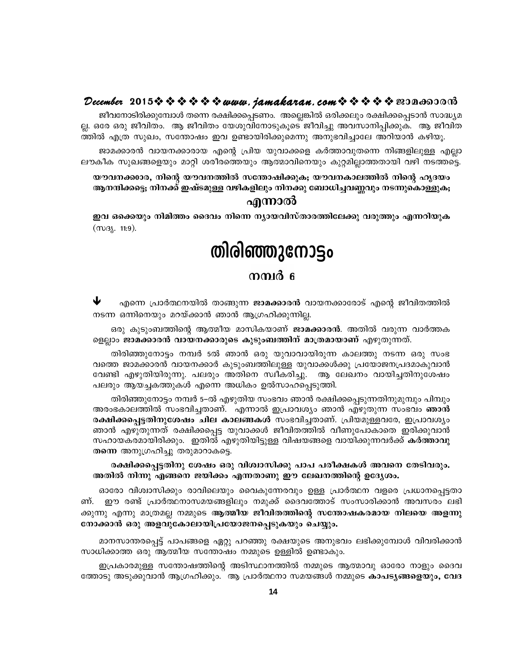#### December 2015※※※※※※www.*jamakaran.com*※※※※※B3Da6300m3

ജീവനോടിരിക്കുമ്പോൾ തന്നെ രക്ഷിക്കപ്പെടണം. അല്ലെങ്കിൽ ഒരിക്കലും രക്ഷിക്കപ്പെടാൻ സാദ്ധ്യമ ല്ല. ഒരേ ഒരു ജീവിതം. ആ ജീവിതം യേശുവിനോടുകൂടെ ജീവിച്ചു അവസാനിപ്പിക്കുക. ആ ജീവിത ത്തിൽ എത്ര സുഖം, സന്തോഷം ഇവ ഉണ്ടായിരിക്കുമെന്നു അനുഭവിച്ചാലേ അറിയാൻ കഴിയൂ.

ജാമക്കാരൻ വായനക്കാരായ എന്റെ പ്രിയ യുവാക്കളെ കർത്താവുതന്നെ നിങ്ങളിലുള്ള എല്ലാ ലൗകീക സുഖങ്ങളെയും മാറ്റി ശരീരത്തെയും ആത്മാവിനെയും കുറ്റമില്ലാത്തതായി വഴി നടത്തട്ടെ.

യൗവനക്കാാര, നിന്റെ യൗവനത്തിൽ സന്തോഷിക്കുക; യൗവനകാലത്തിൽ നിന്റെ ഹൃദയം ആനന്ദിക്കട്ടെ; നിനക്ക് ഇഷ്ടമുള്ള വഴികളിലും നിനക്കു ബോധിച്ചവണ്ണവും നടന്നുകൊള്ളുക;

#### എന്നാൽ

ഇവ ഒക്കെയും നിമിത്തം ദൈവം നിന്നെ ന്യായവിസ്താരത്തിലേക്കു വരുത്തും എന്നറിയുക  $(m_3, 11:9).$ 

# തിരിഞ്ഞുനോട്ടം

#### നമ്പർ ഭ

₩ എന്നെ പ്രാർത്ഥനയിൽ താങ്ങുന്ന **ജാമക്കാരൻ** വായനക്കാരോട് എന്റെ ജീവിതത്തിൽ നടന്ന ഒന്നിനെയും മറയ്ക്കാൻ ഞാൻ ആഗ്രഹിക്കുന്നില്ല.

ഒരു കുടുംബത്തിന്റെ ആത്മീയ മാസികയാണ് **ജാമക്കാരൻ**. അതിൽ വരുന്ന വാർത്തക ളെല്ലാം ജാമക്കാരൻ വായനക്കാരുടെ കുടുംബത്തിന് മാത്രമായാണ് എഴുതുന്നത്.

തിരിഞ്ഞുനോട്ടം നമ്പർ 5ൽ ഞാൻ ഒരു യുവാവായിരുന്ന കാലത്തു നടന്ന ഒരു സംഭ വത്തെ ജാമക്കാരൻ വായനക്കാർ കുടുംബത്തിലുള്ള യുവാക്കൾക്കു പ്രയോജനപ്രദമാകുവാൻ വേണ്ടി എഴുതിയിരുന്നു. പലരും അതിനെ സ്വീകരിച്ചു. ആ ലേഖനം വായിച്ചതിനുശേഷം പലരും ആയച്ചകത്തുകൾ എന്നെ അധികം ഉൽസാഹപ്പെടുത്തി.

തിരിഞ്ഞുനോട്ടം നമ്പർ 5–ൽ എഴുതിയ സംഭവം ഞാൻ രക്ഷിക്കപ്പെടുന്നതിനുമുമ്പും പിമ്പും അരംഭകാലത്തിൽ സംഭവിച്ചതാണ്. എന്നാൽ ഇപ്രാവശ്യം ഞാൻ എഴുതുന്ന സംഭവം **ഞാൻ** രക്ഷിക്കപ്പെട്ടതിനുശേഷം ചില കാലങ്ങകൾ സംഭവിച്ചതാണ്. പ്രിയമുള്ളവരേ, ഇപ്രാവശ്യം ഞാൻ എഴുതുന്നത് രക്ഷിക്കപ്പെട്ട യുവാക്കൾ ജീവിതത്തിൽ വീണുപോകാതെ ഇരിക്കുവാൻ സഹായകരമായിരിക്കും. ഇതിൽ എഴുതിയിട്ടുള്ള വിഷയങ്ങളെ വായിക്കുന്നവർക്ക് കർത്താവു തന്നെ അനുഗ്രഹിച്ചു തരുമാറാകട്ടെ.

#### രക്ഷിക്കപ്പെട്ടതിനു ശേഷം ഒരു വിശ്വാസിക്കു പാപ പരീക്ഷകൾ അവനെ തേടിവരും. അതിൽ നിന്നു എങ്ങനെ ജയിക്കം എന്നതാണു ഈ ലേഖനത്തിന്റെ ഉദ്യേശം.

ഓരോ വിശ്വാസിക്കും രാവിലെയും വൈകുന്നേരവും ഉള്ള പ്രാർത്ഥന വളരെ പ്രധാനപ്പെട്ടതാ ണ്. . ഈ രണ്ട് പ്രാർത്ഥനാസമയങ്ങളിലും നമുക്ക് ദൈവത്തോട് സംസാരിക്കാൻ അവസരം ലഭി ക്കുന്നു എന്നു മാത്രമല്ല നമ്മുടെ ആത്മീയ ജീവിതത്തിന്റെ സന്തോഷകരമായ നിലയെ അളന്നു നോക്കാൻ ഒരു അളവുകോലായിപ്രയോജനപ്പെടുകയും ചെയ്യും.

മാനസാന്തരപ്പെട്ട് പാപങ്ങളെ ഏറ്റു പറഞ്ഞു രക്ഷയുടെ അനുഭവം ലഭിക്കുമ്പോൾ വിവരിക്കാൻ സാധിക്കാത്ത ഒരു ആത്മീയ സന്തോഷം നമ്മുടെ ഉള്ളിൽ ഉണ്ടാകും.

ഇപ്രകാരമുള്ള സന്തോഷത്തിന്റെ അടിസ്ഥാനത്തിൽ നമ്മുടെ ആത്മാവു ഓരോ നാളും ദൈവ ത്തോടു അടുക്കുവാൻ ആഗ്രഹിക്കും. ആ പ്രാർത്ഥനാ സമയങ്ങൾ നമ്മുടെ **കാപട്യങ്ങളെയും, വേദ**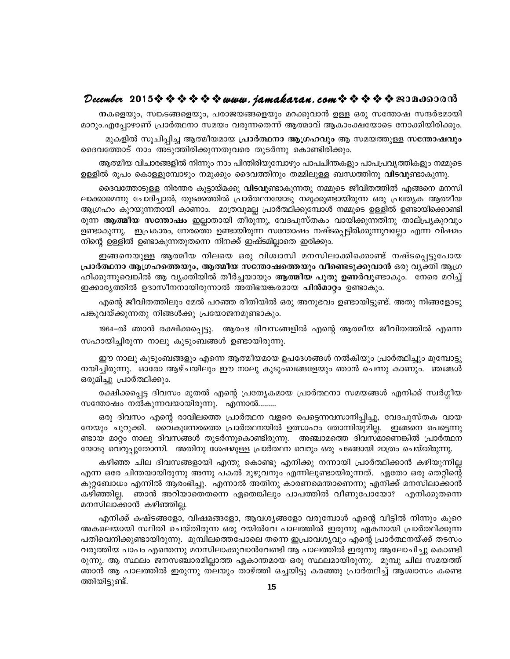#### 

നകളെയും, സങ്കടങ്ങളെയും, പരാജയങ്ങളെയും മറക്കുവാൻ ഉള്ള ഒരു സന്തോഷ സന്ദർഭമായി മാറും.എപ്പോഴാണ് പ്രാർത്ഥനാ സമയം വരുന്നതെന്ന് ആത്മാവ് ആകാംക്ഷയോടെ നോക്കിയിരിക്കും.

മുകളിൽ സുചിപ്പിച്ച ആത്മീയമായ പ്രാർത്ഥനാ ആഗ്രഹവും ആ സമയത്തുള്ള സന്തോഷവും ദൈവത്തോട് നാം അടുത്തിരിക്കുന്നതുവരെ തുടർന്നു കൊണ്ടിരിക്കും.

ആത്മീയ വിചാരങ്ങളിൽ നിന്നും നാം പിന്തിരിയുമ്പോഴും പാപചിന്തകളും പാപപ്രവൃത്തികളും നമ്മുടെ ഉള്ളിൽ രൂപം കൊള്ളുമ്പോഴും നമുക്കും ദൈവത്തിനും തമ്മിലുള്ള ബന്ധത്തിനു **വിടവു**ണ്ടാകുന്നു.

ദൈവത്തോടുള്ള നിരന്തര കൂട്ടായ്മക്കു **വിടവു**ണ്ടാകുന്നതു നമ്മുടെ ജീവിതത്തിൽ എങ്ങനെ മനസി ലാക്കാമെന്നു ചോദിച്ചാൽ, തുടക്കത്തിൽ പ്രാർത്ഥനയോടു നമുക്കുണ്ടായിരുന്ന ഒരു പ്രത്യേക ആത്മീയ ആഗ്രഹം കുറയുന്നതായി കാണാം. മാത്രവുമല്ല പ്രാർത്ഥിക്കുമ്പോൾ നമ്മുടെ ഉള്ളിൽ ഉണ്ടായിക്കൊണ്ടി രുന്ന **ആത്മീയ സന്തോഷം** ഇല്ലാതായി തീരുന്നു, വേദപുസ്തകം വായിക്കുന്നതിനു താല്പ്ര്യകുറവും ഉണ്ടാകുന്നു. ഇപ്രകാരം, നേരത്തെ ഉണ്ടായിരുന്ന സന്തോഷം നഷ്ടപ്പെട്ടിരിക്കുന്നുവല്ലോ എന്ന വിഷമം നിന്റെ ഉള്ളിൽ ഉണ്ടാകുന്നതുതന്നെ നിനക്ക് ഇഷ്ടമില്ലാതെ ഇരിക്കും.

ഇങ്ങനെയുള്ള ആത്മീയ നിലയെ ഒരു വിശ്വാസി മനസിലാക്കിക്കൊണ്ട് നഷ്ടപ്പെട്ടുപോയ പ്രാർത്ഥനാ ആഗ്രഹത്തെയും, ആത്മീയ സന്തോഷത്തെയും വീണ്ടെടുക്കുവാൻ ഒരു വൃക്തി ആഗ്ര ഹിക്കുന്നുവെങ്കിൽ ആ വ്യക്തിയിൽ തീർച്ചയായും ആത്മീയ പുതു ഉണർവുണ്ടാകും. നേരെ മറിച്ച് ഇക്കാര്യത്തിൽ ഉദാസീനനായിരുന്നാൽ അതിഭയങ്കരമായ **പിൻമാറ്റം** ഉണ്ടാകും.

എന്റെ ജീവിതത്തിലും മേൽ പറഞ്ഞ രീതിയിൽ ഒരു അനുഭവം ഉണ്ടായിട്ടുണ്ട്. അതു നിങ്ങളോടു പങ്കുവയ്ക്കുന്നതു നിങ്ങൾക്കു പ്രയോജനമുണ്ടാകും.

1964–ൽ ഞാൻ രക്ഷിക്കപ്പെട്ടു. ആരംഭ ദിവസങ്ങളിൽ എന്റെ ആത്മീയ ജീവിതത്തിൽ എന്നെ സഹായിച്ചിരുന്ന നാലു കുടുംബങ്ങൾ ഉണ്ടായിരുന്നു.

ഈ നാലു കുടുംബങ്ങളും എന്നെ ആത്മീയമായ ഉപദേശങ്ങൾ നൽകിയും പ്രാർത്ഥിച്ചും മുമ്പോട്ടു നയിച്ചിരുന്നു. ഓരോ ആഴ്ചയിലും ഈ നാലു കൂടുംബങ്ങളേയും ഞാൻ ചെന്നു കാണും. ഞങ്ങൾ ഒരുമിച്ചു പ്രാർത്ഥിക്കും.

രക്ഷിക്കപ്പെട്ട ദിവസം മുതൽ എന്റെ പ്രത്യേകമായ പ്രാർത്ഥനാ സമയങ്ങൾ എനിക്ക് സ്വർഗ്ഗീയ സന്തോഷം നൽകുന്നവയായിരുന്നു. എന്നാൽ.........

ഒരു ദിവസം എന്റെ രാവിലത്തെ പ്രാർത്ഥന വളരെ പെട്ടെന്നവസാനിപ്പിച്ചു, വേദപുസ്തക വായ നേയും ചുറുക്കി. വൈകുന്നേരത്തെ പ്രാർത്ഥനയിൽ ഉത്സാഹം തോന്നിയുമില്ല. ഇങ്ങനെ പെട്ടെന്നു ണ്ടായ മാറ്റം നാലു ദിവസങ്ങൾ തുടർന്നുകൊണ്ടിരുന്നു. അഞ്ചാമത്തെ ദിവസമാണെങ്കിൽ പ്രാർത്ഥന യോടു വെറുപ്പുതോന്നി. അതിനു ശേഷമുള്ള പ്രാർത്ഥന വെറും ഒരു ചടങ്ങായി മാത്രം ചെയ്തിരുന്നു.

കഴിഞ്ഞ ചില ദിവസങ്ങളായി എന്തു കൊണ്ടു എനിക്കു നന്നായി പ്രാർത്ഥിക്കാൻ കഴിയുന്നില്ല എന്ന ഒരേ ചിന്തയായിരുന്നു അന്നു പകൽ മുഴുവനും എന്നിലുണ്ടായിരുന്നത്. ഏതോ ഒരു തെറ്റിന്റെ കുറ്റബോധം എന്നിൽ ആരംഭിച്ചു. എന്നാൽ അതിനു കാരണമെന്താണെന്നു എനിക്ക് മനസിലാക്കാൻ ഞാൻ അറിയാതെതന്നെ ഏതെങ്കിലും പാപത്തിൽ വീണുപോയോ? എനിക്കുതന്നെ കഴിഞ്ഞില്ല. മനസിലാക്കാൻ കഴിഞ്ഞില്ല.

എനിക്ക് കഷ്ടങ്ങളോ, വിഷമങ്ങളോ, ആവശ്യങ്ങളോ വരുമ്പോൾ എന്റെ വീട്ടിൽ നിന്നും കുറെ അകലെയായി സ്ഥിതി ചെയ്തിരുന്ന ഒരു റയിൽവേ പാലത്തിൽ ഇരുന്നു ഏകനായി പ്രാർത്ഥിക്കുന്ന പതിവെനിക്കുണ്ടായിരുന്നു. മുമ്പിലത്തെപോലെ തന്നെ ഇപ്രാവശ്യവും എന്റെ പ്രാർത്ഥനയ്ക്ക് തടസം വരുത്തിയ പാപം എന്തെന്നു മനസിലാക്കുവാൻവേണ്ടി ആ പാലത്തിൽ ഇരുന്നു ആലോചിച്ചു കൊണ്ടി രുന്നു. ആ സ്ഥലം ജനസഞ്ചാരമില്ലാത്ത ഏകാന്തമായ ഒരു സ്ഥലമായിരുന്നു. മുമ്പു ചില സമയത്ത് ഞാൻ ആ പാലത്തിൽ ഇരുന്നു തലയും താഴ്ത്തി ഒച്ചയിട്ടു കരഞ്ഞു പ്രാർത്ഥിച്ച് ആശ്വാസം കണ്ടെ ത്തിയിട്ടുണ്ട്.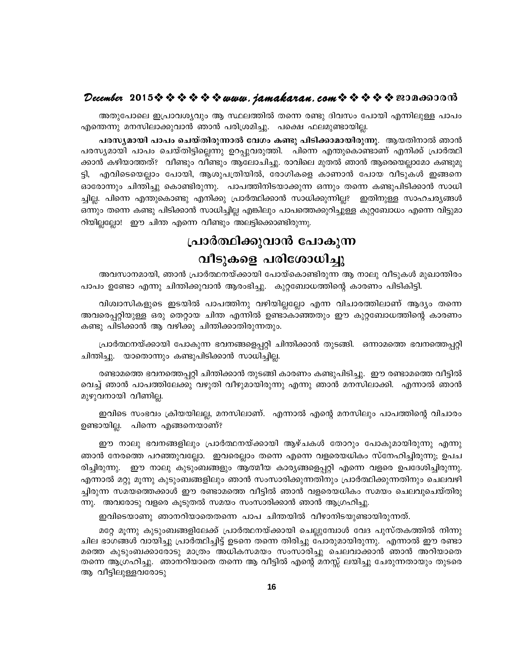#### December 2015 $\rightsquigarrow \rightsquigarrow \rightsquigarrow \rightsquigarrow \omega$  were jamakaran.com  $\rightsquigarrow \rightsquigarrow \rightsquigarrow \rightsquigarrow \omega$  2014600016

അതുപോലെ ഇപ്രാവശ്യവും ആ സ്ഥലത്തിൽ തന്നെ രണ്ടു ദിവസം പോയി എന്നിലുള്ള പാപം എന്തെന്നു മനസിലാക്കുവാൻ ഞാൻ പരിശ്രമിച്ചു. പക്ഷെ ഫലമുണ്ടായില്ല.

പരസ്യമായി പാപം ചെയ്തിരുന്നാൽ വേഗം കണ്ടു പിടിക്കാമായിരുന്നു. ആയതിനാൽ ഞാൻ പരസ്യമായി പാപം ചെയ്തിട്ടില്ലെന്നു ഉറപ്പുവരുത്തി. പിന്നെ എന്തുകൊണ്ടാണ് എനിക്ക് പ്രാർത്ഥി ക്കാൻ കഴിയാത്തത്? വീണ്ടും വീണ്ടും ആലോചിച്ചു. രാവിലെ മുതൽ ഞാൻ ആരെയെല്ലാമോ കണ്ടുമു ട്ടി, എവിടെയെല്ലാം പോയി, ആശുപത്രിയിൽ, രോഗികളെ കാണാൻ പോയ വീടുകൾ ഇങ്ങനെ ഓരോന്നും ചിന്തിച്ചു കൊണ്ടിരുന്നു. പാപത്തിനിടയാക്കുന്ന ഒന്നും തന്നെ കണ്ടുപിടിക്കാൻ സാധി ച്ചില്ല. പിന്നെ എന്തുകൊണ്ടു എനിക്കു പ്രാർത്ഥിക്കാൻ സാധിക്കുന്നില്ല? ഇതിനുള്ള സാഹചര്യങ്ങൾ ഒന്നും തന്നെ കണ്ടു പിടിക്കാൻ സാധിച്ചില്ല എങ്കിലും പാപത്തെക്കുറിച്ചുള്ള കുറ്റബോധം എന്നെ വിട്ടുമാ റിയില്ലല്ലോ! ഈ ചിന്ത എന്നെ വീണ്ടും അലട്ടിക്കൊണ്ടിരുന്നു.

#### പ്രാർത്ഥിക്കുവാൻ പോകുന്ന

#### വീടുകളെ പരിശോധിച്ചു

അവസാനമായി, ഞാൻ പ്രാർത്ഥനയ്ക്കായി പോയ്കൊണ്ടിരുന്ന ആ നാലു വീടുകൾ മുഖാന്തിരം പാപം ഉണ്ടോ എന്നു ചിന്തിക്കുവാൻ ആരംഭിച്ചു. കുറ്റബോധത്തിന്റെ കാരണം പിടികിട്ടി.

വിശ്വാസികളുടെ ഇടയിൽ പാപത്തിനു വഴിയില്ലല്ലോ എന്ന വിചാരത്തിലാണ് ആദ്യം തന്നെ അവരെപ്പറ്റിയുള്ള ഒരു തെറ്റായ ചിന്ത എന്നിൽ ഉണ്ടാകാഞ്ഞതും ഈ കുറ്റബോധത്തിന്റെ കാരണം കണ്ടു പിടിക്കാൻ ആ വഴിക്കു ചിന്തിക്കാതിരുന്നതും.

പ്രാർത്ഥനയ്ക്കായി പോകുന്ന ഭവനങ്ങളെപ്പറ്റി ചിന്തിക്കാൻ തുടങ്ങി. ഒന്നാമത്തെ ഭവനത്തെപ്പറ്റി ചിന്തിച്ചു. യാതൊന്നും കണ്ടുപിടിക്കാൻ സാധിച്ചില്ല.

രണ്ടാമത്തെ ഭവനത്തെപ്പറ്റി ചിന്തിക്കാൻ തുടങ്ങി കാരണം കണ്ടുപിടിച്ചു. ഈ രണ്ടാമത്തെ വീട്ടിൽ വെച്ച് ഞാൻ പാപത്തിലേക്കു വഴുതി വീഴുമായിരുന്നു എന്നു ഞാൻ മനസിലാക്കി. എന്നാൽ ഞാൻ മുഴുവനായി വീണില്ല.

ഇവിടെ സംഭവം ക്രിയയിലല്ല, മനസിലാണ്. എന്നാൽ എന്റെ മനസിലും പാപത്തിന്റെ വിചാരം ഉണ്ടായില്ല. പിന്നെ എങ്ങനെയാണ്?

ഈ നാലു ഭവനങ്ങളിലും പ്രാർത്ഥനയ്ക്കായി ആഴ്ചകൾ തോറും പോകുമായിരുന്നു എന്നു ഞാൻ നേരത്തെ പറഞ്ഞുവല്ലോ. ഇവരെല്ലാം തന്നെ എന്നെ വളരെയധികം സ്നേഹിച്ചിരുന്നു; ഉപച രിച്ചിരുന്നു. ഈ നാലു കുടുംബങ്ങളും ആത്മീയ കാര്യങ്ങളെപ്പറ്റി എന്നെ വളരെ ഉപദേശിച്ചിരുന്നു. എന്നാൽ മറ്റു മൂന്നു കുടുംബങ്ങളിലും ഞാൻ സംസാരിക്കുന്നതിനും പ്രാർത്ഥിക്കുന്നതിനും ചെലവഴി ച്ചിരുന്ന സമയത്തെക്കാൾ ഈ രണ്ടാമത്തെ വീട്ടിൽ ഞാൻ വളരെയധികം സമയം ചെലവുചെയ്തിരു ന്നു. അവരോടു വളരെ കൂടുതൽ സമയം സംസാരിക്കാൻ ഞാൻ ആഗ്രഹിച്ചു.

ഇവിടെയാണു ഞാനറിയാതെതന്നെ പാപ ചിന്തയിൽ വീഴാനിടയുണ്ടായിരുന്നത്.

മറ്റേ മൂന്നു കുടുംബങ്ങളിലേക്ക് പ്രാർത്ഥനയ്ക്കായി ചെല്ലുമ്പോൾ വേദ പുസ്തകത്തിൽ നിന്നു ചില ഭാഗങ്ങൾ വായിച്ചു പ്രാർത്ഥിച്ചിട്ട് ഉടനെ തന്നെ തിരിച്ചു പോരുമായിരുന്നു. എന്നാൽ ഈ രണ്ടാ മത്തെ കുടുംബക്കാരോടു മാത്രം അധികസമയം സംസാരിച്ചു ചെലവാക്കാൻ ഞാൻ അറിയാതെ തന്നെ ആഗ്രഹിച്ചു. ഞാനറിയാതെ തന്നെ ആ വീട്ടിൽ എന്റെ മനസ്സ് ലയിച്ചു ചേരുന്നതായും തുടരെ ആ വീട്ടിലുള്ളവരോടു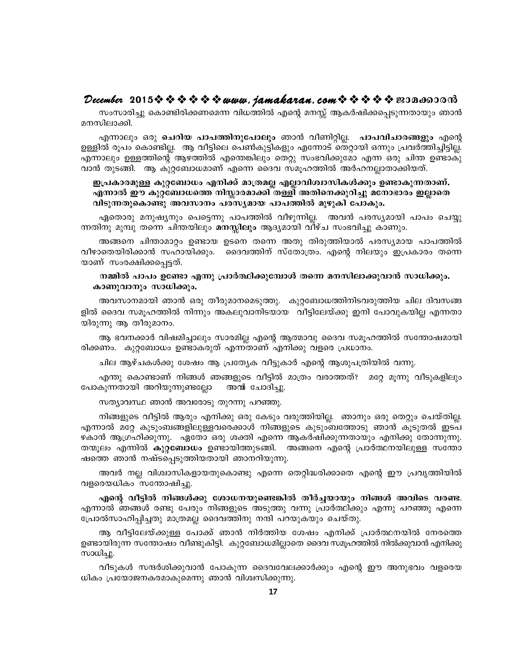#### December 2015  $\rightsquigarrow \rightsquigarrow \rightsquigarrow \rightsquigarrow$  www.jamakaran.com  $\rightsquigarrow \rightsquigarrow \rightsquigarrow \rightsquigarrow$  sepandorom

സംസാരിച്ചു കൊണ്ടിരിക്കണമെന്ന വിധത്തിൽ എന്റെ മനസ്സ് ആകർഷിക്കപ്പെടുന്നതായും ഞാൻ മനസിലാക്കി.

എന്നാലും ഒരു ചെറിയ പാപത്തിനുപോലും ഞാൻ വീണിറ്റില്ല. പാപവിചാരങ്ങളും എന്റെ ഉള്ളിൽ രൂപം കൊണ്ടില്ല. ആ വീട്ടിലെ പെൺകുട്ടികളും എന്നോട് തെറ്റായി ഒന്നും പ്രവർത്തിച്ചിട്ടില്ല. എന്നാലും ഉള്ളത്തിന്റെ ആഴത്തിൽ എന്തെങ്കിലും തെറ്റു സംഭവിക്കുമോ എന്ന ഒരു ചിന്ത ഉണ്ടാകു വാൻ തുടങ്ങി. ആ കുറ്റബോധമാണ് എന്നെ ദൈവ സമൂഹത്തിൽ അർഹനല്ലാതാക്കിയത്.

#### ഇപ്രകാരമുള്ള കുറ്റബോധം എനിക്ക് മാത്രമല്ല എല്ലാവിശ്വാസികൾക്കും ഉണ്ടാകുന്നതാണ്. എന്നാൽ ഈ കുറ്റബോധത്തെ നിസ്സാരമാക്കി തള്ളി അതിനെക്കുറിച്ചു മനോഭാരം ഇല്ലാതെ വിടുന്നതുകൊണ്ടു അവസാനം പരസ്യമായ പാപത്തിൽ മുഴുകി പോകും.

ഏതൊരു മനുഷ്യനും പെട്ടെന്നു പാപത്തിൽ വീഴുന്നില്ല. അവൻ പരസ്യമായി പാപം ചെയ്യു ന്നതിനു മുമ്പു തന്നെ ചിന്തയിലും മനസ്സിലും ആദ്യമായി വീഴ്ച സംഭവിച്ചു കാണും.

അങ്ങനെ ചിന്താമാറ്റം ഉണ്ടായ ഉടനെ തന്നെ അതു തിരുത്തിയാൽ പരസ്യമായ പാപത്തിൽ വീഴാതെയിരിക്കാൻ സഹായിക്കും. ദൈവത്തിന് സ്തോത്രം. എന്റെ നിലയും ഇപ്രകാരം തന്നെ യാണ് സംരക്ഷിക്കപ്പെട്ടത്.

#### നമ്മിൽ പാപം ഉണ്ടോ എന്നു പ്രാർത്ഥിക്കുമ്പോൾ തന്നെ മനസിലാക്കുവാൻ സാധിക്കും. കാണുവാനും സാധിക്കും.

അവസാനമായി ഞാൻ ഒരു തീരുമാനമെടുത്തു. കുറ്റബോധത്തിനിടവരുത്തിയ ചില ദിവസങ്ങ ളിൽ ദൈവ സമുഹത്തിൽ നിന്നും അകലുവാനിടയായ വീട്ടിലേയ്ക്കു ഇനി പോവുകയില്ല എന്നതാ യിരുന്നു ആ തീരുമാനം.

ആ ഭവനക്കാർ വിഷമിച്ചാലും സാരമില്ല എന്റെ ആത്മാവു ദൈവ സമൂഹത്തിൽ സന്തോഷമായി രിക്കണം. കുറ്റബോധം ഉണ്ടാകരുത് എന്നതാണ് എനിക്കു വളരെ പ്രധാനം.

ചില ആഴ്ചകൾക്കു ശേഷം ആ പ്രത്യേക വീട്ടുകാർ എന്റെ ആശുപത്രിയിൽ വന്നു.

എന്തു കൊണ്ടാണ് നിങ്ങൾ ഞങ്ങളുടെ വീട്ടിൽ മാത്രം വരാത്തത്? മറ്റേ മുന്നു വീടുകളിലും പോകുന്നതായി അറിയുന്നുണ്ടല്ലോ" അന്മ ചോദിച്ചു.

സത്യാവസ്ഥ ഞാൻ അവരോടു തുറന്നു പറഞ്ഞു.

നിങ്ങളുടെ വീട്ടിൽ ആരും എനിക്കു ഒരു കേടും വരുത്തിയില്ല. ഞാനും ഒരു തെറ്റും ചെയ്തില്ല. .എന്നാൽ മറ്റേ കുടുംബങ്ങളിലുള്ളവരെക്കാൾ നിങ്ങളുടെ കുടുംബത്തോടു ഞാൻ കൂടുതൽ ഇടപ ഴകാൻ ആഗ്രഹിക്കുന്നു. ഏതോ ഒരു ശക്തി എന്നെ ആകർഷിക്കുന്നതായും എനിക്കു തോന്നുന്നു. തന്മൂലം എന്നിൽ കു**റ്റബോധം** ഉണ്ടായിത്തുടങ്ങി. അങ്ങനെ എന്റെ പ്രാർത്ഥനയിലുള്ള സന്തോ ഷത്തെ ഞാൻ നഷ്ടപ്പെടുത്തിയതായി ഞാനറിയുന്നു.

അവർ നല്ല വിശ്വാസികളായതുകൊണ്ടു എന്നെ തെറ്റിദ്ധരിക്കാതെ എന്റെ ഈ പ്രവൃത്തിയിൽ വളരെയധികം സന്തോഷിച്ചു.

എന്റെ വീട്ടിൽ നിങ്ങൾക്കു ശോധനയുണ്ടെങ്കിൽ തീർച്ചയായും നിങ്ങൾ അവിടെ വരണ്ട. എന്നാൽ ഞങ്ങൾ രണ്ടു പേരും നിങ്ങളുടെ അടുത്തു വന്നു പ്രാർത്ഥിക്കും എന്നു പറഞ്ഞു എന്നെ പ്രോൽസാഹിപ്പിച്ചതു മാത്രമല്ല ദൈവത്തിനു നന്ദി പറയുകയും ചെയ്തു.

ആ വീട്ടിലേയ്ക്കുള്ള പോക്ക് ഞാൻ നിർത്തിയ ശേഷം എനിക്ക് പ്രാർത്ഥനയിൽ നേരത്തെ ഉണ്ടായിരുന്ന സന്തോഷം വീണ്ടുകിട്ടി. കുറ്റബോധമില്ലാതെ ദൈവ സമൂഹത്തിൽ നിൽക്കുവാൻ എനിക്കു സാധിച്ചു.

വീടുകൾ സന്ദർശിക്കുവാൻ പോകുന്ന ദൈവവേലക്കാർക്കും എന്റെ ഈ അനുഭവം വളരെയ ധികം പ്രയോജനകരമാകുമെന്നു ഞാൻ വിശ്വസിക്കുന്നു.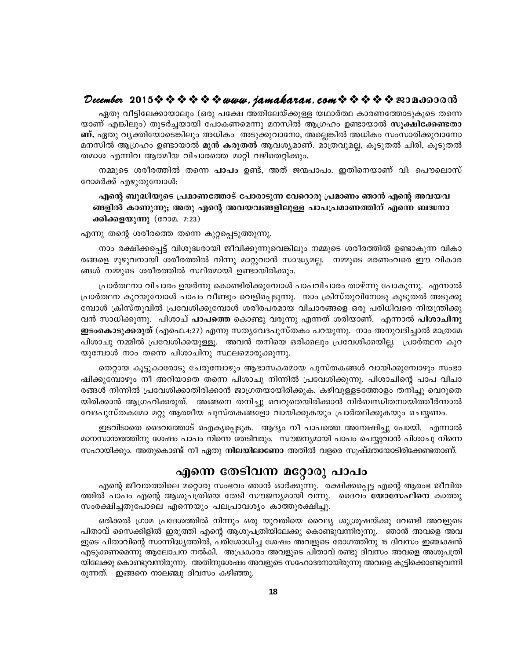#### December 2015  $\rightsquigarrow \rightsquigarrow \rightsquigarrow \rightsquigarrow$  www.jamakaran.com  $\rightsquigarrow \rightsquigarrow \rightsquigarrow \rightsquigarrow$  sepandorom

ഏതു വീട്ടിലേക്കായാലും (ഒരു പക്ഷേ അതിലേയ്ക്കുള്ള യഥാർത്ഥ കാരണത്തോടുകൂടെ തന്നെ യാണ് എങ്കിലും) തുടർച്ചയായി പോകണമെന്നു മനസിൽ ആഗ്രഹം ഉണ്ടായാൽ സൂ**ക്ഷിക്കേണ്ടതാ ണ്.** ഏതു വ്യക്തിയോടെങ്കിലും അധികം അടുക്കുവാനോ, അല്ലെങ്കിൽ അധികം സംസാരിക്കുവാനോ മനസിൽ ആഗ്രഹം ഉണ്ടായാൽ മുൻ കരുതൽ ആവശ്യമാണ്. മാത്രവുമല്ല, കൂടുതൽ ചിരി, കൂടുതൽ തമാശ എന്നിവ ആത്മീയ വിചാരത്തെ മാറ്റി വഴിതെറ്റിക്കും.

നമ്മുടെ ശരീരത്തിൽ തന്നെ **പാപം** ഉണ്ട്, അത് ജന്മപാപം. ഇതിനെയാണ് വി: പൌലൊസ് റോമർക്ക് എഴുതുമ്പോൾ:

#### എന്റെ ബുദ്ധിയുടെ പ്രമാണത്തോട് പോരാടുന്ന വേറൊരു പ്രമാണം ഞാൻ എന്റെ അവയവ ങ്ങളിൽ കാണുന്നു; അതു എന്റെ അവയവങ്ങളിലുള്ള പാപപ്രമാണത്തിന് എന്നെ ബദ്ധനാ ക്കിക്കളയുന്നു (റോമ. 7:23)

എന്നു തന്റെ ശരീരത്തെ തന്നെ കുറ്റപ്പെടുത്തുന്നു.

നാം രക്ഷിക്കപ്പെട്ട് വിശുദ്ധരായി ജീവിക്കുന്നുവെങ്കിലും നമ്മുടെ ശരീരത്തിൽ ഉണ്ടാകുന്ന വികാ രങ്ങളെ മുഴുവനായി ശരീരത്തിൽ നിന്നു മാറ്റുവാൻ സാദ്ധ്യമല്ല. നമ്മുടെ മരണംവരെ ഈ വികാര ങ്ങൾ നമ്മുടെ ശരീരത്തിൽ സ്ഥിരമായി ഉണ്ടായിരിക്കും.

പ്രാർത്ഥനാ വിചാരം ഉയർന്നു കൊണ്ടിരിക്കുമ്പോൾ പാപവിചാരം താഴ്ന്നു പോകുന്നു. എന്നാൽ പ്രാർത്ഥന കുറയുമ്പോൾ പാപം വീണ്ടും വെളിപ്പെടുന്നു. നാം ക്രിസ്തുവിനോടു കൂടുതൽ അടുക്കു മ്പോൾ ക്രിസ്തുവിൽ പ്രവേശിക്കുമ്പോൾ ശരീരപരമായ വിചാരങ്ങളെ ഒരു പരിധിവരെ നിയന്ത്രിക്കു വൻ സാധിക്കുന്നു. പിശാച് **പാപത്തെ** കൊണ്ടു വരുന്നു എന്നത് ശരിയാണ്. എന്നാൽ **പിശാചിനു** . ഇടംകൊടുക്കരുത് (എഫെ.4:27) എന്നു സത്യവേദപുസ്തകം പറയുന്നു. നാം അനുവദിച്ചാൽ മാത്രമേ പിശാചു നമ്മിൽ പ്രവേശിക്കയുള്ളു. അവൻ തനിയെ ഒരിക്കലും പ്രവേശിക്കയില്ല. പ്രാർത്ഥന കുറ യുമ്പോൾ നാം തന്നെ പിശാചിനു സ്ഥലമൊരുക്കുന്നു.

തെറ്റായ കൂട്ടുകാരോടു ചേരുമ്പോഴും ആഭാസകരമായ പുസ്തകങ്ങൾ വായിക്കുമ്പോഴും സംഭാ ഷിക്കുമ്പോഴും നീ അറിയാതെ തന്നെ പിശാചു നിന്നിൽ പ്രവേശിക്കുന്നു. പിശാചിന്റെ പാപ വിചാ രങ്ങൾ നിന്നിൽ പ്രവേശിക്കാതിരിക്കാൻ ജാഗ്രതയായിരിക്കുക. കഴിവുള്ളടത്തോളം തനിച്ചു വെറുതെ യിരിക്കാൻ ആഗ്രഹിക്കരുത്. അങ്ങനെ തനിച്ചു വെറുതെയിരിക്കാൻ നിർബന്ധിതനായിത്തീർന്നാൽ വേദപുസ്തകമോ മറ്റു ആത്മീയ പുസ്തകങ്ങളോ വായിക്കുകയും പ്രാർത്ഥിക്കുകയും ചെയ്യണം.

ഇടവിടാതെ ദൈവത്തോട് ഐക്യപ്പെടുക. ആദ്യം നീ പാപത്തെ അമ്പേഷിച്ചു പോയി. എന്നാൽ മാനസാന്തരത്തിനു ശേഷം പാപം നിന്നെ തേടിവരും. സൗജന്യമായി പാപം ചെയ്യുവാൻ പിശാചു നിന്നെ സഹായിക്കും. അതുകൊണ്ട് നീ ഏതു **നിലയിലാണോ** അതിൽ വളരെ സൂഷ്മതയോടിരിക്കേണ്ടതാണ്.

#### എന്നെ തേടിവന്ന മറ്റോരു പാപം

എന്റെ ജീവതത്തിലെ മറ്റൊരു സംഭവം ഞാൻ ഓർക്കുന്നു. രക്ഷിക്കപ്പെട്ട എന്റെ ആരംഭ ജീവിത ത്തിൽ പാപം എന്റെ ആശുപത്രിയെ തേടി സൗജന്യമായി വന്നു. ദൈവം **യോസേഫിനെ** കാത്തു സംരക്ഷിച്ചതുപോലെ എന്നെയും പലപ്രാവശ്യം കാത്തുരക്ഷിച്ചു.

ഒരിക്കൽ ഗ്രാമ പ്രദേശത്തിൽ നിന്നും ഒരു യുവതിയെ വൈദ്യ ശുശ്രൂഷയ്ക്കു വേണ്ടി അവളുടെ പിതാവ് സൈക്കിളിൽ ഇരുത്തി എന്റെ ആശുപത്രിയിലേക്കു കൊണ്ടുവന്നിരുന്നു. ഞാൻ അവളെ അവ ളുടെ പിതാവിന്റെ സാന്നിദ്ധ്യത്തിൽ, പരിശോധിച്ച ശേഷം അവളുടെ രോഗത്തിനു 15 ദിവസം ഇഞ്ചക്ഷൻ എടുക്കണമെന്നു ആലോചന നൽകി. അപ്രകാരം അവളുടെ പിതാവ് രണ്ടു ദിവസം അവളെ അശുപത്രി യിലേക്കു കൊണ്ടുവന്നിരുന്നു. അതിനുശേഷം അവളുടെ സഹോദരനായിരുന്നു അവളെ കൂട്ടിക്കൊണ്ടുവന്നി രുന്നത്. ഇങ്ങനെ നാലഞ്ചു ദിവസം കഴിഞ്ഞു.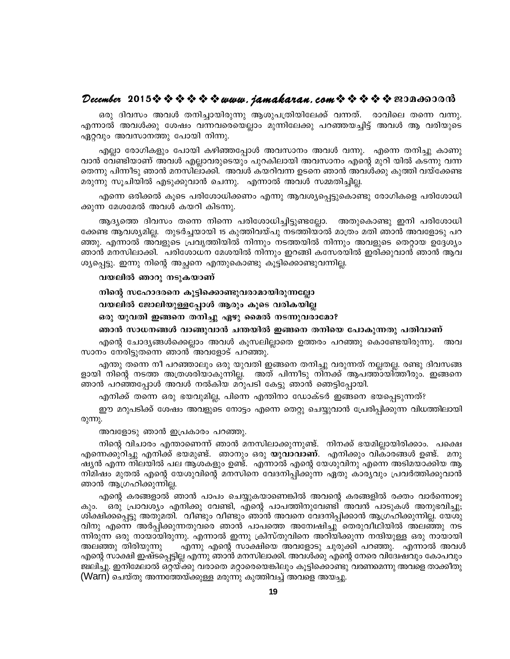#### 

ഒരു ദിവസം അവൾ തനിച്ചായിരുന്നു ആശുപത്രിയിലേക്ക് വന്നത്. രാവിലെ തന്നെ വന്നു. എന്നാൽ അവൾക്കു ശേഷം വന്നവരെയെല്ലാം മുന്നിലേക്കു പറഞ്ഞയച്ചിട്ട് അവൾ ആ വരിയുടെ ഏറ്റവും അവസാനത്തു പോയി നിന്നു.

എല്ലാ രോഗികളും പോയി കഴിഞ്ഞപ്പോൾ അവസാനം അവൾ വന്നു. എന്നെ തനിച്ചു കാണു വാൻ വേണ്ടിയാണ് അവൾ എല്ലാവരുടെയും പുറകിലായി അവസാനം എന്റെ മുറി യിൽ കടന്നു വന്ന തെന്നു പിന്നീടു ഞാൻ മനസിലാക്കി. അവൾ കയറിവന്ന ഉടനെ ഞാൻ അവൾക്കു കുത്തി വയ്ക്കേണ്ട മരുന്നു സൂചിയിൽ എടുക്കുവാൻ ചെന്നു. എന്നാൽ അവൾ സമ്മതിച്ചില്ല.

എന്നെ ഒരിക്കൽ കൂടെ പരിശോധിക്കണം എന്നു ആവശ്യപ്പെട്ടുകൊണ്ടു രോഗികളെ പരിശോധി ക്കുന്ന മേശമേൽ അവൾ കയറി കിടന്നു.

ആദ്യത്തെ ദിവസം തന്നെ നിന്നെ പരിശോധിച്ചിട്ടുണ്ടല്ലോ. അതുകൊണ്ടു ഇനി പരിശോധി ക്കേണ്ട ആവശ്യമില്ല. തുടർച്ചയായി 15 കുത്തിവയ്പു നടത്തിയാൽ മാത്രം മതി ഞാൻ അവളോടു പറ ഞ്ഞു. എന്നാൽ അവളുടെ പ്രവൃത്തിയിൽ നിന്നും നടത്തയിൽ നിന്നും അവളുടെ തെറ്റായ ഉദ്ദേശ്യം ഞാൻ മനസിലാക്കി. പരിശോധന മേശയിൽ നിന്നും ഇറങ്ങി കസേരയിൽ ഇരിക്കുവാൻ ഞാൻ ആവ ശ്യപ്പെട്ടു. ഇന്നു നിന്റെ അച്ഛനെ എന്തുകൊണ്ടു കൂട്ടിക്കൊണ്ടുവന്നില്ല.

#### വയലിൽ ഞാറു നടുകയാണ്

നിന്റെ സഹോദരനെ കൂട്ടിക്കൊണ്ടുവരാമായിരുന്നല്ലോ വയലിൽ ജോലിയുള്ളപ്പോൾ ആരും കൂടെ വരികയില്ല ഒരു യുവതി ഇങ്ങനെ തനിച്ചു ഏഴു മൈൽ നടന്നുവരാമോ?

ഞാൻ സാധനങ്ങൾ വാങ്ങുവാൻ ചന്തയിൽ ഇങ്ങനെ തനിയെ പോകുന്നതു പതിവാണ്

എന്റെ ചോദ്യങ്ങൾക്കെല്ലാം അവൾ കൂസലില്ലാതെ ഉത്തരം പറഞ്ഞു കൊണ്ടേയിരുന്നു. അവ സാനം നേരിട്ടുതന്നെ ഞാൻ അവളോട് പറഞ്ഞു.

എന്തു തന്നെ നീ പറഞ്ഞാലും ഒരു യുവതി ഇങ്ങനെ തനിച്ചു വരുന്നത് നല്ലതല്ല. രണ്ടു ദിവസങ്ങ ളായി നിന്റെ നടത്ത അത്രശരിയാകുന്നില്ല. അത് പിന്നീടു നിനക്ക് ആപത്തായിത്തീരും. ഇങ്ങനെ ഞാൻ പറഞ്ഞപ്പോൾ അവൾ നൽകിയ മറുപടി കേട്ടു ഞാൻ ഞെട്ടിപ്പോയി.

എനിക്ക് തന്നെ ഒരു ഭയവുമില്ല, പിന്നെ എന്തിനാ ഡോക്ടർ ഇങ്ങനെ ഭയപ്പെടുന്നത്?

ഈ മറുപടിക്ക് ശേഷം അവളുടെ നോട്ടം എന്നെ തെറ്റു ചെയ്യുവാൻ പ്രേരിപ്പിക്കുന്ന വിധത്തിലായി രുന്നു.

അവളോടു ഞാൻ ഇപ്രകാരം പറഞ്ഞു.

നിന്റെ വിചാരം എന്താണെന്ന് ഞാൻ മനസിലാക്കുന്നുണ്ട്. നിനക്ക് ഭയമില്ലായിരിക്കാം. പക്ഷെ എന്നെക്കുറിച്ചു എനിക്ക് ഭയമുണ്ട്. ഞാനും ഒരു **യുവാവാണ്**. എനിക്കും വികാരങ്ങൾ ഉണ്ട്. മനു ഷ്യൻ എന്ന നിലയിൽ പല ആശകളും ഉണ്ട്. എന്നാൽ എന്റെ യേശുവിനു എന്നെ അടിമയാക്കിയ ആ നിമിഷം മുതൽ എന്റെ യേശുവിന്റെ മനസിനെ വേദനിപ്പിക്കുന്ന ഏതു കാര്യവും പ്രവർത്തിക്കുവാൻ ഞാൻ ആഗ്രഹിക്കുന്നില്ല.

എന്റെ കരങ്ങളാൽ ഞാൻ പാപം ചെയ്യുകയാണെങ്കിൽ അവന്റെ കരങ്ങളിൽ രക്തം വാർന്നൊഴു ഒരു പ്രാവശ്യം എനിക്കു വേണ്ടി, എന്റെ പാപത്തിനുവേണ്ടി അവൻ പാടുകൾ അനുഭവിച്ചു; കുറ. ശിക്ഷിക്കപ്പെട്ടു അതുമതി. വീണ്ടും വീണ്ടും ഞാൻ അവനെ വേദനിപ്പിക്കാൻ ആഗ്രഹിക്കുന്നില്ല. യേശു വിനു എന്നെ അർപ്പിക്കുന്നതുവരെ ഞാൻ പാപത്തെ അന്വേഷിച്ചു തെരുവീഥിയിൽ അലഞ്ഞു നട ന്നിരുന്ന ഒരു നായായിരുന്നു. എന്നാൽ ഇന്നു ക്രിസ്തുവിനെ അറിയിക്കുന്ന നന്ദിയുള്ള ഒരു നായായി അലഞ്ഞു തിരിയുന്നു" . എന്നു എന്റെ സാക്ഷിയെ അവളോടു ചുരുക്കി പറഞ്ഞു. എന്നാൽ അവൾ എന്റെ സാക്ഷി ഇഷ്ടപ്പെട്ടില്ല എന്നു ഞാൻ മനസിലാക്കി. അവൾക്കു എന്റെ നേരെ വിദ്വേഷവും കോപവും ജ്വലിച്ചു. ഇനിമേലാൽ ഒറ്റയ്ക്കു വരാതെ മറ്റാരെയെങ്കിലും കൂട്ടിക്കൊണ്ടു വരണമെന്നു അവളെ താക്കീതു (Warn) ചെയ്തു അന്നത്തേയ്ക്കുള്ള മരുന്നു കുത്തിവച്ച് അവളെ അയച്ചു.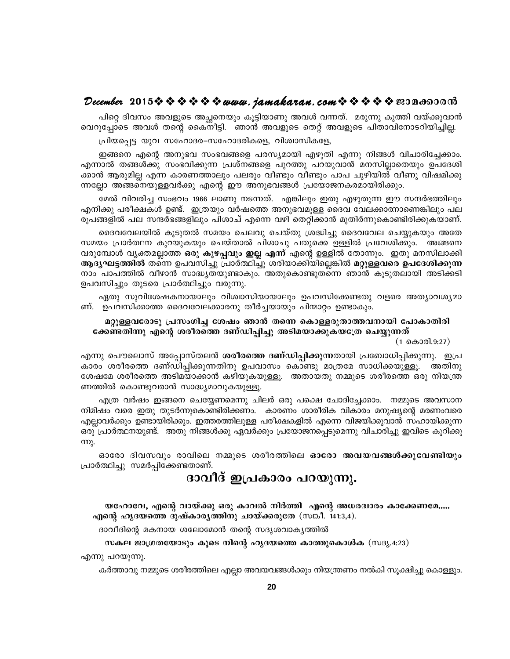#### December 2015※※※※※※www.*jamakaran.com*※※※※※B3Da6300m3

പിറ്റെ ദിവസം അവളുടെ അച്ഛനെയും കൂട്ടിയാണു അവൾ വന്നത്. മരുന്നു കുത്തി വയ്ക്കുവാൻ വെറുപ്പോടെ അവൾ തന്റെ കൈനീട്ടി. ഞാൻ അവളുടെ തെറ്റ് അവളുടെ പിതാവിനോടറിയിച്ചില്ല.

പ്രിയപ്പെട്ട യുവ സഹോദര-സഹോദരികളെ, വിശ്വാസികളേ,

ഇങ്ങനെ എന്റെ അനുഭവ സംഭവങ്ങളെ പരസ്യമായി എഴുതി എന്നു നിങ്ങൾ വിചാരിച്ചേക്കാം. എന്നാൽ തങ്ങൾക്കു സംഭവിക്കുന്ന പ്രശ്നങ്ങളെ പുറത്തു പറയുവാൻ മനസില്ലാതെയും ഉപദേശി ക്കാൻ ആരുമില്ല എന്ന കാരണത്താലും പലരും വീണ്ടും വീണ്ടും പാപ ചുഴിയിൽ വീണു വിഷമിക്കു ന്നല്ലോ അങ്ങനെയുള്ളവർക്കു എന്റെ ഈ അനുഭവങ്ങൾ പ്രയോജനകരമായിരിക്കും.

മേൽ വിവരിച്ച സംഭവം 1966 ലാണു നടന്നത്. എങ്കിലും ഇതു എഴുതുന്ന ഈ സന്ദർഭത്തിലും എനിക്കു പരീക്ഷകൾ ഉണ്ട്. ഇത്രയും വർഷത്തെ അനുഭവമുള്ള ദൈവ വേലക്കാത്നാണെങ്കിലും പല രൂപങ്ങളിൽ പല സന്ദർഭങ്ങളിലും പിശാച് എന്നെ വഴി തെറ്റിക്കാൻ മുതിർന്നുകൊണ്ടിരിക്കുകയാണ്.

ദൈവവേലയിൽ കൂടുതൽ സമയം ചെലവു ചെയ്തു ശ്രദ്ധിച്ചു ദൈവവേല ചെയ്യുകയും അതേ സമയം പ്രാർത്ഥന കുറയുകയും ചെയ്താൽ പിശാചു പതുക്കെ ഉള്ളിൽ പ്രവേശിക്കും. അങ്ങനെ വരുമ്പോൾ വ്യക്തമല്ലാത്ത **ഒരു കുഴപ്പവും ഇല്ല എന്ന്** എന്റെ ഉള്ളിൽ തോന്നും. ഇതു മനസിലാക്കി ആദ്യഘട്ടത്തിൽ തന്നെ ഉപവസിച്ചു പ്രാർത്ഥിച്ചു ശരിയാക്കിയില്ലെങ്കിൽ മറ്റുള്ളവരെ ഉപദേശിക്കുന്ന നാം പാപത്തിൽ വീഴാൻ സാദ്ധ്യതയുണ്ടാകും. അതുകൊണ്ടുതന്നെ ഞാൻ കൂടുതലായി അടിക്കടി ഉപവസിച്ചും തുടരെ പ്രാർത്ഥിച്ചും വരുന്നു.

ഏതു സുവിശേഷകനായാലും വിശ്വാസിയായാലും ഉപവസിക്കേണ്ടതു വളരെ അത്യാവശ്യമാ ണ്. ഉപവസിക്കാത്ത ദൈവവേലക്കാരനു തീർച്ചയായും പിന്മാറ്റം ഉണ്ടാകും.

#### മറ്റുള്ളവരോടു പ്രസംഗിച്ച ശേഷം ഞാൻ തന്നെ കൊള്ളരുതാത്തവനായി പോകാതിരി ക്കേണ്ടതിന്നു എന്റെ ശരീരത്തെ ദണ്ഡിപ്പിച്ചു അടിമയാക്കുകയത്രേ ചെയ്യുന്നത്

(1 കൊരി.9:27)

.എന്നു പൌലൊസ് അപ്പോസ്തലൻ **ശരീരത്തെ ദണ്ഡിപ്പിക്കുന്ന**തായി പ്രബോധിപ്പിക്കുന്നു. ഇപ്ര കാരം ശരീരത്തെ ദണ്ഡിപ്പിക്കുന്നതിനു ഉപവാസം കൊണ്ടു മാത്രമേ സാധിക്കയുള്ളൂ. അതിനു ശേഷമേ ശരീരത്തെ അടിമയാക്കാൻ കഴിയുകയുള്ളൂ. അതായതു നമ്മുടെ ശരീരത്തെ ഒരു നിയന്ത്ര ണത്തിൽ കൊണ്ടുവരാൻ സാദ്ധ്യമാവുകയുള്ളൂ.

എത്ര വർഷം ഇങ്ങനെ ചെയ്യേണമെന്നു ചിലർ ഒരു പക്ഷെ ചോദിച്ചേക്കാം. നമ്മുടെ അവസാന നിമിഷം വരെ ഇതു തുടർന്നുകൊണ്ടിരിക്കണം. കാരണം ശാരീരിക വികാരം മനുഷ്യന്റെ മരണംവരെ എല്ലാവർക്കും ഉണ്ടായിരിക്കും. ഇത്തരത്തിലുള്ള പരീക്ഷകളിൽ എന്നെ വിജയിക്കുവാൻ സഹായിക്കുന്ന ഒരു പ്രാർത്ഥനയുണ്ട്. അതു നിങ്ങൾക്കു ഏവർക്കും പ്രയോജനപ്പെടുമെന്നു വിചാരിച്ചു ഇവിടെ കുറിക്കു  $m<sub>k</sub>$ .

ഓരോ ദിവസവും രാവിലെ നമ്മുടെ ശരീരത്തിലെ **ഓരോ അവയവങ്ങൾക്കുവേണ്ടിയും** പ്രാർത്ഥിച്ചു സമർപ്പിക്കേണ്ടതാണ്.

#### ദാവീദ് ഇപ്രകാരം പറയുന്നു.

യഹോവേ, എന്റെ വായ്ക്കു ഒരു കാവൽ നിർത്തി എന്റെ അധരദ്വാരം കാക്കേണമേ..... എന്റെ ഹൃദയത്തെ ദുഷ്കാര്യത്തിനു ചായ്ക്കരുതേ (സങ്കീ. 141:3,4).

ദാവീദിന്റെ മകനായ ശലോമോൻ തന്റെ സദൃശവാകൃത്തിൽ

സകല ജാഗ്രതയോടും കൂടെ നിന്റെ ഹൃദയത്തെ കാത്തുകൊൾക (സദൃ.4:23)

എന്നു പറയുന്നു.

കർത്താവു നമ്മുടെ ശരീരത്തിലെ എല്ലാ അവയവങ്ങൾക്കും നിയന്ത്രണം നൽകി സൂക്ഷിച്ചു കൊള്ളും.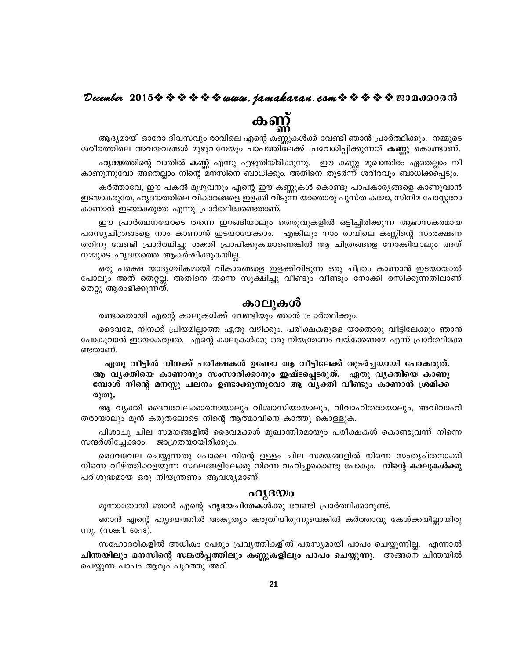#### December 2015 $\hat{\mathbf{v}} \hat{\mathbf{v}} \hat{\mathbf{v}} \hat{\mathbf{v}} \hat{\mathbf{v}} \hat{\mathbf{v}}$  we want, jamakaran, com  $\hat{\mathbf{v}} \hat{\mathbf{v}} \hat{\mathbf{v}} \hat{\mathbf{v}}$   $\hat{\mathbf{v}}$  and  $\hat{\mathbf{v}}$

കണ്ണ്

ആദ്യമായി ഓരോ ദിവസവും രാവിലെ എന്റെ കണ്ണുകൾക്ക് വേണ്ടി ഞാൻ പ്രാർത്ഥിക്കും. നമ്മുടെ ശരീരത്തിലെ അവയവങ്ങൾ മുഴുവനേയും പാപത്തിലേക്ക് പ്രവേശിപ്പിക്കുന്നത് **കണ്ണു** കൊണ്ടാണ്. ഹൃദയത്തിന്റെ വാതിൽ കണ്ണ് എന്നു എഴുതിയിരിക്കുന്നു. ഈ കണ്ണു മുഖാന്തിരം ഏതെല്ലാം നീ കാണുന്നുവോ അതെല്ലാം നിന്റെ മനസിനെ ബാധിക്കും. അതിനെ തുടർന്ന് ശരീരവും ബാധിക്കപ്പെടും.

കർത്താവേ, ഈ പകൽ മുഴുവനും എന്റെ ഈ കണ്ണുകൾ കൊണ്ടു പാപകാര്യങ്ങളെ കാണുവാൻ ഇടയാകരുതേ, ഹൃദയത്തിലെ വികാരങ്ങളെ ഇളക്കി വിടുന്ന യാതൊരു പുസ്ത കമോ, സിനിമ പോസ്റ്ററോ കാണാൻ ഇടയാകരുതേ എന്നു പ്രാർത്ഥിക്കേണ്ടതാണ്.

ഈ പ്രാർത്ഥനയോടെ തന്നെ ഇറങ്ങിയാലും തെരുവുകളിൽ ഒട്ടിച്ചിരിക്കുന്ന ആഭാസകരമായ പരസ്യചിത്രങ്ങളെ നാം കാണാൻ ഇടയായേക്കാം. എങ്കിലും നാം രാവിലെ കണ്ണിന്റെ സംരക്ഷണ ത്തിനു വേണ്ടി പ്രാർത്ഥിച്ചു ശക്തി പ്രാപിക്കുകയാണെങ്കിൽ ആ ചിത്രങ്ങളെ നോക്കിയാലും അത് നമ്മുടെ ഹൃദയത്തെ ആകർഷിക്കുകയില്ല.

ഒരു പക്ഷെ യാദൃശ്ചികമായി വികാരങ്ങളെ ഇളക്കിവിടുന്ന ഒരു ചിത്രം കാണാൻ ഇടയായാൽ പോലും അത് തെറ്റല്ല. അതിനെ തന്നെ സൂക്ഷിച്ചു വീണ്ടും വീണ്ടും നോക്കി രസിക്കുന്നതിലാണ് തെറ്റു ആരംഭിക്കുന്നത്.

#### കാലുകൾ

രണ്ടാമതായി എന്റെ കാലുകൾക്ക് വേണ്ടിയും ഞാൻ പ്രാർത്ഥിക്കും.

ദൈവമേ, നിനക്ക് പ്രിയമില്ലാത്ത ഏതു വഴിക്കും, പരീക്ഷകളുള്ള യാതൊരു വീട്ടിലേക്കും ഞാൻ പോകുവാൻ ഇടയാകരുതേ. എന്റെ കാലുകൾക്കു ഒരു നിയന്ത്രണം വയ്ക്കേണമേ എന്ന് പ്രാർത്ഥിക്കേ ണ്ടതാണ്.

ഏതു വീട്ടിൽ നിനക്ക് പരീക്ഷകൾ ഉണ്ടോ ആ വീട്ടിലേക്ക് തുടർച്ചയായി പോകരുത്. ആ വൃക്തിയെ കാണാനും സംസാരിക്കാനും ഇഷ്ടപ്പെടരുത്. ഏതു വൃക്തിയെ കാണു മ്പോൾ നിന്റെ മനസ്സു ചലനം ഉണ്ടാക്കുന്നുവോ ആ വ്യക്തി വീണ്ടും കാണാൻ ശ്രമിക്ക രുതു.

ആ വൃക്തി ദൈവവേലക്കാരനായാലും വിശ്വാസിയായാലും, വിവാഹിതരായാലും, അവിവാഹി തരായാലും മുൻ കരുതലോടെ നിന്റെ ആത്മാവിനെ കാത്തു കൊള്ളുക.

പിശാചു ചില സമയങ്ങളിൽ ദൈവമക്കൾ മുഖാന്തിരമായും പരീക്ഷകൾ കൊണ്ടുവന്ന് നിന്നെ സന്ദർശിച്ചേക്കാം. ജാഗ്രതയായിരിക്കുക.

ദൈവവേല ചെയ്യുന്നതു പോലെ നിന്റെ ഉള്ളം ചില സമയങ്ങളിൽ നിന്നെ സംതൃപ്തനാക്കി നിന്നെ വീഴ്ത്തിക്കളയുന്ന സ്ഥലങ്ങളിലേക്കു നിന്നെ വഹിച്ചുകൊണ്ടു പോകും. നിന്റെ കാലുകൾക്കു പരിശുദ്ധമായ ഒരു നിയന്ത്രണം ആവശ്യമാണ്.

#### ഹൃദയാ

മൂന്നാമതായി ഞാൻ എന്റെ **ഹൃദയചിന്തകൾ**ക്കു വേണ്ടി പ്രാർത്ഥിക്കാറുണ്ട്.

ഞാൻ എന്റെ ഹൃദയത്തിൽ അകൃത്യം കരുതിയിരുന്നുവെങ്കിൽ കർത്താവു കേൾക്കയില്ലായിരു m). (സങ്കീ. 60:18).

സഹോദരികളിൽ അധികം പേരും പ്രവൃത്തികളിൽ പരസ്യമായി പാപം ചെയ്യുന്നില്ല. എന്നാൽ ചിന്തയിലും മനസിന്റെ സങ്കൽപ്പത്തിലും കണ്ണുകളിലും പാപം ചെയ്യുന്നു. അങ്ങനെ ചിന്തയിൽ ചെയ്യുന്ന പാപം ആരും പുറത്തു അറി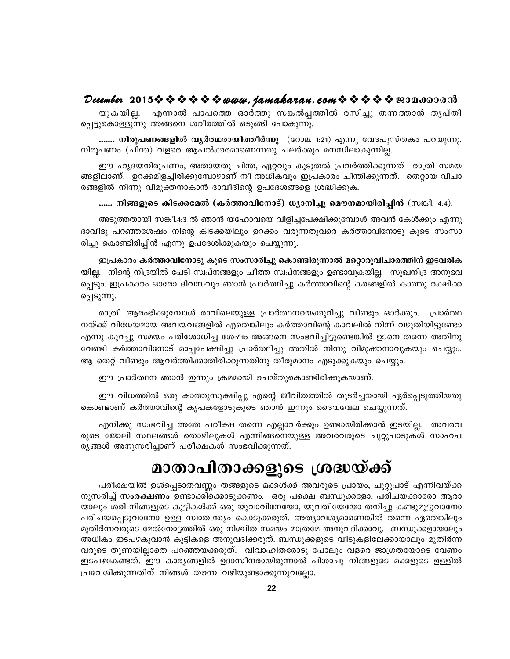#### December 2015  $\rightsquigarrow \rightsquigarrow \rightsquigarrow \rightsquigarrow$  www.jamakaran.com  $\rightsquigarrow \rightsquigarrow \rightsquigarrow \rightsquigarrow$  sepandorom

എന്നാൽ പാപത്തെ ഓർത്തു സങ്കൽപ്പത്തിൽ രസിച്ചു തന്നത്താൻ തൃപ്തി യുകയില്ല. പ്പെട്ടുകൊള്ളുന്നു അങ്ങനെ ശരീരത്തിൽ ഒടുങ്ങി പോകുന്നു.

....... നിരൂപണങ്ങളിൽ വൃർത്ഥരായിത്തീർന്നു (റോമ. 1:21) എന്നു വേദപുസ്തകം പറയുന്നു. നിരൂപണം (ചിന്ത) വളരെ ആപൽക്കരമാണെന്നതു പലർക്കും മനസിലാകുന്നില്ല.

ഈ ഹൃദയനിരുപണം, അതായതു ചിന്ത, ഏറ്റവും കൂടുതൽ പ്രവർത്തിക്കുന്നത് രാത്രി സമയ ങ്ങളിലാണ്. ഉറക്കമിളച്ചിരിക്കുമ്പോഴാണ് നീ അധികവും ഇപ്രകാരം ചിന്തിക്കുന്നത്. തെറ്റായ വിചാ രങ്ങളിൽ നിന്നു വിമുക്തനാകാൻ ദാവീദിന്റെ ഉപദേശങ്ങളെ ശ്രദ്ധിക്കുക.

...... നിങ്ങളുടെ കിടക്കമേൽ (കർത്താവിനോട്) ധ്യാനിച്ചു മൌനമായിരിപ്പിൻ (സങ്കീ. 4:4).

അടുത്തതായി സങ്കീ.4:3 ൽ ഞാൻ യഹോവയെ വിളിച്ചപേക്ഷിക്കുമ്പോൾ അവൻ കേൾക്കും എന്നു ദാവീദു പറഞ്ഞശേഷം നിന്റെ കിടക്കയിലും ഉറക്കം വരുന്നതുവരെ കർത്താവിനോടു കൂടെ സംസാ രിച്ചു കൊണ്ടിരിപ്പിൻ എന്നു ഉപദേശിക്കുകയും ചെയ്യുന്നു.

ഇപ്രകാരം കർത്താവിനോടു കൂടെ സംസാരിച്ചു കൊണ്ടിരുന്നാൽ മറ്റൊരുവിചാരത്തിന് ഇടവരിക യില്ല. നിന്റെ നിദ്രയിൽ പേടി സ്വപ്നങ്ങളും ചീത്ത സ്വപ്നങ്ങളും ഉണ്ടാവുകയില്ല. സുഖനിദ്ര അനുഭവ പ്പെടും. ഇപ്രകാരം ഓരോ ദിവസവും ഞാൻ പ്രാർത്ഥിച്ചു കർത്താവിന്റെ കരങ്ങളിൽ കാത്തു രക്ഷിക്ക പ്പെടുന്നു.

രാത്രി ആരംഭിക്കുമ്പോൾ രാവിലെയുള്ള പ്രാർത്ഥനയെക്കുറിച്ചു വീണ്ടും ഓർക്കും. പ്രാർത്ഥ നയ്ക്ക് വിധേയമായ അവയവങ്ങളിൽ എതെങ്കിലും കർത്താവിന്റെ കാവലിൽ നിന്ന് വഴുതിയിട്ടുണ്ടോ എന്നു കുറച്ചു സമയം പരിശോധിച്ച ശേഷം അങ്ങനെ സംഭവിച്ചിട്ടുണ്ടെങ്കിൽ ഉടനെ തന്നെ അതിനു വേണ്ടി കർത്താവിനോട് മാപ്പപേക്ഷിച്ചു പ്രാർത്ഥിച്ചു അതിൽ നിന്നു വിമുക്തനാവുകയും ചെയ്യും. ആ തെറ്റ് വീണ്ടും ആവർത്തിക്കാതിരിക്കുന്നതിനു തീരുമാനം എടുക്കുകയും ചെയ്യും.

ഈ പ്രാർത്ഥന ഞാൻ ഇന്നും ക്രമമായി ചെയ്തുകൊണ്ടിരിക്കുകയാണ്.

ഈ വിധത്തിൽ ഒരു കാത്തുസൂക്ഷിപ്പു എന്റെ ജീവിതത്തിൽ തുടർച്ചയായി ഏർപ്പെടുത്തിയതു കൊണ്ടാണ് കർത്താവിന്റെ കൃപകളോടുകൂടെ ഞാൻ ഇന്നും ദൈവവേല ചെയ്യുന്നത്.

എനിക്കു സംഭവിച്ച അതേ പരീക്ഷ തന്നെ എല്ലാവർക്കും ഉണ്ടായിരിക്കാൻ ഇടയില്ല. അവരവ രുടെ ജോലി സ്ഥലങ്ങൾ തൊഴിലുകൾ എന്നിങ്ങനെയുള്ള അവരവരുടെ ചുറ്റുപാടുകൾ സാഹച ര്യങ്ങൾ അനുസരിച്ചാണ് പരീക്ഷകൾ സംഭവിക്കുന്നത്.

# മാതാപിതാക്കളുടെ ശ്രദ്ധയ്ക്ക്

പരീക്ഷയിൽ ഉൾപ്പെടാതവണ്ണം തങ്ങളുടെ മക്കൾക്ക് അവരുടെ പ്രായം, ചുറ്റുപാട് എന്നിവയ്ക്ക നുസരിച്ച് **സംരക്ഷണം** ഉണ്ടാക്കിക്കൊടുക്കണം. ഒരു പക്ഷെ ബന്ധുക്കളോ, പരിചയക്കാരോ ആരാ യാലും ശരി നിങ്ങളുടെ കുട്ടികൾക്ക് ഒരു യുവാവിനേയോ, യുവതിയേയോ തനിച്ചു കണ്ടുമുട്ടുവാനോ പരിചയപ്പെടുവാനോ ഉള്ള സ്വാതന്ത്ര്യം കൊടുക്കരുത്. അത്യാവശ്യമാണെങ്കിൽ തന്നെ ഏതെങ്കിലും മുതിർന്നവരുടെ മേൽനോട്ടത്തിൽ ഒരു നിശ്ചിത സമയം മാത്രമേ അനുവദിക്കാവൂ. ബന്ധുക്കളായാലും അധികം ഇടപഴകുവാൻ കുട്ടികളെ അനുവദിക്കരുത്. ബന്ധുക്കളുടെ വീടുകളിലേക്കായാലും മുതിർന്ന വരുടെ തുണയില്ലാതെ പറഞ്ഞയക്കരുത്. വിവാഹിതരോടു പോലും വളരെ ജാഗ്രതയോടെ വേണം ഇടപഴകേണ്ടത്. ഈ കാര്യങ്ങളിൽ ഉദാസീനരായിരുന്നാൽ പിശാചു നിങ്ങളുടെ മക്കളുടെ ഉള്ളിൽ പ്രവേശിക്കുന്നതിന് നിങ്ങൾ തന്നെ വഴിയുണ്ടാക്കുന്നുവല്ലോ.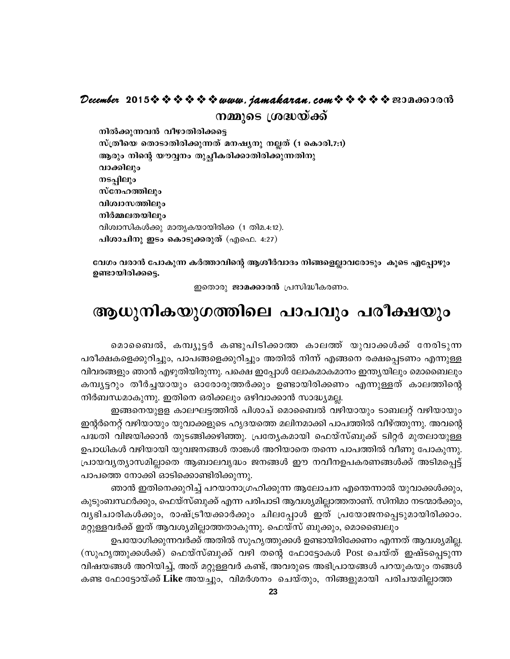#### December 2015 $\rightsquigarrow \rightsquigarrow \rightsquigarrow \rightsquigarrow \omega$  were jamakaran.com  $\rightsquigarrow \rightsquigarrow \rightsquigarrow \rightsquigarrow \omega$  2014600016 നമ്മുടെ ശ്രദ്ധയ്ക്ക്

നിൽക്കുന്നവൻ വീഴാതിരിക്കട്ടെ സ്ത്രീയെ തൊടാതിരിക്കുന്നത് മനഷ്യനു നല്ലത് (1 കൊരി.7:1) ആരും നിന്റെ യൗവ്വനം തുച്ചീകരിക്കാതിരിക്കുന്നതിനു വാക്കിലും നടപ്പിലും സ്നേഹത്തിലും വിശ്വാസത്തിലും നിർമ്മലതയിലും വിശ്വാസികൾക്കു മാതൃകയായിരിക്ക (1 തിമ.4:12). പിശാചിനു ഇടം കൊടുക്കരുത് (എഫെ. 4:27)

വേഗം വരാൻ പോകുന്ന കർത്താവിന്റെ ആശീർവാദം നിങ്ങളെല്ലാവരോടും കൂടെ എപ്പോഴും ഉണ്ടായിരിക്കട്ടെ.

ഇതൊരു ജാമക്കാരൻ പ്രസിദ്ധീകരണം.

#### ആധുനികയുഗത്തിലെ പാപവും പരീക്ഷയും

മൊബൈൽ, കമ്പ്യൂട്ടർ കണ്ടുപിടിക്കാത്ത കാലത്ത് യുവാക്കൾക്ക് നേരിടുന്ന പരീക്ഷകളെക്കുറിച്ചും, പാപങ്ങളെക്കുറിച്ചും അതിൽ നിന്ന് എങ്ങനെ രക്ഷപ്പെടണം എന്നുള്ള വിവരങ്ങളും ഞാൻ എഴുതിയിരുന്നു. പക്ഷെ ഇപ്പോൾ ലോകമാകമാനം ഇന്ത്യയിലും മൊബൈലും കമ്പ്യട്ടറും തീർച്ചയായും ഓരോരുത്തർക്കും ഉണ്ടായിരിക്കണം എന്നുള്ളത് കാലത്തിന്റെ നിർബന്ധമാകുന്നു. ഇതിനെ ഒരിക്കലും ഒഴിവാക്കാൻ സാദ്ധ്യമല്ല.

ഇങ്ങനെയുളള കാലഘട്ടത്തിൽ പിശാച് മൊബൈൽ വഴിയായും ടാബലറ്റ് വഴിയായും ഇന്റർനെറ്റ് വഴിയായും യുവാക്കളുടെ ഹൃദയത്തെ മലിനമാക്കി പാപത്തിൽ വീഴ്ത്തുന്നു. അവന്റെ പദ്ധതി വിജയിക്കാൻ തുടങ്ങിക്കഴിഞ്ഞു. പ്രത്യേകമായി ഫെയ്സ്ബുക്ക് ട്വിറ്റർ മുതലായുള്ള ഉപാധികൾ വഴിയായി യുവജനങ്ങൾ താങ്കൾ അറിയാതെ തന്നെ പാപത്തിൽ വീണു പോകുന്നു. പ്രായവൃത്യാസമില്ലാതെ ആബാലവൃദ്ധം ജനങ്ങൾ ഈ നവീനഉപകരണങ്ങൾക്ക് അടിമപ്പെട്ട് പാപത്തെ നോക്കി ഓടിക്കൊണ്ടിരിക്കുന്നു.

ഞാൻ ഇതിനെക്കുറിച്ച് പറയാനാഗ്രഹിക്കുന്ന ആലോചന എന്തെന്നാൽ യുവാക്കൾക്കും, കുടുംബസ്ഥർക്കും, ഫെയ്സ്ബുക്ക് എന്ന പരിപാടി ആവശ്യമില്ലാത്തതാണ്. സിനിമാ നടന്മാർക്കും, വൃഭിചാരികൾക്കും, രാഷ്ട്രീയക്കാർക്കും ചിലപ്പോൾ ഇത് പ്രയോജനപ്പെടുമായിരിക്കാം. മറ്റുള്ളവർക്ക് ഇത് ആവശ്യമില്ലാത്തതാകുന്നു. ഫെയ്സ് ബുക്കും, മൊബൈലും

ഉപയോഗിക്കുന്നവർക്ക് അതിൽ സുഹൃത്തുക്കൾ ഉണ്ടായിരിക്കേണം എന്നത് ആവശ്യമില്ല. (സുഹൃത്തുക്കൾക്ക്) ഫെയ്സ്ബുക്ക് വഴി തന്റെ ഫോട്ടോകൾ Post ചെയ്ത് ഇഷ്ടപ്പെടുന്ന വിഷയങ്ങൾ അറിയിച്ച്, അത് മറ്റുള്ളവർ കണ്ട്, അവരുടെ അഭിപ്രായങ്ങൾ പറയുകയും തങ്ങൾ കണ്ട ഫോട്ടോയ്ക്ക് Like അയച്ചും, വിമർശനം ചെയ്തും, നിങ്ങളുമായി പരിചയമില്ലാത്ത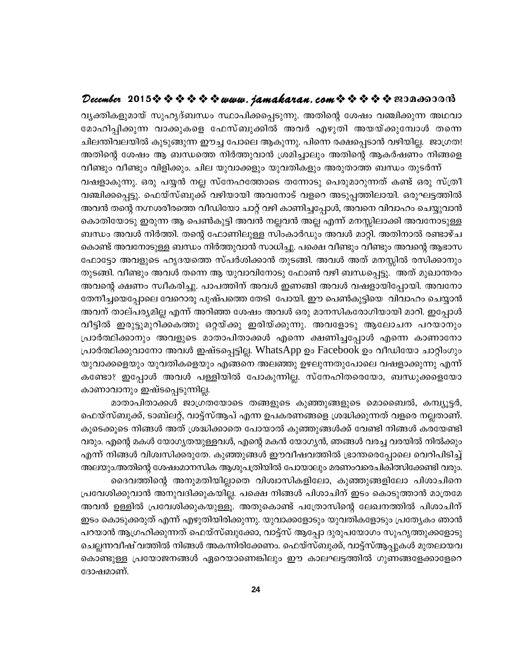#### December 2015 \* \* \* \* \* \* www.jamakaran.com \* \* \* \* \* \* 2010

വ്യക്തികളുമായ് സുഹൃദ്ബന്ധം സ്ഥാപിക്കപ്പെടുന്നു. അതിന്റെ ശേഷം വഞ്ചിക്കുന്ന അഥവാ മോഹിപ്പിക്കുന്ന വാക്കുകളെ ഫേസ്ബുക്കിൽ അവർ എഴുതി അയയ്ക്കുമ്പോൾ തന്നെ ചിലന്തിവലയിൽ കുടുങ്ങുന്ന ഈച്ച പോലെ ആകുന്നു. പിന്നെ രക്ഷപ്പെടാൻ വഴിയില്ല. ജാഗ്രത! അതിന്റെ ശേഷം ആ ബന്ധത്തെ നിർത്തുവാൻ ശ്രമിച്ചാലും അതിന്റെ ആകർഷണം നിങ്ങളെ

വീണ്ടും വീണ്ടും വിളിക്കും. ചില യുവാക്കളും യുവതികളും അരുതാത്ത ബന്ധം തുടർന്ന് വഷളാകുന്നു. ഒരു പയ്യൻ നല്ല സ്നേഹത്തോടെ തന്നോടു പെരുമാറുന്നത് കണ്ട് ഒരു സ്ത്രീ വഞ്ചിക്കപ്പെട്ടു. ഫെയ്സ്ബുക്ക് വഴിയായി അവനോട് വളറെ അടുപ്പത്തിലായി. ഒരുഘട്ടത്തിൽ അവൻ തന്റെ നഗ്നശരീരത്തെ വീഡിയോ ചാറ്റ് വഴി കാണിച്ചപ്പോൾ, അവനെ വിവാഹം ചെയ്യുവാൻ കൊതിയോടു ഇരുന്ന ആ പെൺകുട്ടി അവൻ നല്ലവൻ അല്ല എന്ന് മനസ്സിലാക്കി അവനോടുള്ള ബന്ധം അവൾ നിർത്തി. തന്റെ ഫോണിലുള്ള സിംകാർഡും അവൾ മാറ്റി. അതിനാൽ രണ്ടാഴ്ച കൊണ്ട് അവനോടുള്ള ബന്ധം നിർത്തുവാൻ സാധിച്ചു. പക്ഷെ വീണ്ടും വീണ്ടും അവന്റെ ആഭാസ ഫോട്ടോ അവളുടെ ഹൃദയത്തെ സ്പർശിക്കാൻ തുടങ്ങി. അവൾ അത് മനസ്സിൽ രസിക്കാനും തുടങ്ങി. വീണ്ടും അവൾ തന്നെ ആ യുവാവിനോടു ഫോൺ വഴി ബന്ധപ്പെട്ടു. അത് മുഖാന്തരം അവന്റെ ക്ഷണം സ്വീകരിച്ചു. പാപത്തിന് അവൾ ഇണങ്ങി അവൾ വഷളായിപ്പോയി. അവനോ തേനീച്ചയെപ്പോലെ വേറൊരു പുഷ്പത്തെ തേടി പോയി. ഈ പെൺകുട്ടിയെ വിവാഹം ചെയ്യാൻ അവന് താല്പര്യമില്ല എന്ന് അറിഞ്ഞ ശേഷം അവൾ ഒരു മാനസികരോഗിയായി മാറി. ഇപ്പോൾ വീട്ടിൽ ഇരുട്ടുമുറിക്കകത്തു ഒറ്റയ്ക്കു ഇരിയ്ക്കുന്നു. അവളോടു ആലോചന പറയാനും പ്രാർത്ഥിക്കാനും അവളുടെ മാതാപിതാക്കൾ എന്നെ ക്ഷണിച്ചപ്പോൾ എന്നെ കാണാനോ പ്രാർത്ഥിക്കുവാനോ അവൾ ഇഷ്ടപ്പെട്ടില്ല. WhatsApp ഉം Facebook ഉം വീഡിയോ ചാറ്റിംഗും യുവാക്കളെയും യുവതികളെയും എങ്ങനെ അലഞ്ഞു ഉഴലുന്നതുപോലെ വഷളാക്കുന്നു എന്ന് കണ്ടോ? ഇപ്പോൾ അവൾ പള്ളിയിൽ പോകുന്നില്ല. സ്നേഹിതരെയോ, ബന്ധുക്കളെയോ കാണാവാനും ഇഷ്ടപ്പെടുന്നില്ല.

മാതാപിതാക്കൾ ജാഗ്രതയോടെ തങ്ങളുടെ കുഞ്ഞുങ്ങളുടെ മൊബൈൽ, കമ്പ്യൂട്ടർ, ഫെയ്സ്ബുക്ക്, ടാബ്ലറ്റ്, വാട്ട്സ്ആപ് എന്ന ഉപകരണങ്ങളെ ശ്രദ്ധിക്കുന്നത് വളരെ നല്ലതാണ്. കൂടെക്കൂടെ നിങ്ങൾ അത് ശ്രദ്ധിക്കാതെ പോയാൽ കുഞ്ഞുങ്ങൾക്ക് വേണ്ടി നിങ്ങൾ കരയേണ്ടി വരും. എന്റെ മകൾ യോഗ്യതയുള്ളവൾ, എന്റെ മകൻ യോഗ്യൻ, ഞങ്ങൾ വരച്ച വരയിൽ നിൽക്കും .എന്ന് നിങ്ങൾ വിശ്വസിക്കരുതേ. കുഞ്ഞുങ്ങൾ ഈവീഷവത്തിൽ ഭ്രാന്തരെപ്പോലെ വെറിപിടിച്ച് അലയും.അതിന്റെ ശേഷംമാനസിക ആശുപത്രിയിൽ പോയാലും മരണംവരെചികിത്സിക്കേണ്ടി വരും. ദൈവത്തിന്റെ അനുമതിയില്ലാതെ വിശ്വാസികളിലോ, കുഞ്ഞുങ്ങളിലോ പിശാചിനെ

പ്രവേശിക്കുവാൻ അനുവദിക്കുകയില്ല. പക്ഷെ നിങ്ങൾ പിശാചിന് ഇടം കൊടുത്താൻ മാത്രമേ അവൻ ഉള്ളിൽ പ്രവേശിക്കുകയുള്ളൂ. അതുകൊണ്ട് പത്രോസിന്റെ ലേഖനത്തിൽ പിശാചിന് . ഇടം കൊടുക്കരുത് എന്ന് എഴുതിയിരിക്കുന്നു. യുവാക്കളോടും യുവതികളോടും പ്രത്യേകം ഞാൻ പറയാൻ ആഗ്രഹിക്കുന്നത് ഫെയ്സ്ബുക്കോ, വാട്ട്സ് ആപ്പോ ദുരുപയോഗം സുഹൃത്തുക്കളോടു ചെല്ലന്നവീഷ് വത്തിൽ നിങ്ങൾ അകന്നിരിക്കേണം. ഫെയ്സ്ബുക്ക്, വാട്ട്സ്ആപ്പുകൾ മുതലായവ കൊണ്ടുള്ള പ്രയോജനങ്ങൾ ഏറെയാണെങ്കിലും ഈ കാലഘട്ടത്തിൽ ഗുണങ്ങളേക്കാളേറെ ദോഷമാണ്.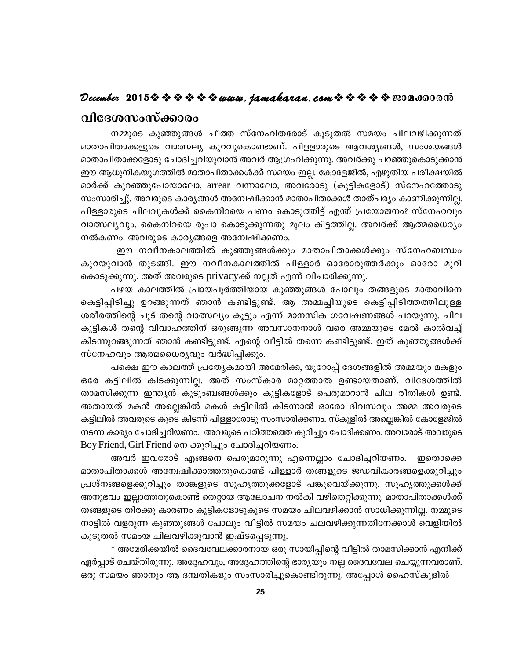#### December 2015 $\rightsquigarrow \rightsquigarrow \rightsquigarrow \rightsquigarrow \rightsquigarrow$  www.jamakaran.com  $\rightsquigarrow \rightsquigarrow \rightsquigarrow \rightsquigarrow$  negation on വിദേശസംസ്ക്കാരം

നമ്മുടെ കുഞ്ഞുങ്ങൾ ചീത്ത സ്നേഹിതരോട് കൂടുതൽ സമയം ചിലവഴിക്കുന്നത് മാതാപിതാക്കളുടെ വാത്സല്യ കുറവുകൊണ്ടാണ്. പിളളാരുടെ ആവശ്യങ്ങൾ, സംശയങ്ങൾ മാതാപിതാക്കളോടു ചോദിച്ചറിയുവാൻ അവർ ആഗ്രഹിക്കുന്നു. അവർക്കു പറഞ്ഞുകൊടുക്കാൻ ഈ ആധുനികയുഗത്തിൽ മാതാപിതാക്കൾക്ക് സമയം ഇല്ല. കോളേജിൽ, എഴുതിയ പരീക്ഷയിൽ മാർക്ക് കുറഞ്ഞുപോയാലോ, arrear വന്നാലോ, അവരോടു (കുട്ടികളോട്) സ്നേഹത്തോടു സംസാരിച്ചു്. അവരുടെ കാര്യങ്ങൾ അന്വേഷിക്കാൻ മാതാപിതാക്കൾ താത്പര്യം കാണിക്കുന്നില്ല. പിള്ളാരുടെ ചിലവുകൾക്ക് കൈനിറയെ പണം കൊടുത്തിട്ട് എന്ത് പ്രയോജനം? സ്നേഹവും വാത്സല്യവും, കൈനിറയെ രൂപാ കൊടുക്കുന്നതു മൂലം കിട്ടത്തില്ല. അവർക്ക് ആത്മധൈര്യം നൽകണം. അവരുടെ കാര്യങ്ങളെ അന്വേഷിക്കണം.

ഈ നവീനകാലത്തിൽ കുഞ്ഞുങ്ങൾക്കും മാതാപിതാക്കൾക്കും സ്നേഹബന്ധം കുറയുവാൻ തുടങ്ങി. ഈ നവീനകാലത്തിൽ പിള്ളാർ ഓരോരുത്തർക്കും ഓരോ മുറി കൊടുക്കുന്നു. അത് അവരുടെ privacyക്ക് നല്ലത് എന്ന് വിചാരിക്കുന്നു.

പഴയ കാലത്തിൽ പ്രായപൂർത്തിയായ കുഞ്ഞുങ്ങൾ പോലും തങ്ങളുടെ മാതാവിനെ കെട്ടിപ്പിടിച്ചു ഉറങ്ങുന്നത് ഞാൻ കണ്ടിട്ടുണ്ട്. ആ അമ്മച്ചിയുടെ കെട്ടിപ്പിടിത്തത്തിലുള്ള ശരീരത്തിന്റെ ചൂട് തന്റെ വാത്സല്യം കൂട്ടും എന്ന് മാനസിക ഗവേഷണങ്ങൾ പറയുന്നു. ചില കുട്ടികൾ തന്റെ വിവാഹത്തിന് ഒരുങ്ങുന്ന അവസാനനാൾ വരെ അമ്മയുടെ മേൽ കാൽവച്ച് കിടന്നുറങ്ങുന്നത് ഞാൻ കണ്ടിട്ടുണ്ട്. എന്റെ വീട്ടിൽ തന്നെ കണ്ടിട്ടുണ്ട്. ഇത് കുഞ്ഞുങ്ങൾക്ക് സ്നേഹവും ആത്മധൈര്യവും വർദ്ധിപ്പിക്കും.

പക്ഷെ ഈ കാലത്ത് പ്രത്യേകമായി അമേരിക്ക, യൂറോപ്പ് ദേശങ്ങളിൽ അമ്മയും മകളും ഒരേ കട്ടിലിൽ കിടക്കുന്നില്ല. അത് സംസ്കാര മാറ്റത്താൽ ഉണ്ടായതാണ്. വിദേശത്തിൽ താമസിക്കുന്ന ഇന്ത്യൻ കുടുംബങ്ങൾക്കും കുട്ടികളോട് പെരുമാറാൻ ചില രീതികൾ ഉണ്ട്. അതായത് മകൻ അല്ലെങ്കിൽ മകൾ കട്ടിലിൽ കിടന്നാൽ ഓരോ ദിവസവും അമ്മ അവരുടെ കട്ടിലിൽ അവരുടെ കൂടെ കിടന്ന് പിള്ളാരോടു സംസാരിക്കണം. സ്കൂളിൽ അല്ലെങ്കിൽ കോളേജിൽ നടന്ന കാര്യം ചോദിച്ചറിയണം. അവരുടെ പഠിത്തത്തെ കുറിച്ചും ചോദിക്കണം. അവരോട് അവരുടെ Boy Friend, Girl Friend നെ ക്കുറിച്ചും ചോദിച്ചറിയണം.

അവർ ഇവരോട് എങ്ങനെ പെരുമാറുന്നു എന്നെല്ലാം ചോദിച്ചറിയണം. ഇതൊക്കെ മാതാപിതാക്കൾ അന്വേഷിക്കാത്തതുകൊണ്ട് പിള്ളാർ തങ്ങളുടെ ജഡവികാരങ്ങളെക്കുറിച്ചും പ്രശ്നങ്ങളെക്കുറിച്ചും താങ്കളുടെ സുഹൃത്തുക്കളോട് പങ്കുവെയ്ക്കുന്നു. സുഹൃത്തുക്കൾക്ക് അനുഭവം ഇല്ലാത്തതുകൊണ്ട് തെറ്റായ ആലോചന നൽകി വഴിതെറ്റിക്കുന്നു. മാതാപിതാക്കൾക്ക് തങ്ങളുടെ തിരക്കു കാരണം കുട്ടികളോടുകൂടെ സമയം ചിലവഴിക്കാൻ സാധിക്കുന്നില്ല. നമ്മുടെ നാട്ടിൽ വളരുന്ന കുഞ്ഞുങ്ങൾ പോലും വീട്ടിൽ സമയം ചലവഴിക്കുന്നതിനേക്കാൾ വെളിയിൽ കൂടുതൽ സമംയ ചിലവഴിക്കുവാൻ ഇഷ്ടപ്പെടുന്നു.

\* അമേരിക്കയിൽ ദൈവവേലക്കാരനായ ഒരു സായിപ്പിന്റെ വീട്ടിൽ താമസിക്കാൻ എനിക്ക് ഏർപ്പാട് ചെയ്തിരുന്നു. അദ്ദേഹവും, അദ്ദേഹത്തിന്റെ ഭാര്യയും നല്ല ദൈവവേല ചെയ്യുന്നവരാണ്. ഒരു സമയം ഞാനും ആ ദമ്പതികളും സംസാരിച്ചുകൊണ്ടിരുന്നു. അപ്പോൾ ഹൈസ്കൂളിൽ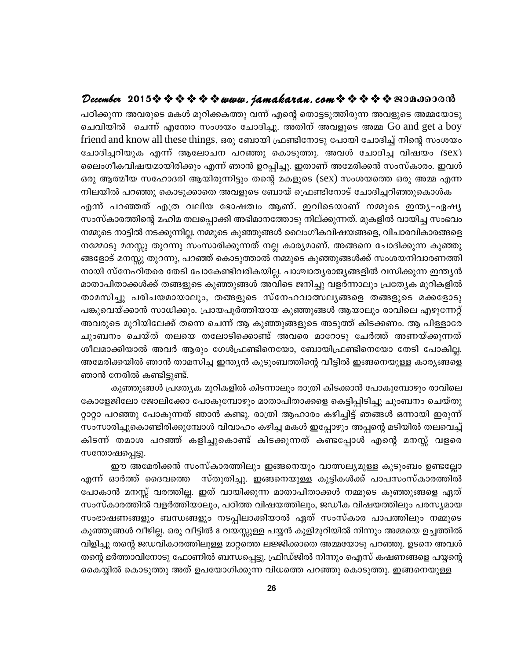#### December 2015 $\hat{\mathbf{v}} \cdot \hat{\mathbf{v}} \cdot \hat{\mathbf{v}} \cdot \hat{\mathbf{v}} \cdot \hat{\mathbf{v}}$  www.jamakaran.com  $\hat{\mathbf{v}} \cdot \hat{\mathbf{v}} \cdot \hat{\mathbf{v}} \cdot \hat{\mathbf{v}}$  en ano so d

പഠിക്കുന്ന അവരുടെ മകൾ മുറിക്കകത്തു വന്ന് എന്റെ തൊട്ടടുത്തിരുന്ന അവളുടെ അമ്മയോടു ചെവിയിൽ ചെന്ന് എന്തോ സംശയം ചോദിച്ചു. അതിന് അവളുടെ അമ്മ Go and get a boy friend and know all these things, ഒരു ബോയി ഫ്രണ്ടിനോടു പോയി ചോദിച്ച് നിന്റെ സംശയം ചോദിച്ചറിയുക എന്ന് ആലോചന പറഞ്ഞു കൊടുത്തു. അവൾ ചോദിച്ച വിഷയം (sex) ലൈംഗീകവിഷയമായിരിക്കും എന്ന് ഞാൻ ഉറപ്പിച്ചു. ഇതാണ് അമേരിക്കൻ സംസ്കാരം. ഇവൾ ഒരു ആത്മീയ സഹോദരി ആയിരുന്നിട്ടും തന്റെ മകളുടെ (sex) സംശയത്തെ ഒരു അമ്മ എന്ന

നിലയിൽ പറഞ്ഞു കൊടുക്കാതെ അവളുടെ ബോയ് ഫ്രെണ്ടിനോട് ചോദിച്ചറിഞ്ഞുകൊൾക എന്ന് പറഞ്ഞത് എത്ര വലിയ ഭോഷത്വം ആണ്. ഇവിടെയാണ് നമ്മുടെ ഇന്ത്യ–ഏഷ്യ സംസ്കാരത്തിന്റെ മഹിമ തലപ്പൊക്കി അഭിമാനത്തോടു നില്ക്കുന്നത്. മുകളിൽ വായിച്ച സംഭവം നമ്മുടെ നാട്ടിൽ നടക്കുന്നില്ല. നമ്മുടെ കുഞ്ഞുങ്ങൾ ലൈംഗീകവിഷയങ്ങളെ, വിചാരവികാരങ്ങളെ നമ്മോടു മനസ്സു തുറന്നു സംസാരിക്കുന്നത് നല്ല കാര്യമാണ്. അങ്ങനെ ചോദിക്കുന്ന കുഞ്ഞു ങ്ങളോട് മനസ്സു തുറന്നു, പറഞ്ഞ് കൊടുത്താൽ നമ്മുടെ കുഞ്ഞുങ്ങൾക്ക് സംശയനിവാരണത്തി നായി സ്നേഹിതരെ തേടി പോകേണ്ടിവരികയില്ല. പാശ്ചാതൃരാജ്യങ്ങളിൽ വസിക്കുന്ന ഇന്ത്യൻ മാതാപിതാക്കൾക്ക് തങ്ങളുടെ കുഞ്ഞുങ്ങൾ അവിടെ ജനിച്ചു വളർന്നാലും പ്രത്യേക മുറികളിൽ താമസിച്ചു പരിചയമായാലും, തങ്ങളുടെ സ്നേഹവാത്സലൃങ്ങളെ തങ്ങളുടെ മക്കളോടു പങ്കുവെയ്ക്കാൻ സാധിക്കും. പ്രായപൂർത്തിയായ കുഞ്ഞുങ്ങൾ ആയാലും രാവിലെ എഴുന്നേറ്റ് അവരുടെ മുറിയിലേക്ക് തന്നെ ചെന്ന് ആ കുഞ്ഞുങ്ങളുടെ അടുത്ത് കിടക്കണം. ആ പിള്ളാരേ ചുംബനം ചെയ്ത് തലയെ തലോടിക്കൊണ്ട് അവരെ മാറോടു ചേർത്ത് അണയ്ക്കുന്നത് ശീലമാക്കിയാൽ അവർ ആരും ഗേൾഫ്രണ്ടിനെയോ, ബോയിഫ്രണ്ടിനെയോ തേടി പോകില്ല. അമേരിക്കയിൽ ഞാൻ താമസിച്ച ഇന്ത്യൻ കുടുംബത്തിന്റെ വീട്ടിൽ ഇങ്ങനെയുള്ള കാര്യങ്ങളെ ഞാൻ നേരിൽ കണ്ടിട്ടുണ്ട്.

കുഞ്ഞുങ്ങൾ പ്രത്യേക മുറികളിൽ കിടന്നാലും രാത്രി കിടക്കാൻ പോകുമ്പോഴും രാവിലെ കോളേജിലോ ജോലിക്കോ പോകുമ്പോഴും മാതാപിതാക്കളെ കെട്ടിപ്പിടിച്ചു ചുംബനം ചെയ്തു റ്റാറ്റാ പറഞ്ഞു പോകുന്നത് ഞാൻ കണ്ടു. രാത്രി ആഹാരം കഴിച്ചിട്ട് ഞങ്ങൾ ഒന്നായി ഇരുന്ന് സംസാരിച്ചുകൊണ്ടിരിക്കുമ്പോൾ വിവാഹം കഴിച്ച മകൾ ഇപ്പോഴും അപ്പന്റെ മടിയിൽ തലവെച്ച് കിടന്ന് തമാശ പറഞ്ഞ് കളിച്ചുകൊണ്ട് കിടക്കുന്നത് കണ്ടപ്പോൾ എന്റെ മനസ്സ് വളരെ സന്തോഷപ്പെട്ടു.

ഈ അമേരിക്കൻ സംസ്കാരത്തിലും ഇങ്ങനെയും വാത്സല്യമുള്ള കുടുംബം ഉണ്ടല്ലോ എന്ന് ഓർത്ത് ദൈവത്തെ സ്തുതിച്ചു. ഇങ്ങനെയുള്ള കുട്ടികൾക്ക് പാപസംസ്കാരത്തിൽ പോകാൻ മനസ്സ് വരത്തില്ല. ഇത് വായിക്കുന്ന മാതാപിതാക്കൾ നമ്മുടെ കുഞ്ഞുങ്ങളെ ഏത് സംസ്കാരത്തിൽ വളർത്തിയാലും, പഠിത്ത വിഷയത്തിലും, ജഡീക വിഷയത്തിലും പരസ്യമായ സംഭാഷണങ്ങളും ബന്ധങ്ങളും നടപ്പിലാക്കിയാൽ ഏത് സംസ്കാര പാപത്തിലും നമ്മുടെ കുഞ്ഞുങ്ങൾ വീഴില്ല. ഒരു വീട്ടിൽ 8 വയസ്സുള്ള പയ്യൻ കുളിമുറിയിൽ നിന്നും അമ്മയെ ഉച്ചത്തിൽ വിളിച്ചു തന്റെ ജഡവികാരത്തിലുള്ള മാറ്റത്തെ ലജ്ജിക്കാതെ അമ്മയോടു പറഞ്ഞു. ഉടനെ അവൾ തന്റെ ഭർത്താവിനോടു ഫോണിൽ ബന്ധപ്പെട്ടു. ഫ്രിഡ്ജിൽ നിന്നും ഐസ് കഷണങ്ങളെ പയ്യന്റെ കൈയ്യിൽ കൊടുത്തു അത് ഉപയോഗിക്കുന്ന വിധത്തെ പറഞ്ഞു കൊടുത്തു. ഇങ്ങനെയുള്ള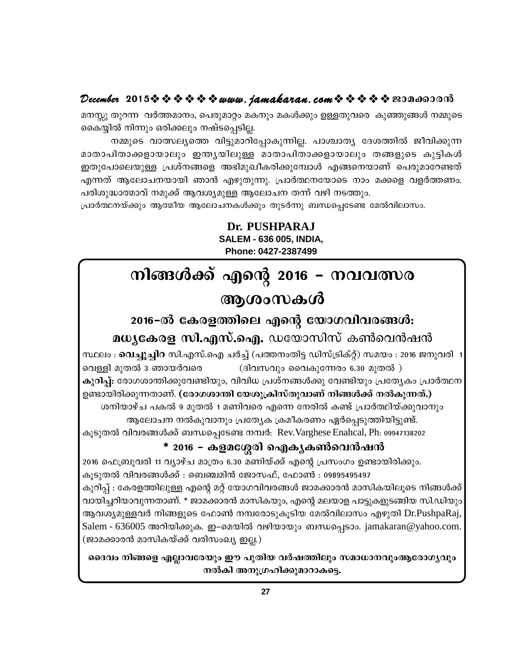#### December 2015 $\rightsquigarrow \rightsquigarrow \rightsquigarrow \rightsquigarrow \rightsquigarrow www.$  jamakaran.com  $\rightsquigarrow \rightsquigarrow \rightsquigarrow \rightsquigarrow \rightsquigarrow \text{exp}$

മനസ്സു തുറന്ന വർത്തമാനം, പെരുമാറ്റം മകനും മകൾക്കും ഉള്ളതുവരെ കുഞ്ഞുങ്ങൾ നമ്മുടെ കൈയ്യിൽ നിന്നും ഒരിക്കലും നഷ്ടപ്പെടില്ല.

നമ്മുടെ വാത്സല്യത്തെ വിട്ടുമാറിപ്പോകുന്നില്ല. പാശ്ചാത്യ ദേശത്തിൽ ജീവിക്കുന്ന മാതാപിതാക്കളായാലും ഇന്ത്യയിലുള്ള മാതാപിതാക്കളായാലും തങ്ങളുടെ കുട്ടികൾ ഇതുപോലെയുള്ള പ്രശ്നങ്ങളെ അഭിമുഖീകരിക്കുമ്പോൾ എങ്ങനെയാണ് പെരുമാറേണ്ടത് എന്നത് ആലോചനയായി ഞാൻ എഴുതുന്നു. പ്രാർത്ഥനയോടെ നാം മക്കളെ വളർത്തണം. പരിശുദ്ധാത്മാവ് നമുക്ക് ആവശ്യമുള്ള ആലോചന തന്ന് വഴി നടത്തും.

പ്രാർത്ഥനയ്ക്കും ആത്മീയ ആലോചനകൾക്കും തുടർന്നു ബന്ധപ്പെടേണ്ട മേൽവിലാസം.

Dr. PUSHPARAJ **SALEM - 636 005. INDIA.** Phone: 0427-2387499

# നിങ്ങൾക്ക് എന്റെ 2016 – നവവത്സര ആശംസകൾ

# 2016-ൽ കേരളത്തിലെ എന്റെ യോഗവിവരങ്ങൾ:

മധ്യകേരള സി.എസ്.ഐ. ഡയോസിസ് കൺവെൻഷൻ

സ്ഥലം : **വെച്ചുച്ചിറ** സി.എസ്.ഐ ചർച്ച് (പത്തനംതിട്ട ഡിസ്ട്രിക്റ്റ്) സമയം : 2016 ജനുവരി 1 വെള്ളി മുതൽ 3 ഞായർവരെ (ദിവസവും വൈകുന്നേരം 6.30 മുതൽ ) കുറിപ്പ്: രോഗശാന്തിക്കുവേണ്ടിയും, വിവിധ പ്രശ്നങ്ങൾക്കു വേണ്ടിയും പ്രത്യേകം പ്രാർത്ഥന ഉണ്ടായിരിക്കുന്നതാണ്. (രോഗശാന്തി യേശുക്രിസ്തുവാണ് നിങ്ങൾക്ക് നൽകുന്നത്.) ശനിയാഴ്ച പകൽ 9 മുതൽ 1 മണിവരെ എന്നെ നേരിൽ കണ്ട് പ്രാർത്ഥിയ്ക്കുവാനും ആലോചന നൽകുവാനും പ്രത്യേക ക്രമീകരണം ഏർപ്പെടുത്തിയിട്ടുണ്ട്.

കൂടുതൽ വിവരങ്ങൾക്ക് ബന്ധപ്പെടേണ്ട നമ്പർ: Rev.Varghese Enahcal, Ph: 09947138202

#### \* 2016 – കളമശ്ശേരി ഐകൃകൺവെൻഷൻ

2016 ഫെബ്രുവരി 11 വ്യാഴ്ച മാത്രം 6.30 മണിയ്ക്ക് എന്റെ പ്രസംഗം ഉണ്ടായിരിക്കും. കൂടുതൽ വിവരങ്ങൾക്ക് : ബെഞ്ചമിൻ ജോസഫ്, ഫോൺ : 09895495497 കുറിപ്പ് : കേരളത്തിലുള്ള എന്റെ മറ്റ് യോഗവിവരങ്ങൾ ജാമക്കാരൻ മാസികയിലൂടെ നിങ്ങൾക്ക് വായിച്ചറിയാവുന്നതാണ്. \* ജാമക്കാരൻ മാസികയും, എന്റെ മലയാള പാട്ടുകളുടങ്ങിയ സി.ഡിയും ആവശ്യമുള്ളവർ നിങ്ങളുടെ ഫോൺ നമ്പരോടുകൂടിയ മേൽവിലാസം എഴുതി Dr.PushpaRaj, Salem - 636005 അറിയിക്കുക. ഇ–മെയിൽ വഴിയായും ബന്ധപ്പെടാം. jamakaran@yahoo.com. (ജാമക്കാരൻ മാസികയ്ക്ക് വരിസംഖ്യ ഇല്ല.)

ദൈവം നിങ്ങളെ എല്ലാവരേയും ഈ പുതിയ വർഷത്തിലും സമാധാനവുംആരോഗൃവും നൽകി അനുഗ്രഹിക്കുമാറാകട്ടെ.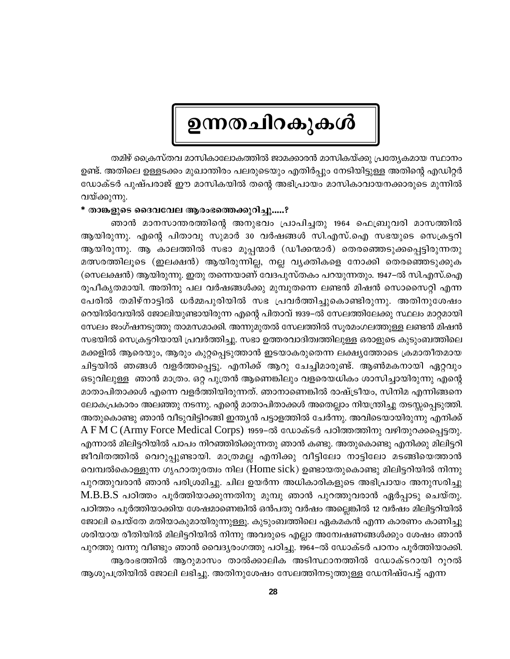# ഉന്നതചിറകുകൾ

തമിഴ് ക്രൈസ്തവ മാസികാലോകത്തിൽ ജാമക്കാരൻ മാസികയ്ക്കു പ്രത്യേകമായ സ്ഥാനം ഉണ്ട്. അതിലെ ഉള്ളടക്കം മുഖാന്തിരം പലരുടെയും എതിർപ്പും നേടിയിട്ടുള്ള അതിന്റെ എഡിറ്റർ ഡോക്ടർ പുഷ്പരാജ് ഈ മാസികയിൽ തന്റെ അഭിപ്രായം മാസികാവായനക്കാരുടെ മുന്നിൽ വയ്ക്കുന്നു.

#### \* താങ്കളുടെ ദൈവവേല ആരംഭത്തെക്കുറിച്ചു.....?

ഞാൻ മാനസാന്തരത്തിന്റെ അനുഭവം പ്രാപിച്ചതു 1964 ഫെബ്രുവരി മാസത്തിൽ ആയിരുന്നു. എന്റെ പിതാവു സുമാർ 30 വർഷങ്ങൾ സി.എസ്.ഐ സഭയുടെ സെക്രട്ടറി ആയിരുന്നു. ആ കാലത്തിൽ സഭാ മൂപ്പന്മാർ (ഡീക്കന്മാർ) തെരഞ്ഞെടുക്കപ്പെട്ടിരുന്നതു മത്സരത്തിലൂടെ (ഇലക്ഷൻ) ആയിരുന്നില്ല, നല്ല വ്യക്തികളെ നോക്കി തെരഞ്ഞെടുക്കുക (സെലക്ഷൻ) ആയിരുന്നു. ഇതു തന്നെയാണ് വേദപുസ്തകം പറയുന്നതും. 1947–ൽ സി.എസ്.ഐ രൂപീകൃതമായി. അതിനു പല വർഷങ്ങൾക്കു മുമ്പുതന്നെ ലണ്ടൻ മിഷൻ സൊസൈറ്റി എന്ന പേരിൽ തമിഴ്നാട്ടിൽ ധർമ്മപുരിയിൽ സഭ പ്രവർത്തിച്ചുകൊണ്ടിരുന്നു. അതിനുശേഷം റെയിൽവേയിൽ ജോലിയുണ്ടായിരുന്ന എന്റെ പിതാവ് 1939–ൽ സേലത്തിലേക്കു സ്ഥലം മാറ്റമായി സേലം ജംഗ്ഷനടുത്തു താമസമാക്കി. അന്നുമുതൽ സേലത്തിൽ സൂരമംഗലത്തുള്ള ലണ്ടൻ മിഷൻ സഭയിൽ സെക്രട്ടറിയായി പ്രവർത്തിച്ചു. സഭാ ഉത്തരവാദിത്വത്തിലുള്ള ഒരാളുടെ കുടുംബത്തിലെ മക്കളിൽ ആരെയും, ആരും കുറ്റപ്പെടുത്താൻ ഇടയാകരുതെന്ന ലക്ഷ്യത്തോടെ ക്രമാതീതമായ ചിട്ടയിൽ ഞങ്ങൾ വളർത്തപ്പെട്ടു. എനിക്ക് ആറു ചേച്ചിമാരുണ്ട്. ആൺമകനായി ഏറ്റവും ഒടുവിലുള്ള ഞാൻ മാത്രം. ഒറ്റ പുത്രൻ ആണെങ്കിലും വളരെയധികം ശാസിച്ചായിരുന്നു എന്റെ മാതാപിതാക്കൾ എന്നെ വളർത്തിയിരുന്നത്. ഞാനാണെങ്കിൽ രാഷ്ട്രീയം, സിനിമ എന്നിങ്ങനെ ലോകപ്രകാരം അലഞ്ഞു നടന്നു. എന്റെ മാതാപിതാക്കൾ അതെല്ലാം നിയന്ത്രിച്ചു തടസ്സപ്പെടുത്തി. അതുകൊണ്ടു ഞാൻ വീടുവിട്ടിറങ്ങി ഇന്ത്യൻ പട്ടാളത്തിൽ ചേർന്നു. അവിടെയായിരുന്നു എനിക്ക്  $A$  F M C (Army Force Medical Corps) 1959–ൽ ഡോക്ടർ പഠിത്തത്തിനു വഴിതുറക്കപ്പെട്ടതു. എന്നാൽ മിലിട്ടറിയിൽ പാപം നിറഞ്ഞിരിക്കുന്നതു ഞാൻ കണ്ടു. അതുകൊണ്ടു എനിക്കു മിലിട്ടറി ജീവിതത്തിൽ വെറുപ്പുണ്ടായി. മാത്രമല്ല എനിക്കു വീട്ടിലോ നാട്ടിലോ മടങ്ങിയെത്താൻ വെമ്പൽകൊള്ളുന്ന ഗൃഹാതുരത്വം നില (Home sick) ഉണ്ടായതുകൊണ്ടു മിലിട്ടറിയിൽ നിന്നു പുറത്തുവരാൻ ഞാൻ പരിശ്രമിച്ചു. ചില ഉയർന്ന അധികാരികളുടെ അഭിപ്രായം അനുസരിച്ചു M.B.B.S പഠിത്തം പൂർത്തിയാക്കുന്നതിനു മുമ്പു ഞാൻ പുറത്തുവരാൻ ഏർപ്പാടു ചെയ്തു. പഠിത്തം പൂർത്തിയാക്കിയ ശേഷമാണെങ്കിൽ ഒൻപതു വർഷം അല്ലെങ്കിൽ 12 വർഷം മിലിട്ടറിയിൽ ജോലി ചെയ്തേ മതിയാകുമായിരുന്നുള്ളൂ. കുടുംബത്തിലെ ഏകമകൻ എന്ന കാരണം കാണിച്ചു ശരിയായ രീതിയിൽ മിലിട്ടറിയിൽ നിന്നു അവരുടെ എല്ലാ അന്വേഷണങ്ങൾക്കും ശേഷം ഞാൻ പുറത്തു വന്നു വീണ്ടും ഞാൻ വൈദ്യരംഗത്തു പഠിച്ചു. 1964–ൽ ഡോക്ടർ പഠനം പൂർത്തിയാക്കി. ആരംഭത്തിൽ ആറുമാസം താൽക്കാലിക അടിസ്ഥാനത്തിൽ ഡോക്ടറായി റൂറൽ

ആശുപത്രിയിൽ ജോലി ലഭിച്ചു. അതിനുശേഷം സേലത്തിനടുത്തുള്ള ഡേനിഷ്പേട്ട് എന്ന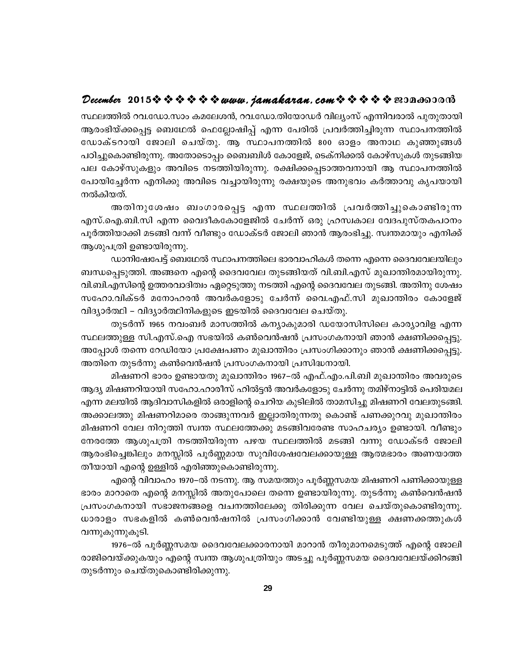#### December 2015 $\hat{\mathbf{v}} \cdot \hat{\mathbf{v}} \cdot \hat{\mathbf{v}} \cdot \hat{\mathbf{v}} \cdot \hat{\mathbf{v}}$  www.jamakaran.com  $\hat{\mathbf{v}} \cdot \hat{\mathbf{v}} \cdot \hat{\mathbf{v}} \cdot \hat{\mathbf{v}}$  en ano so when

സ്ഥലത്തിൽ റവ.ഡോ.സാം കമലേശൻ, റവ.ഡോ.തിയോഡർ വില്യംസ് എന്നിവരാൽ പുതുതായി ആരംഭിയ്ക്കപ്പെട്ട ബെഥേൽ ഫെല്ലോഷിപ്പ് എന്ന പേരിൽ പ്രവർത്തിച്ചിരുന്ന സ്ഥാപനത്തിൽ ഡോക്ടറായി ജോലി ചെയ്തു. ആ സ്ഥാപനത്തിൽ 800 ഓളം അനാഥ കുഞ്ഞുങ്ങൾ പഠിച്ചുകൊണ്ടിരുന്നു. അതോടൊപ്പം ബൈബിൾ കോളേജ്, ടെക്നിക്കൽ കോഴ്സുകൾ തുടങ്ങിയ പല കോഴ്സുകളും അവിടെ നടത്തിയിരുന്നു. രക്ഷിക്കപ്പെടാത്തവനായി ആ സ്ഥാപനത്തിൽ പോയിച്ചേർന്ന എനിക്കു അവിടെ വച്ചായിരുന്നു രക്ഷയുടെ അനുഭവം കർത്താവു കൃപയായി നൽകിയത്.

അതിനുശേഷം ബംഗാരപ്പെട്ട എന്ന സ്ഥലത്തിൽ പ്രവർത്തിച്ചുകൊണ്ടിരുന്ന എസ്.ഐ.ബി.സി എന്ന വൈദീകകോളേജിൽ ചേർന്ന് ഒരു ഹ്രസ്വകാല വേദപുസ്തകപഠനം പൂർത്തിയാക്കി മടങ്ങി വന്ന് വീണ്ടും ഡോക്ടർ ജോലി ഞാൻ ആരംഭിച്ചു. സ്വന്തമായും എനിക്ക് ആശുപത്രി ഉണ്ടായിരുന്നു.

ഡാനിഷേപേട്ട് ബെഥേൽ സ്ഥാപനത്തിലെ ഭാരവാഹികൾ തന്നെ എന്നെ ദൈവവേലയിലും ബന്ധപ്പെടുത്തി. അങ്ങനെ എന്റെ ദൈവവേല തുടങ്ങിയത് വി.ബി.എസ് മുഖാന്തിരമായിരുന്നു. വി.ബി.എസിന്റെ ഉത്തരവാദിത്വം ഏറ്റെടുത്തു നടത്തി എന്റെ ദൈവവേല തുടങ്ങി. അതിനു ശേഷം സഹോ.വിക്ടർ മനോഹരൻ അവർകളോടു ചേർന്ന് വൈ.എഫ്.സി മുഖാന്തിരം കോളേജ് വിദ്യാർത്ഥി – വിദ്യാർത്ഥിനികളുടെ ഇടയിൽ ദൈവവേല ചെയ്തു.

തുടർന്ന് 1965 നവംബർ മാസത്തിൽ കന്യാകുമാരി ഡയോസിസിലെ കാര്യാവിള എന്ന സ്ഥലത്തുള്ള സി.എസ്.ഐ സഭയിൽ കൺവെൻഷൻ പ്രസംഗകനായി ഞാൻ ക്ഷണിക്കപ്പെട്ടു. അപ്പോൾ തന്നെ റേഡിയോ പ്രക്ഷേപണം മുഖാന്തിരം പ്രസംഗിക്കാനും ഞാൻ ക്ഷണിക്കപ്പെട്ടു. അതിനെ തുടർന്നു കൺവെൻഷൻ പ്രസംഗകനായി പ്രസിദ്ധനായി.

മിഷണറി ഭാരം ഉണ്ടായതു മുഖാന്തിരം 1967–ൽ എഫ്.എം.പി.ബി മുഖാന്തിരം അവരുടെ ആദ്യ മിഷണറിയായി സഹോ.ഹാരീസ് ഹിൽട്ടൻ അവർകളോടു ചേർന്നു തമിഴ്നാട്ടിൽ പെരിയമല എന്ന മലയിൽ ആദിവാസികളിൽ ഒരാളിന്റെ ചെറിയ കുടിലിൽ താമസിച്ചു മിഷണറി വേലതുടങ്ങി. അക്കാലത്തു മിഷണറിമാരെ താങ്ങുന്നവർ ഇല്ലാതിരുന്നതു കൊണ്ട് പണക്കുറവു മുഖാന്തിരം മിഷണറി വേല നിറുത്തി സ്വന്ത സ്ഥലത്തേക്കു മടങ്ങിവരേണ്ട സാഹചര്യം ഉണ്ടായി. വീണ്ടും നേരത്തേ ആശുപത്രി നടത്തിയിരുന്ന പഴയ സ്ഥലത്തിൽ മടങ്ങി വന്നു ഡോക്ടർ ജോലി ആരംഭിച്ചെങ്കിലും മനസ്സിൽ പൂർണ്ണമായ സുവിശേഷവേലക്കായുള്ള ആത്മഭാരം അണയാത്ത തീയായി എന്റെ ഉള്ളിൽ എരിഞ്ഞുകൊണ്ടിരുന്നു.

എന്റെ വിവാഹം 1970–ൽ നടന്നു. ആ സമയത്തും പൂർണ്ണസമയ മിഷണറി പണിക്കായുള്ള ഭാരം മാറാതെ എന്റെ മനസ്സിൽ അതുപോലെ തന്നെ ഉണ്ടായിരുന്നു. തുടർന്നു കൺവെൻഷൻ പ്രസംഗകനായി സഭാജനങ്ങളെ വചനത്തിലേക്കു തിരിക്കുന്ന വേല ചെയ്തുകൊണ്ടിരുന്നു. ധാരാളം സഭകളിൽ കൺവെൻഷനിൽ പ്രസംഗിക്കാൻ വേണ്ടിയുള്ള ക്ഷണക്കത്തുകൾ വന്നുകുന്നുകൂടി.

1976–ൽ പൂർണ്ണസമയ ദൈവവേലക്കാരനായി മാറാൻ തീരുമാനമെടുത്ത് എന്റെ ജോലി രാജിവെയ്ക്കുകയും എന്റെ സ്വന്ത ആശുപത്രിയും അടച്ചു പൂർണ്ണസമയ ദൈവവേലയ്ക്കിറങ്ങി തുടർന്നും ചെയ്തുകൊണ്ടിരിക്കുന്നു.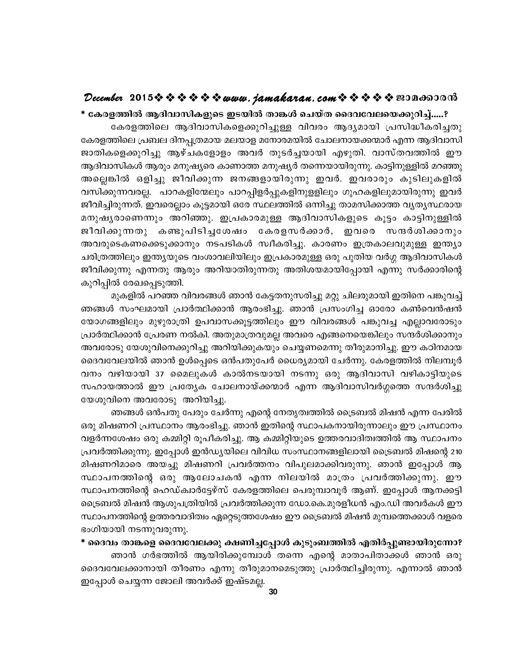#### December 2015 $\hat{\mathbf{v}} \hat{\mathbf{v}} \hat{\mathbf{v}} \hat{\mathbf{v}} \hat{\mathbf{v}} \hat{\mathbf{v}}$  is  $\mathbf{v}$  were. jamakaran. com  $\hat{\mathbf{v}} \hat{\mathbf{v}} \hat{\mathbf{v}} \hat{\mathbf{v}}$   $\hat{\mathbf{v}}$  and  $\hat{\mathbf{v}}$  and  $\hat{\mathbf{v}}$

\* കേരളത്തിൽ ആദിവാസികളുടെ ഇടയിൽ താങ്കൾ ചെയ്ത ദൈവവേലയെക്കുറിച്ച്.....? കേരളത്തിലെ ആദിവാസികളെക്കുറിച്ചുള്ള വിവരം ആദ്യമായി പ്രസിദ്ധീകരിച്ചതു കേരളത്തിലെ പ്രബല ദിനപ്പത്രമായ മലയാള മനോരമയിൽ ചോലനായക്കന്മാർ എന്ന ആദിവാസി ജാതികളെക്കുറിച്ചു ആഴ്ചകളോളം അവർ തുടർച്ചയായി എഴുതി. വാസ്തവത്തിൽ ഈ ആദിവാസികൾ ആരും മനുഷ്യരെ കാണാത്ത മനുഷ്യർ തന്നെയായിരുന്നു. കാട്ടിനുള്ളിൽ മറഞ്ഞു അല്ലെങ്കിൽ ഒളിച്ചു ജീവിക്കുന്ന ജനങ്ങളായിരുന്നു ഇവർ. ഇവരാരും കുടിലുകളിൽ വസിക്കുന്നവരല്ല. പാറകളിന്മേലും പാറപ്പിളർപ്പുകളിനുളളിലും ഗുഹകളിലുമായിരുന്നു ഇവർ ജീവിച്ചിരുന്നത്. ഇവരെല്ലാം കൂട്ടമായി ഒരേ സ്ഥലത്തിൽ ഒന്നിച്ചു താമസിക്കാത്ത വൃതൃസ്ഥരായ മനുഷ്യരാണെന്നും അറിഞ്ഞു. ഇപ്രകാരമുള്ള ആദിവാസികളുടെ കൂട്ടം കാട്ടിനുള്ളിൽ കണ്ടുപിടിച്ചശേഷം കേരളസർക്കാർ, ഇവരെ സന്ദർശിക്കാനും ജീവിക്കുന്നതു അവരുടെകണക്കെടുക്കാനും നടപടികൾ സ്വീകരിച്ചു. കാരണം ഇത്രകാലവുമുള്ള ഇന്ത്യാ ചരിത്രത്തിലും ഇന്ത്യയുടെ വംശാവലിയിലും ഇപ്രകാരമുള്ള ഒരു പുതിയ വർഗ്ഗ ആദിവാസികൾ ജീവിക്കുന്നു എന്നതു ആരും അറിയാതിരുന്നതു അതിശയമായിപ്പോയി എന്നു സർക്കാരിന്റെ കുറിപ്പിൽ രേഖപ്പെടുത്തി.

മുകളിൽ പറഞ്ഞ വിവരങ്ങൾ ഞാൻ കേട്ടതനുസരിച്ചു മറ്റു ചിലരുമായി ഇതിനെ പങ്കുവച്ച് ഞങ്ങൾ സംഘമായി പ്രാർത്ഥിക്കാൻ ആരംഭിച്ചു. ഞാൻ പ്രസംഗിച്ച ഓരോ കൺവെൻഷൻ യോഗങ്ങളിലും മുഴുരാത്രി ഉപവാസക്കൂട്ടത്തിലും ഈ വിവരങ്ങൾ പങ്കുവച്ച എല്ലാവരോടും പ്രാർത്ഥിക്കാൻ പ്രേരണ നൽകി. അതുമാത്രവുമല്ല അവരെ എങ്ങനെയെങ്കിലും സന്ദർശിക്കാനും അവരോടു യേശുവിനെക്കുറിച്ചു അറിയിക്കുകയും ചെയ്യണമെന്നു തീരുമാനിച്ചു. ഈ കഠിനമായ ദൈവവേലയിൽ ഞാൻ ഉൾപ്പെടെ ഒൻപതുപേർ ധൈര്യമായി ചേർന്നു. കേരളത്തിൽ നിലമ്പൂർ വനം വഴിയായി 37 മൈലുകൾ കാൽനടയായി നടന്നു ഒരു ആദിവാസി വഴികാട്ടിയുടെ സഹായത്താൽ ഈ പ്രത്യേക ചോലനായ്ക്കന്മാർ എന്ന ആദിവാസിവർഗ്ഗത്തെ സന്ദർശിച്ചു യേശുവിനെ അവരോടു അറിയിച്ചു.

ഞങ്ങൾ ഒൻപതു പേരും ചേർന്നു എന്റെ നേതൃത്വത്തിൽ ട്രൈബൽ മിഷൻ എന്ന പേരിൽ ഒരു മിഷണറി പ്രസ്ഥാനം ആരംഭിച്ചു. ഞാൻ ഇതിന്റെ സ്ഥാപകനായിരുന്നാലും ഈ പ്രസ്ഥാനം വളർന്നശേഷം ഒരു കമ്മിറ്റി രൂപീകരിച്ചു. ആ കമ്മിറ്റിയുടെ ഉത്തരവാദിത്വത്തിൽ ആ സ്ഥാപനം പ്രവർത്തിക്കുന്നു. ഇപ്പോൾ ഇൻഡ്യയിലെ വിവിധ സംസ്ഥാനങ്ങളിലായി ട്രൈബൽ മിഷന്റെ 210 മിഷണറിമാരെ അയച്ചു മിഷണറി പ്രവർത്തനം വിപുലമാക്കിവരുന്നു. ഞാൻ ഇപ്പോൾ ആ സ്ഥാപനത്തിന്റെ ഒരു ആലോചകൻ എന്ന നിലയിൽ മാത്രം പ്രവർത്തിക്കുന്നു. ഈ സ്ഥാപനത്തിന്റെ ഹെഡ്ക്വാർട്ടേഴ്സ് കേരളത്തിലെ പെരുമ്പാവൂർ ആണ്. ഇപ്പോൾ ആനക്കട്ടി ട്രൈബൽ മിഷൻ ആശുപത്രിയിൽ പ്രവർത്തിക്കുന്ന ഡോ.കെ.മുരളീധൻ എം.ഡി അവർകൾ ഈ സ്ഥാപനത്തിന്റെ ഉത്തരവാദിത്വം ഏറ്റെടുത്തശേഷം ഈ ട്രൈബൽ മിഷൻ മുമ്പത്തെക്കാൾ വളരെ ഭംഗിയായി നടന്നുവരുന്നു.

\* ദൈവം താങ്കളെ ദൈവവേലക്കു ക്ഷണിച്ചപ്പോൾ കുടുംബത്തിൽ എതിർപ്പുണ്ടായിരുന്നോ? ഞാൻ ഗർഭത്തിൽ ആയിരിക്കുമ്പോൾ തന്നെ എന്റെ മാതാപിതാക്കൾ ഞാൻ ഒരു ദൈവവേലക്കാനായി തീരണം എന്നു തീരുമാനമെടുത്തു പ്രാർത്ഥിച്ചിരുന്നു. എന്നാൽ ഞാൻ ഇപ്പോൾ ചെയ്യന്ന ജോലി അവർക്ക് ഇഷ്ടമല്ല.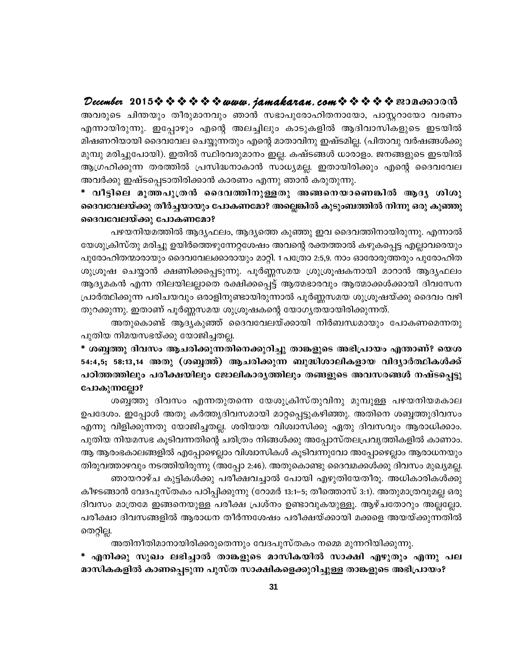#### December 2015 $\hat{\mathbf{v}} \hat{\mathbf{v}} \hat{\mathbf{v}} \hat{\mathbf{v}} \hat{\mathbf{v}} \hat{\mathbf{v}}$  is wava. jamakaran. com  $\hat{\mathbf{v}} \hat{\mathbf{v}} \hat{\mathbf{v}} \hat{\mathbf{v}}$  ne 20130000

അവരുടെ ചിന്തയും തീരുമാനവും ഞാൻ സഭാപുരോഹിതനായോ, പാസ്സറായോ വരണം എന്നായിരുന്നു. ഇപ്പോഴും എന്റെ അലച്ചിലും കാടുകളിൽ ആദിവാസികളുടെ ഇടയിൽ മിഷണറിയായി ദൈവവേല ചെയ്യുന്നതും എന്റെ മാതാവിനു ഇഷ്ടമില്ല. (പിതാവു വർഷങ്ങൾക്കു മുമ്പു മരിച്ചുപോയി). ഇതിൽ സ്ഥിരവരുമാനം ഇല്ല. കഷ്ടങ്ങൾ ധാരാളം. ജനങ്ങളുടെ ഇടയിൽ ആഗ്രഹിക്കുന്ന തരത്തിൽ പ്രസിദ്ധനാകാൻ സാധ്യമല്ല. ഇതായിരിക്കും എന്റെ ദൈവവേല അവർക്കു ഇഷ്ടപ്പെടാതിരിക്കാൻ കാരണം എന്നു ഞാൻ കരുതുന്നു.

\* വീട്ടിലെ മൂത്തപുത്രൻ ദൈവത്തിനുള്ളതു അങ്ങനെയാണെങ്കിൽ ആദ്യ ശിശു ദൈവവേലയ്ക്കു തീർച്ചയായും പോകണമോ? അല്ലെങ്കിൽ കുടുംബത്തിൽ നിന്നു ഒരു കുഞ്ഞു ദൈവവേലയ്ക്കു പോകണമോ?

പഴയനിയമത്തിൽ ആദ്യഫലം, ആദ്യത്തെ കുഞ്ഞു ഇവ ദൈവത്തിനായിരുന്നു. എന്നാൽ യേശുക്രിസ്തു മരിച്ചു ഉയിർത്തെഴുന്നേറ്റശേഷം അവന്റെ രക്തത്താൽ കഴുകപ്പെട്ട എല്ലാവരെയും പുരോഹിതന്മാരായും ദൈവവേലക്കാരായും മാറ്റി. 1 പത്രോ 2:5,9. നാം ഓരോരുത്തരും പുരോഹിത ശുശ്രൂഷ ചെയ്യാൻ ക്ഷണിക്കപ്പെടുന്നു. പൂർണ്ണസമയ ശ്രുശ്രൂഷകനായി മാറാൻ ആദ്യഫലം ആദ്യമകൻ എന്ന നിലയിലല്ലാതെ രക്ഷിക്കപ്പെട്ട് ആത്മഭാരവും ആത്മാക്കൾക്കായി ദിവസേന പ്രാർത്ഥിക്കുന്ന പരിചയവും ഒരാളിനുണ്ടായിരുന്നാൽ പൂർണ്ണസമയ ശുശ്രൂഷയ്ക്കു ദൈവം വഴി തുറക്കുന്നു. ഇതാണ് പൂർണ്ണസമയ ശുശ്രൂഷകന്റെ യോഗ്യതയായിരിക്കുന്നത്.

അതുകൊണ്ട് ആദ്യകുഞ്ഞ് ദൈവവേലയ്ക്കായി നിർബന്ധമായും പോകണമെന്നതു പുതിയ നിമയസഭയ്ക്കു യോജിച്ചതല്ല.

\* ശബ്ബത്തു ദിവസം ആചരിക്കുന്നതിനെക്കുറിച്ചു താങ്കളുടെ അഭിപ്രായം എന്താണ്? യെശ 54:4,5; 58:13,14 അതു (ശബ്ബത്) ആചരിക്കുന്ന ബുദ്ധിശാലികളായ വിദ്യാർത്ഥികൾക്ക് പഠിത്തത്തിലും പരീക്ഷയിലും ജോലികാരൃത്തിലും തങ്ങളുടെ അവസരങ്ങൾ നഷ്ടപ്പെട്ടു പോകുന്നല്ലോ?

ശബ്ദത്തു ദിവസം എന്നതുതന്നെ യേശുക്രിസ്തുവിനു മുമ്പുള്ള പഴയനിയമകാല ഉപദേശം. ഇപ്പോൾ അതു കർത്തൃദിവസമായി മാറ്റപ്പെട്ടുകഴിഞ്ഞു. അതിനെ ശബ്ബത്തുദിവസം എന്നു വിളിക്കുന്നതു യോജിച്ചതല്ല. ശരിയായ വിശ്വാസിക്കു ഏതു ദിവസവും ആരാധിക്കാം. പുതിയ നിയമസഭ കൂടിവന്നതിന്റെ ചരിത്രം നിങ്ങൾക്കു അപ്പോസ്തലപ്രവൃത്തികളിൽ കാണാം. ആ ആരംഭകാലങ്ങളിൽ എപ്പോഴെല്ലാം വിശ്വാസികൾ കൂടിവന്നുവോ അപ്പോഴെല്ലാം ആരാധനയും തിരുവത്താഴവും നടത്തിയിരുന്നു (അപ്പോ 2:46). അതുകൊണ്ടു ദൈവമക്കൾക്കു ദിവസം മുഖ്യമല്ല. ഞായറാഴ്ച കുട്ടികൾക്കു പരീക്ഷവച്ചാൽ പോയി എഴുതിയേതീരൂ. അധികാരികൾക്കു

കീഴടങ്ങാൻ വേദപുസ്തകം പഠിപ്പിക്കുന്നു (റോമർ 13:1–5; തീത്തൊസ് 3:1). അതുമാത്രവുമല്ല ഒരു ദിവസം മാത്രമേ ഇങ്ങനെയുള്ള പരീക്ഷ പ്രശ്നം ഉണ്ടാവുകയുള്ളൂ. ആഴ്ചതോറും അല്ലല്ലോ. പരീക്ഷാ ദിവസങ്ങളിൽ ആരാധന തീർന്നശേഷം പരീക്ഷയ്ക്കായി മക്കളെ അയയ്ക്കുന്നതിൽ തെറ്റില്ല.

അതിനീതിമാനായിരിക്കരുതെന്നും വേദപുസ്തകം നമ്മെ മുന്നറിയിക്കുന്നു.

\* എനിക്കു സുഖം ലഭിച്ചാൽ താങ്കളുടെ മാസികയിൽ സാക്ഷി എഴുതും എന്നു പല മാസികകളിൽ കാണപ്പെടുന്ന പുസ്ത സാക്ഷികളെക്കുറിച്ചുള്ള താങ്കളുടെ അഭിപ്രായം?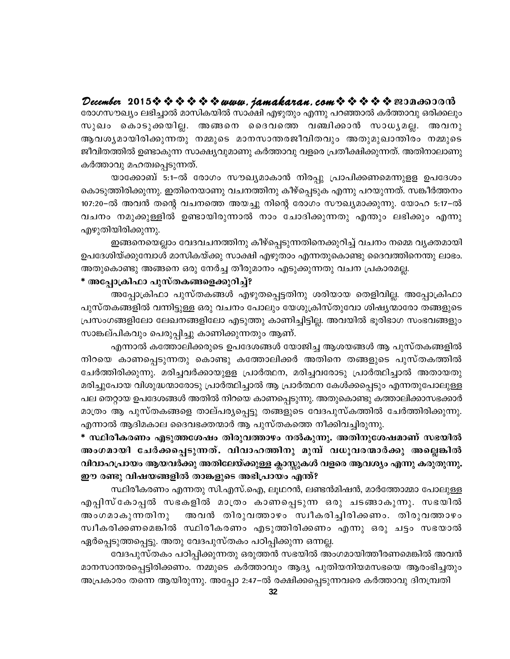December 2015 $\hat{\mathbf{v}} \hat{\mathbf{v}} \hat{\mathbf{v}} \hat{\mathbf{v}} \hat{\mathbf{v}} \hat{\mathbf{v}}$  is  $\mathbf{v}$  were. jamakaran. com  $\hat{\mathbf{v}} \hat{\mathbf{v}} \hat{\mathbf{v}} \hat{\mathbf{v}}$   $\hat{\mathbf{v}}$  and  $\hat{\mathbf{v}}$  and  $\hat{\mathbf{v}}$ 

രോഗസൗഖ്യം ലഭിച്ചാൽ മാസികയിൽ സാക്ഷി എഴുതും എന്നു പറഞ്ഞാൽ കർത്താവു ഒരിക്കലും സുഖം കൊടുക്കയില്ല. അങ്ങനെ ദൈവത്തെ വഞ്ചിക്കാൻ സാധ്യമല്ല. അവനു ആവശ്യമായിരിക്കുന്നതു നമ്മുടെ മാനസാന്തരജീവിതവും അതുമുഖാന്തിരം നമ്മുടെ ജീവിതത്തിൽ ഉണ്ടാകുന്ന സാക്ഷ്യവുമാണു കർത്താവു വളരെ പ്രതീക്ഷിക്കുന്നത്. അതിനാലാണു കർത്താവു മഹത്വപ്പെടുന്നത്.

യാക്കോബ് 5:1–ൽ രോഗം സൗഖ്യമാകാൻ നിരപ്പു പ്രാപിക്കണമെന്നുളള ഉപദേശം കൊടുത്തിരിക്കുന്നു. ഇതിനെയാണു വചനത്തിനു കീഴ്പ്പെടുക എന്നു പറയുന്നത്. സങ്കീർത്തനം 107:20–ൽ അവൻ തന്റെ വചനത്തെ അയച്ചു നിന്റെ രോഗം സൗഖ്യമാക്കുന്നു. യോഹ 5:17–ൽ വചനം നമുക്കുള്ളിൽ ഉണ്ടായിരുന്നാൽ നാം ചോദിക്കുന്നതു എന്തും ലഭിക്കും എന്നു എഴുതിയിരിക്കുന്നു.

ഇങ്ങനെയെല്ലാം വേദവചനത്തിനു കീഴ്പ്പെടുന്നതിനെക്കുറിച്ച് വചനം നമ്മെ വൃക്തമായി ഉപദേശിയ്ക്കുമ്പോൾ മാസികയ്ക്കു സാക്ഷി എഴുതാം എന്നതുകൊണ്ടു ദൈവത്തിനെന്തു ലാഭം. അതുകൊണ്ടു അങ്ങനെ ഒരു നേർച്ച തീരുമാനം എടുക്കുന്നതു വചന പ്രകാരമല്ല.

#### \* അപ്പോക്രിഫാ പുസ്തകങ്ങളെക്കുറിച്ച്?

അപ്പോക്രിഫാ പുസ്തകങ്ങൾ എഴുതപ്പെട്ടതിനു ശരിയായ തെളിവില്ല. അപ്പോക്രിഫാ പുസ്തകങ്ങളിൽ വന്നിട്ടുള്ള ഒരു വചനം പോലും യേശുക്രിസ്തുവോ ശിഷ്യന്മാരോ തങ്ങളുടെ പ്രസംഗങ്ങളിലോ ലേഖനങ്ങളിലോ എടുത്തു കാണിച്ചിട്ടില്ല. അവയിൽ ഭൂരിഭാഗ സംഭവങ്ങളും സാങ്കല്പികവും പെരുപ്പിച്ചു കാണിക്കുന്നതും ആണ്.

എന്നാൽ കത്തോലിക്കരുടെ ഉപദേശങ്ങൾ യോജിച്ച ആശയങ്ങൾ ആ പുസ്തകങ്ങളിൽ നിറയെ കാണപ്പെടുന്നതു കൊണ്ടു കത്തോലിക്കർ അതിനെ തങ്ങളുടെ പുസ്തകത്തിൽ ചേർത്തിരിക്കുന്നു. മരിച്ചവർക്കായുളള പ്രാർത്ഥന, മരിച്ചവരോടു പ്രാർത്ഥിച്ചാൽ അതായതു മരിച്ചുപോയ വിശുദ്ധന്മാരോടു പ്രാർത്ഥിച്ചാൽ ആ പ്രാർത്ഥന കേൾക്കപ്പെടും എന്നതുപോലുള്ള പല തെറ്റായ ഉപദേശങ്ങൾ അതിൽ നിറയെ കാണപ്പെടുന്നു. അതുകൊണ്ടു കത്താലിക്കാസഭക്കാർ മാത്രം ആ പുസ്തകങ്ങളെ താല്പര്യപ്പെട്ടു തങ്ങളുടെ വേദപുസ്കത്തിൽ ചേർത്തിരിക്കുന്നു. എന്നാൽ ആദിമകാല ദൈവഭക്തന്മാർ ആ പുസ്തകത്തെ നീക്കിവച്ചിരുന്നു.

\* സ്ഥിരീകരണം എടുത്തശേഷം തിരുവത്താഴം നൽകുന്നു. അതിനുശേഷമാണ് സഭയിൽ അംഗമായി ചേർക്കപ്പെടുന്നത്. വിവാഹത്തിനു മുമ്പ് വധൂവരന്മാർക്കു അല്ലെങ്കിൽ വിവാഹപ്രായം ആയവർക്കു അതിലേയ്ക്കുള്ള ക്ലാസ്സുകൾ വളരെ ആവശ്യം എന്നു കരുതുന്നു. ഈ രണ്ടു വിഷയങ്ങളിൽ താങ്കളുടെ അഭിപ്രായം എന്ത്?

സ്ഥിരീകരണം എന്നതു സി.എസ്.ഐ, ലൂഥറൻ, ലണ്ടൻമിഷൻ, മാർത്തോമ്മാ പോലുള്ള എപ്പിസ്കോപ്പൽ സഭകളിൽ മാത്രം കാണപ്പെടുന്ന ഒരു ചടങ്ങാകുന്നു. സഭയിൽ അവൻ തിരുവത്താഴം സ്വീകരിച്ചിരിക്കണം. തിരുവത്താഴം അംഗമാകുന്നതിനു സ്വീകരിക്കണമെങ്കിൽ സ്ഥിരീകരണം എടുത്തിരിക്കണം എന്നു ഒരു ചട്ടം സഭയാൽ ഏർപ്പെടുത്തപ്പെട്ടു. അതു വേദപുസ്തകം പഠിപ്പിക്കുന്ന ഒന്നല്ല.

വേദപുസ്തകം പഠിപ്പിക്കുന്നതു ഒരുത്തൻ സഭയിൽ അംഗമായിത്തീരണമെങ്കിൽ അവൻ മാനസാന്തരപ്പെട്ടിരിക്കണം. നമ്മുടെ കർത്താവും ആദ്യ പുതിയനിയമസഭയെ ആരംഭിച്ചതും അപ്രകാരം തന്നെ ആയിരുന്നു. അപ്പോ 2:47–ൽ രക്ഷിക്കപ്പെടുന്നവരെ കർത്താവു ദിനമ്പ്രതി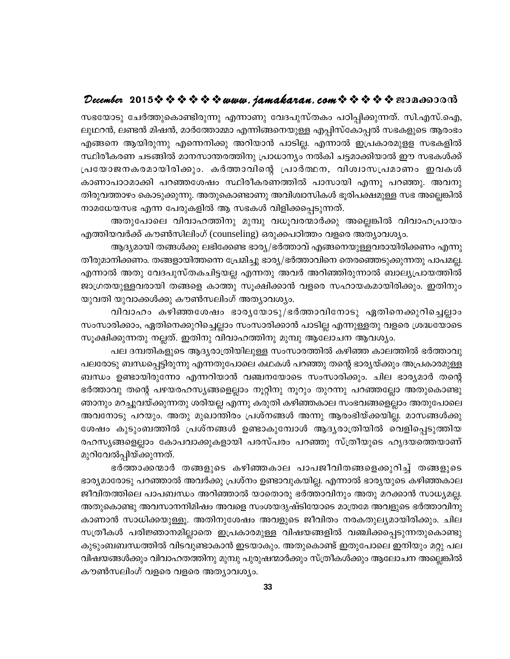#### December 2015 $\hat{\mathbf{v}} \hat{\mathbf{v}} \hat{\mathbf{v}} \hat{\mathbf{v}} \hat{\mathbf{v}} \hat{\mathbf{v}}$  is a wava. jamakaran. com  $\hat{\mathbf{v}} \hat{\mathbf{v}} \hat{\mathbf{v}} \hat{\mathbf{v}}$  a  $\hat{\mathbf{v}}$  and  $\hat{\mathbf{v}}$

സഭയോടു ചേർത്തുകൊണ്ടിരുന്നു എന്നാണു വേദപുസ്തകം പഠിപ്പിക്കുന്നത്. സി.എസ്.ഐ, ലുഥറൻ, ലണ്ടൻ മിഷൻ, മാർത്തോമ്മാ എന്നിങ്ങനെയുള്ള എപ്പിസ്കോപ്പൽ സഭകളുടെ ആരംഭം എങ്ങനെ ആയിരുന്നു എന്നെനിക്കു അറിയാൻ പാടില്ല. എന്നാൽ ഇപ്രകാരമുളള സഭകളിൽ സ്ഥിരീകരണ ചടങ്ങിൽ മാനസാന്തരത്തിനു പ്രാധാന്യം നൽകി ചട്ടമാക്കിയാൽ ഈ സഭകൾക്ക് പ്രയോജനകരമായിരിക്കും. കർത്താവിന്റെ പ്രാർത്ഥന, വിശ്വാസപ്രമാണം ഇവകൾ കാണാപാഠമാക്കി പറഞ്ഞശേഷം സ്ഥിരീകരണത്തിൽ പാസായി എന്നു പറഞ്ഞു. അവനു തിരുവത്താഴം കൊടുക്കുന്നു. അതുകൊണ്ടാണു അവിശ്വാസികൾ ഭൂരിപക്ഷമുള്ള സഭ അല്ലെങ്കിൽ നാമധേയസഭ എന്ന പേരുകളിൽ ആ സഭകൾ വിളിക്കപ്പെടുന്നത്.

അതുപോലെ വിവാഹത്തിനു മുമ്പു വധൂവരന്മാർക്കു അല്ലെങ്കിൽ വിവാഹപ്രായം എത്തിയവർക്ക് കൗൺസിലിംഗ് (counseling) ഒരുക്കപഠിത്തം വളരെ അത്യാവശ്യം.

ആദ്യമായി തങ്ങൾക്കു ലഭിക്കേണ്ട ഭാര്യ/ഭർത്താവ് എങ്ങനെയുള്ളവരായിരിക്കണം എന്നു തീരുമാനിക്കണം. തങ്ങളായിത്തന്നെ പ്രേമിച്ചു ഭാര്യ/ഭർത്താവിനെ തെരഞ്ഞെടുക്കുന്നതു പാപമല്ല. എന്നാൽ അതു വേദപുസ്തകചിട്ടയല്ല എന്നതു അവർ അറിഞ്ഞിരുന്നാൽ ബാല്യപ്രായത്തിൽ ജാഗ്രതയുള്ളവരായി തങ്ങളെ കാത്തു സൂക്ഷിക്കാൻ വളരെ സഹായകമായിരിക്കും. ഇതിനും യുവതി യുവാക്കൾക്കു കൗൺസലിംഗ് അത്യാവശ്യം.

വിവാഹം കഴിഞ്ഞശേഷം ഭാരൃയോടു/ഭർത്താവിനോടു ഏതിനെക്കുറിച്ചെല്ലാം സംസാരിക്കാം, ഏതിനെക്കുറിച്ചെല്ലാം സംസാരിക്കാൻ പാടില്ല എന്നുള്ളതു വളരെ ശ്രദ്ധയോടെ സൂക്ഷിക്കുന്നതു നല്ലത്. ഇതിനു വിവാഹത്തിനു മുമ്പു ആലോചന ആവശ്യം.

പല ദമ്പതികളുടെ ആദ്യരാത്രിയിലുള്ള സംസാരത്തിൽ കഴിഞ്ഞ കാലത്തിൽ ഭർത്താവു പലരോടു ബന്ധപ്പെട്ടിരുന്നു എന്നതുപോലെ കഥകൾ പറഞ്ഞു തന്റെ ഭാര്യയ്ക്കും അപ്രകാരമുള്ള ബന്ധം ഉണ്ടായിരുന്നോ എന്നറിയാൻ വഞ്ചനയോടെ സംസാരിക്കും. ചില ഭാര്യമാർ തന്റെ ഭർത്താവു തന്റെ പഴയരഹസ്യങ്ങളെല്ലാം നൂറ്റിനു നൂറും തുറന്നു പറഞ്ഞല്ലോ അതുകൊണ്ടു ഞാനും മറച്ചുവയ്ക്കുന്നതു ശരിയല്ല എന്നു കരുതി കഴിഞ്ഞകാല സംഭവങ്ങളെല്ലാം അതുപോലെ അവനോടു പറയും. അതു മുഖാന്തിരം പ്രശ്നങ്ങൾ അന്നു ആരംഭിയ്ക്കയില്ല. മാസങ്ങൾക്കു ശേഷം കുടുംബത്തിൽ പ്രശ്നങ്ങൾ ഉണ്ടാകുമ്പോൾ ആദൃരാത്രിയിൽ വെളിപ്പെടുത്തിയ രഹസ്യങ്ങളെല്ലാം കോപവാക്കുകളായി പരസ്പരം പറഞ്ഞു സ്ത്രീയുടെ ഹൃദയത്തെയാണ് മുറിവേൽപ്പിയ്ക്കുന്നത്.

ഭർത്താക്കന്മാർ തങ്ങളുടെ കഴിഞ്ഞകാല പാപജീവിതങ്ങളെക്കുറിച്ച് തങ്ങളുടെ ഭാര്യമാരോടു പറഞ്ഞാൽ അവർക്കു പ്രശ്നം ഉണ്ടാവുകയില്ല. എന്നാൽ ഭാര്യയുടെ കഴിഞ്ഞകാല ജീവിതത്തിലെ പാപബന്ധം അറിഞ്ഞാൽ യാതൊരു ഭർത്താവിനും അതു മറക്കാൻ സാധ്യമല്ല. അതുകൊണ്ടു അവസാനനിമിഷം അവളെ സംശയദൃഷ്ടിയോടെ മാത്രമേ അവളുടെ ഭർത്താവിനു കാണാൻ സാധിക്കയുള്ളൂ. അതിനുശേഷം അവളുടെ ജീവിതം നരകതുല്യമായിരിക്കും. ചില സത്രീകൾ പരിജ്ഞാനമില്ലാതെ ഇപ്രകാരമുള്ള വിഷയങ്ങളിൽ വഞ്ചിക്കപ്പെടുന്നതുകൊണ്ടു കുടുംബബന്ധത്തിൽ വിടവുണ്ടാകാൻ ഇടയാകും. അതുകൊണ്ട് ഇതുപോലെ ഇനിയും മറ്റു പല വിഷയങ്ങൾക്കും വിവാഹതത്തിനു മുമ്പു പുരുഷന്മാർക്കും സ്ത്രീകൾക്കും ആലോചന അല്ലെങ്കിൽ കൗൺസലിംഗ് വളരെ വളരെ അത്യാവശ്യം.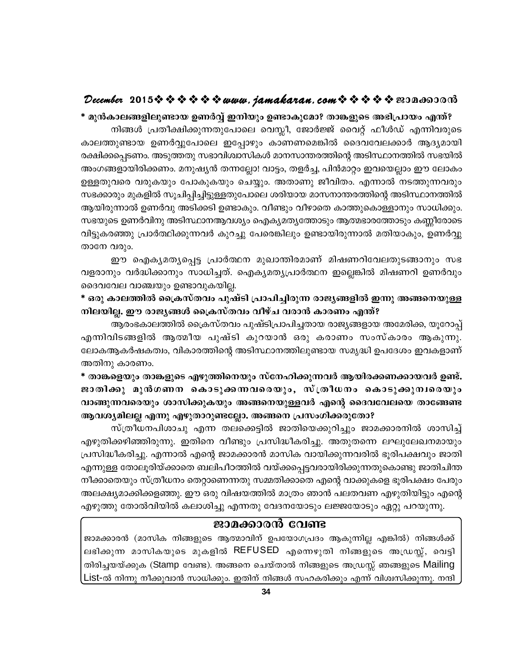#### December 2015 $\hat{\mathbf{v}} \hat{\mathbf{v}} \hat{\mathbf{v}} \hat{\mathbf{v}} \hat{\mathbf{v}} \hat{\mathbf{v}}$  is a wava, jamakaran, com  $\hat{\mathbf{v}} \hat{\mathbf{v}} \hat{\mathbf{v}} \hat{\mathbf{v}}$  a  $\hat{\mathbf{v}}$  and  $\hat{\mathbf{v}}$

\* മുൻകാലങ്ങളിലുണ്ടായ ഉണർവ്വ് ഇനിയും ഉണ്ടാകുമോ? താങ്കളുടെ അഭിപ്രായം എന്ത്? നിങ്ങൾ പ്രതീക്ഷിക്കുന്നതുപോലെ വെസ്ലീ, ജോർജ്ജ് വൈറ്റ് ഫീൾഡ് എന്നിവരുടെ കാലത്തുണ്ടായ ഉണർവ്വുപോലെ ഇപ്പോഴും കാണണമെങ്കിൽ ദൈവവേലക്കാർ ആദ്യമായി രക്ഷിക്കപ്പെടണം. അടുത്തതു സഭാവിശ്വാസികൾ മാനസാന്തരത്തിന്റെ അടിസ്ഥാനത്തിൽ സഭയിൽ അംഗങ്ങളായിരിക്കണം. മനുഷ്യൻ തന്നല്ലോ! വാട്ടം, തളർച്ച, പിൻമാറ്റം ഇവയെല്ലാം ഈ ലോകം ഉള്ളതുവരെ വരുകയും പോകുകയും ചെയ്യും. അതാണു ജീവിതം. എന്നാൽ നടത്തുന്നവരും സഭക്കാരും മുകളിൽ സൂചിപ്പിച്ചിട്ടുള്ളതുപോലെ ശരിയായ മാസനാന്തരത്തിന്റെ അടിസ്ഥാനത്തിൽ ആയിരുന്നാൽ ഉണർവു അടിക്കടി ഉണ്ടാകും. വീണ്ടും വീഴാതെ കാത്തുകൊള്ളാനും സാധിക്കും. സഭയുടെ ഉണർവിനു അടിസ്ഥാനആവശ്യം ഐക്യമത്യത്തോടും ആത്മഭാരത്തോടും കണ്ണീരോടെ വിട്ടുകരഞ്ഞു പ്രാർത്ഥിക്കുന്നവർ കുറച്ചു പേരെങ്കിലും ഉണ്ടായിരുന്നാൽ മതിയാകും, ഉണർവ്വു താനേ വരും.

ഈ ഐക്യമത്യപ്പെട്ട പ്രാർത്ഥന മുഖാന്തിരമാണ് മിഷണറിവേലതുടങ്ങാനും സഭ വളരാനും വർദ്ധിക്കാനും സാധിച്ചത്. ഐക്യമത്യപ്രാർത്ഥന ഇല്ലെങ്കിൽ മിഷണറി ഉണർവും ദൈവവേല വാഞ്ചയും ഉണ്ടാവുകയില്ല.

\* ഒരു കാലത്തിൽ ക്രൈസ്തവം പുഷ്ടി പ്രാപിച്ചിരുന്ന രാജ്യങ്ങളിൽ ഇന്നു അങ്ങനെയുള്ള നിലയില്ല. ഈ രാജ്യങ്ങൾ ക്രൈസ്തവം വീഴ്ച വരാൻ കാരണം എന്ത്?

ആരംഭകാലത്തിൽ ക്രൈസ്തവം പുഷ്ടിപ്രാപിച്ചതായ രാജ്യങ്ങളായ അമേരിക്ക, യൂറോപ്പ് എന്നിവിടങ്ങളിൽ ആത്മീയ പുഷ്ടി കുറയാൻ ഒരു കരാണം സംസ്കാരം ആകുന്നു. ലോകആകർഷകത്വം, വികാരത്തിന്റെ അടിസ്ഥാനത്തിലുണ്ടായ സമൃദ്ധി ഉപദേശം ഇവകളാണ് അതിനു കാരണം.

\* താങ്കളെയും താങ്കളുടെ എഴുത്തിനെയും സ്നേഹിക്കുന്നവർ ആയിരക്കണക്കായവർ ഉണ്ട്. ജാതിക്കു മുൻഗണന കൊടുക്കന്നവരെയും, സ്ത്രീധനം കൊടുക്കുന്വരെയും വാങ്ങുന്നവരെയും ശാസിക്കുകയും അങ്ങനെയുള്ളവർ എന്റെ ദൈവവേലയെ താങ്ങേണ്ട ആവശ്യമിലല്ല എന്നു എഴുതാറുണ്ടല്ലോ. അങ്ങനെ പ്രസംഗിക്കരുതോ?

സ്ത്രീധനപിശാചു എന്ന തലക്കെട്ടിൽ ജാതിയെക്കുറിച്ചും ജാമക്കാരനിൽ ശാസിച്ച് എഴുതിക്കഴിഞ്ഞിരുന്നു. ഇതിനെ വീണ്ടും പ്രസിദ്ധീകരിച്ചു. അതുതന്നെ ലഘുലേഖനമായും പ്രസിദ്ധീകരിച്ചു. എന്നാൽ എന്റെ ജാമക്കാരൻ മാസിക വായിക്കുന്നവരിൽ ഭൂരിപക്ഷവും ജാതി എന്നുള്ള തോലൂരിയ്ക്കാതെ ബലിപീഠത്തിൽ വയ്ക്കപ്പെട്ടവരായിരിക്കുന്നതുകൊണ്ടു ജാതിചിന്ത നീക്കാതെയും സ്ത്രീധനം തെറ്റാണെന്നതു സമ്മതിക്കാതെ എന്റെ വാക്കുകളെ ഭൂരിപക്ഷം പേരും അലക്ഷ്യമാക്കിക്കളഞ്ഞു. ഈ ഒരു വിഷയത്തിൽ മാത്രം ഞാൻ പലതവണ എഴുതിയിട്ടും എന്റെ എഴുത്തു തോൽവിയിൽ കലാശിച്ചു എന്നതു വേദനയോടും ലജ്ജയോടും ഏറ്റു പറയുന്നു.

#### ജാമക്കാരൻ വേണ്ട

ജാമക്കാരൻ (മാസിക നിങ്ങളുടെ ആത്മാവിന് ഉപയോഗപ്രദം ആകുന്നില്ല എങ്കിൽ) നിങ്ങൾക്ക് ലഭിക്കുന്ന മാസികയുടെ മുകളിൽ REFUSED എന്നെഴുതി നിങ്ങളുടെ അഡ്രസ്സ്, വെട്ടി തിരിച്ചയയ്ക്കുക (Stamp വേണ്ട). അങ്ങനെ ചെയ്താൽ നിങ്ങളുടെ അഡ്രസ്സ് ഞങ്ങളുടെ Mailing List-ൽ നിന്നു നീക്കുവാൻ സാധിക്കും. ഇതിന് നിങ്ങൾ സഹകരിക്കും എന്ന് വിശ്വസിക്കുന്നു. നന്ദി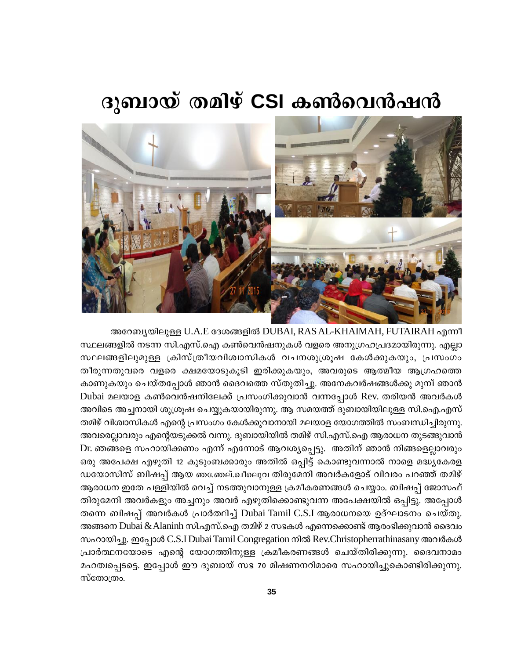# ദുബായ് തമിഴ് CSI കൺവെൻഷൻ



അറേബ്യയിലുള്ള U.A.E ദേശങ്ങളിൽ DUBAI, RAS AL-KHAIMAH, FUTAIRAH എന്നീ സ്ഥലങ്ങളിൽ നടന്ന സി.എസ്.ഐ കൺവെൻഷനുകൾ വളരെ അനുഗ്രഹപ്രദമായിരുന്നു. എല്ലാ സ്ഥലങ്ങളിലുമുള്ള ക്രിസ്ത്രീയവിശ്വാസികൾ വചനശുശ്രൂഷ കേൾക്കുകയും, പ്രസംഗം തീരുന്നതുവരെ വളരെ ക്ഷമയോടുകൂടി ഇരിക്കുകയും, അവരുടെ ആത്മീയ ആഗ്രഹത്തെ കാണുകയും ചെയ്തപ്പോൾ ഞാൻ ദൈവത്തെ സ്തുതിച്ചു. അനേകവർഷങ്ങൾക്കു മുമ്പ് ഞാൻ Dubai മലയാള കൺവെൻഷനിലേക്ക് പ്രസംഗിക്കുവാൻ വന്നപ്പോൾ Rev. തരിയൻ അവർകൾ അവിടെ അച്ചനായി ശുശ്രൂഷ ചെയ്യുകയായിരുന്നു. ആ സമയത്ത് ദുബായിയിലുള്ള സി.ഐ.എസ് തമിഴ് വിശ്വാസികൾ എന്റെ പ്രസംഗം കേൾക്കുവാനായി മലയാള യോഗത്തിൽ സംബന്ധിച്ചിരുന്നു. അവരെല്ലാവരും എന്റെയടുക്കൽ വന്നു. ദുബായിയിൽ തമിഴ് സി.എസ്.ഐ ആരാധന തുടങ്ങുവാൻ Dr. ഞങ്ങളെ സഹായിക്കണം എന്ന് എന്നോട് ആവശ്യപ്പെട്ടു. അതിന് ഞാൻ നിങ്ങളെല്ലാവരും ഒരു അപേക്ഷ എഴുതി 12 കുടുംബക്കാരും അതിൽ ഒപ്പിട്ട് കൊണ്ടുവന്നാൽ നാളെ മദ്ധ്യകേരള ഡയോസിസ് ബിഷപ്പ് ആയ ഞക്തേല്.ഖീലുെവ തിരുമേനി അവർകളോട് വിവരം പറഞ്ഞ് തമിഴ് ആരാധന ഇതേ പള്ളിയിൽ വെച്ച് നടത്തുവാനുള്ള ക്രമീകരണങ്ങൾ ചെയ്യാം. ബിഷപ്പ് ജോസഫ് തിരുമേനി അവർകളും അച്ചനും അവർ എഴുതിക്കൊണ്ടുവന്ന അപേക്ഷയിൽ ഒപ്പിട്ടു. അപ്പോൾ തന്നെ ബിഷപ്പ് അവർകൾ പ്രാർത്ഥിച്ച് Dubai Tamil C.S.I ആരാധനയെ ഉദ്ഘാടനം ചെയ്തു. അങ്ങനെ Dubai & Alaninh സി.എസ്.ഐ തമിഴ് 2 സഭകൾ എന്നെക്കൊണ്ട് ആരംഭിക്കുവാൻ ദൈവം സഹായിച്ചു. ഇപ്പോൾ C.S.I Dubai Tamil Congregation നിൽ Rev.Christopherrathinasany അവർകൾ പ്രാർത്ഥനയോടെ എന്റെ യോഗത്തിനുള്ള ക്രമീകരണങ്ങൾ ചെയ്തിരിക്കുന്നു. ദൈവനാമം മഹത്വപ്പെടട്ടെ. ഇപ്പോൾ ഈ ദുബായ് സഭ 70 മിഷണനറിമാരെ സഹായിച്ചുകൊണ്ടിരിക്കുന്നു. സ്തോത്രം.